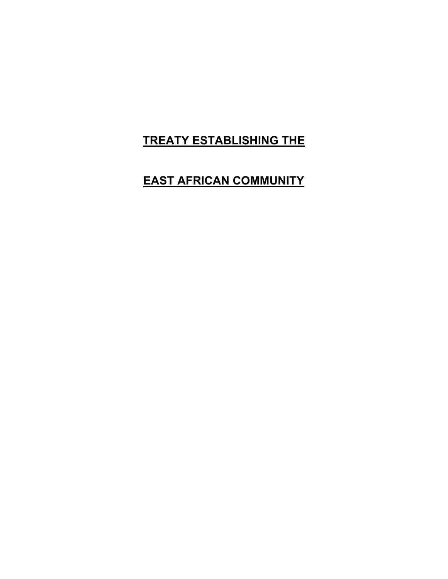# **TREATY ESTABLISHING THE**

# **EAST AFRICAN COMMUNITY**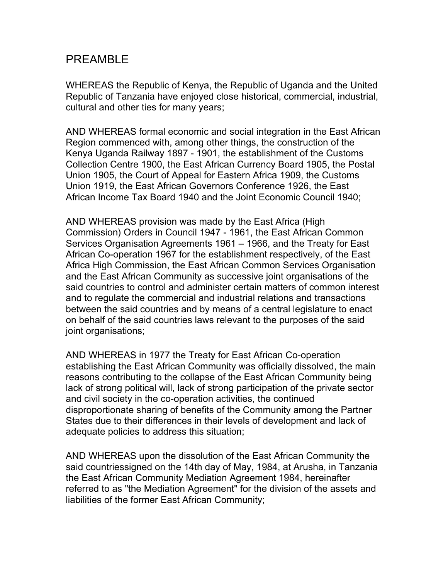# PREAMBLE

WHEREAS the Republic of Kenya, the Republic of Uganda and the United Republic of Tanzania have enjoyed close historical, commercial, industrial, cultural and other ties for many years;

AND WHEREAS formal economic and social integration in the East African Region commenced with, among other things, the construction of the Kenya Uganda Railway 1897 - 1901, the establishment of the Customs Collection Centre 1900, the East African Currency Board 1905, the Postal Union 1905, the Court of Appeal for Eastern Africa 1909, the Customs Union 1919, the East African Governors Conference 1926, the East African Income Tax Board 1940 and the Joint Economic Council 1940;

AND WHEREAS provision was made by the East Africa (High Commission) Orders in Council 1947 - 1961, the East African Common Services Organisation Agreements 1961 – 1966, and the Treaty for East African Co-operation 1967 for the establishment respectively, of the East Africa High Commission, the East African Common Services Organisation and the East African Community as successive joint organisations of the said countries to control and administer certain matters of common interest and to regulate the commercial and industrial relations and transactions between the said countries and by means of a central legislature to enact on behalf of the said countries laws relevant to the purposes of the said joint organisations;

AND WHEREAS in 1977 the Treaty for East African Co-operation establishing the East African Community was officially dissolved, the main reasons contributing to the collapse of the East African Community being lack of strong political will, lack of strong participation of the private sector and civil society in the co-operation activities, the continued disproportionate sharing of benefits of the Community among the Partner States due to their differences in their levels of development and lack of adequate policies to address this situation;

AND WHEREAS upon the dissolution of the East African Community the said countriessigned on the 14th day of May, 1984, at Arusha, in Tanzania the East African Community Mediation Agreement 1984, hereinafter referred to as "the Mediation Agreement" for the division of the assets and liabilities of the former East African Community;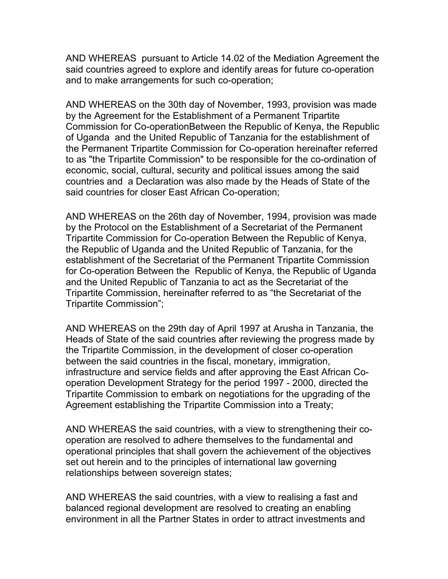AND WHEREAS pursuant to Article 14.02 of the Mediation Agreement the said countries agreed to explore and identify areas for future co-operation and to make arrangements for such co-operation;

AND WHEREAS on the 30th day of November, 1993, provision was made by the Agreement for the Establishment of a Permanent Tripartite Commission for Co-operationBetween the Republic of Kenya, the Republic of Uganda and the United Republic of Tanzania for the establishment of the Permanent Tripartite Commission for Co-operation hereinafter referred to as "the Tripartite Commission" to be responsible for the co-ordination of economic, social, cultural, security and political issues among the said countries and a Declaration was also made by the Heads of State of the said countries for closer East African Co-operation;

AND WHEREAS on the 26th day of November, 1994, provision was made by the Protocol on the Establishment of a Secretariat of the Permanent Tripartite Commission for Co-operation Between the Republic of Kenya, the Republic of Uganda and the United Republic of Tanzania, for the establishment of the Secretariat of the Permanent Tripartite Commission for Co-operation Between the Republic of Kenya, the Republic of Uganda and the United Republic of Tanzania to act as the Secretariat of the Tripartite Commission, hereinafter referred to as "the Secretariat of the Tripartite Commission";

AND WHEREAS on the 29th day of April 1997 at Arusha in Tanzania, the Heads of State of the said countries after reviewing the progress made by the Tripartite Commission, in the development of closer co-operation between the said countries in the fiscal, monetary, immigration, infrastructure and service fields and after approving the East African Cooperation Development Strategy for the period 1997 - 2000, directed the Tripartite Commission to embark on negotiations for the upgrading of the Agreement establishing the Tripartite Commission into a Treaty;

AND WHEREAS the said countries, with a view to strengthening their cooperation are resolved to adhere themselves to the fundamental and operational principles that shall govern the achievement of the objectives set out herein and to the principles of international law governing relationships between sovereign states;

AND WHEREAS the said countries, with a view to realising a fast and balanced regional development are resolved to creating an enabling environment in all the Partner States in order to attract investments and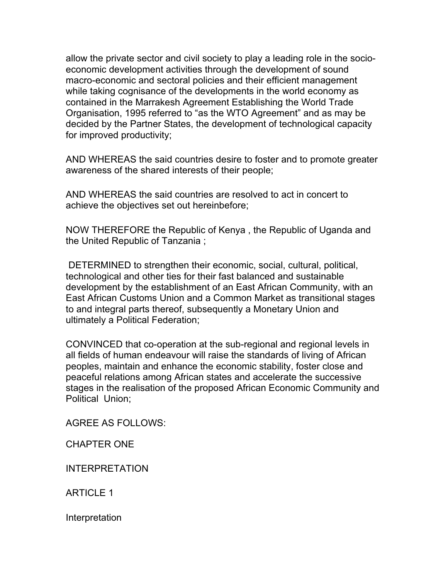allow the private sector and civil society to play a leading role in the socioeconomic development activities through the development of sound macro-economic and sectoral policies and their efficient management while taking cognisance of the developments in the world economy as contained in the Marrakesh Agreement Establishing the World Trade Organisation, 1995 referred to "as the WTO Agreement" and as may be decided by the Partner States, the development of technological capacity for improved productivity;

AND WHEREAS the said countries desire to foster and to promote greater awareness of the shared interests of their people;

AND WHEREAS the said countries are resolved to act in concert to achieve the objectives set out hereinbefore;

NOW THEREFORE the Republic of Kenya , the Republic of Uganda and the United Republic of Tanzania ;

 DETERMINED to strengthen their economic, social, cultural, political, technological and other ties for their fast balanced and sustainable development by the establishment of an East African Community, with an East African Customs Union and a Common Market as transitional stages to and integral parts thereof, subsequently a Monetary Union and ultimately a Political Federation;

CONVINCED that co-operation at the sub-regional and regional levels in all fields of human endeavour will raise the standards of living of African peoples, maintain and enhance the economic stability, foster close and peaceful relations among African states and accelerate the successive stages in the realisation of the proposed African Economic Community and Political Union;

AGREE AS FOLLOWS:

CHAPTER ONE

INTERPRETATION

**ARTICLE 1** 

Interpretation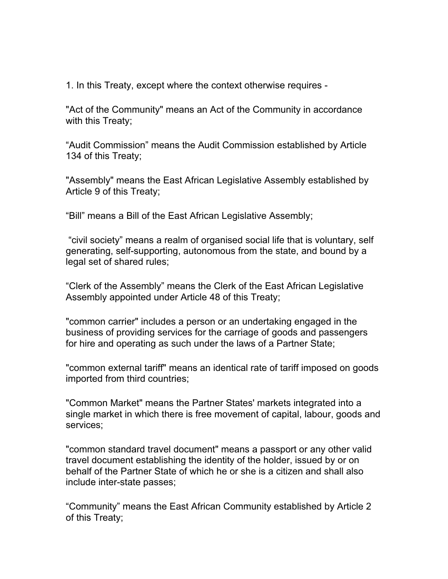1. In this Treaty, except where the context otherwise requires -

"Act of the Community" means an Act of the Community in accordance with this Treaty;

"Audit Commission" means the Audit Commission established by Article 134 of this Treaty;

"Assembly" means the East African Legislative Assembly established by Article 9 of this Treaty;

"Bill" means a Bill of the East African Legislative Assembly;

 "civil society" means a realm of organised social life that is voluntary, self generating, self-supporting, autonomous from the state, and bound by a legal set of shared rules;

"Clerk of the Assembly" means the Clerk of the East African Legislative Assembly appointed under Article 48 of this Treaty;

"common carrier" includes a person or an undertaking engaged in the business of providing services for the carriage of goods and passengers for hire and operating as such under the laws of a Partner State;

"common external tariff" means an identical rate of tariff imposed on goods imported from third countries;

"Common Market" means the Partner States' markets integrated into a single market in which there is free movement of capital, labour, goods and services;

"common standard travel document" means a passport or any other valid travel document establishing the identity of the holder, issued by or on behalf of the Partner State of which he or she is a citizen and shall also include inter-state passes;

"Community" means the East African Community established by Article 2 of this Treaty;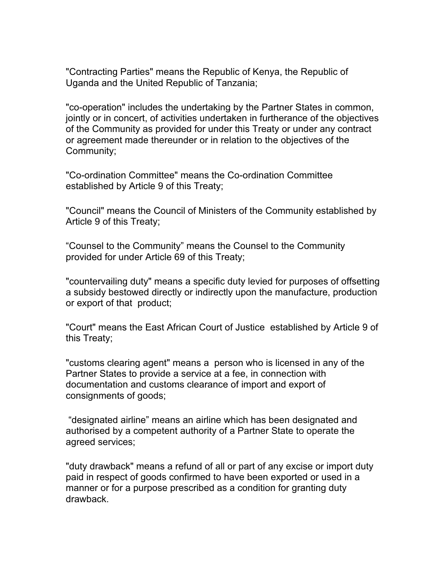"Contracting Parties" means the Republic of Kenya, the Republic of Uganda and the United Republic of Tanzania;

"co-operation" includes the undertaking by the Partner States in common, jointly or in concert, of activities undertaken in furtherance of the objectives of the Community as provided for under this Treaty or under any contract or agreement made thereunder or in relation to the objectives of the Community;

"Co-ordination Committee" means the Co-ordination Committee established by Article 9 of this Treaty;

"Council" means the Council of Ministers of the Community established by Article 9 of this Treaty;

"Counsel to the Community" means the Counsel to the Community provided for under Article 69 of this Treaty;

"countervailing duty" means a specific duty levied for purposes of offsetting a subsidy bestowed directly or indirectly upon the manufacture, production or export of that product;

"Court" means the East African Court of Justice established by Article 9 of this Treaty;

"customs clearing agent" means a person who is licensed in any of the Partner States to provide a service at a fee, in connection with documentation and customs clearance of import and export of consignments of goods;

 "designated airline" means an airline which has been designated and authorised by a competent authority of a Partner State to operate the agreed services;

"duty drawback" means a refund of all or part of any excise or import duty paid in respect of goods confirmed to have been exported or used in a manner or for a purpose prescribed as a condition for granting duty drawback.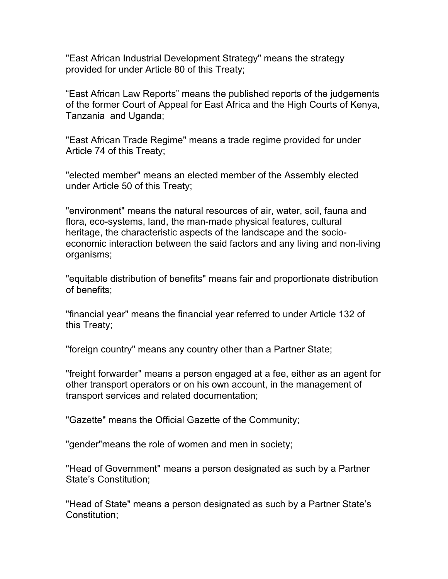"East African Industrial Development Strategy" means the strategy provided for under Article 80 of this Treaty;

"East African Law Reports" means the published reports of the judgements of the former Court of Appeal for East Africa and the High Courts of Kenya, Tanzania and Uganda;

"East African Trade Regime" means a trade regime provided for under Article 74 of this Treaty;

"elected member" means an elected member of the Assembly elected under Article 50 of this Treaty;

"environment" means the natural resources of air, water, soil, fauna and flora, eco-systems, land, the man-made physical features, cultural heritage, the characteristic aspects of the landscape and the socioeconomic interaction between the said factors and any living and non-living organisms;

"equitable distribution of benefits" means fair and proportionate distribution of benefits;

"financial year" means the financial year referred to under Article 132 of this Treaty;

"foreign country" means any country other than a Partner State;

"freight forwarder" means a person engaged at a fee, either as an agent for other transport operators or on his own account, in the management of transport services and related documentation;

"Gazette" means the Official Gazette of the Community;

"gender"means the role of women and men in society;

"Head of Government" means a person designated as such by a Partner State's Constitution;

"Head of State" means a person designated as such by a Partner State's Constitution;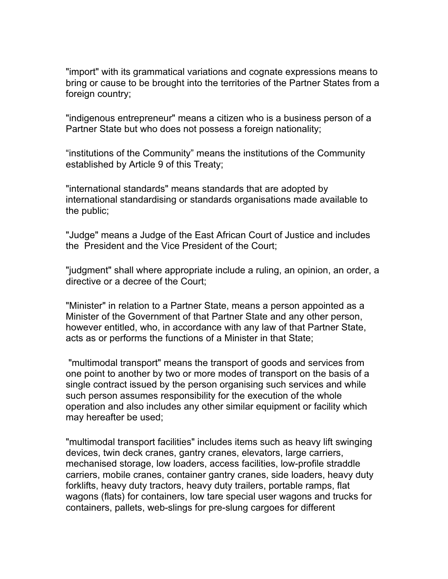"import" with its grammatical variations and cognate expressions means to bring or cause to be brought into the territories of the Partner States from a foreign country;

"indigenous entrepreneur" means a citizen who is a business person of a Partner State but who does not possess a foreign nationality;

"institutions of the Community" means the institutions of the Community established by Article 9 of this Treaty;

"international standards" means standards that are adopted by international standardising or standards organisations made available to the public;

"Judge" means a Judge of the East African Court of Justice and includes the President and the Vice President of the Court;

"judgment" shall where appropriate include a ruling, an opinion, an order, a directive or a decree of the Court;

"Minister" in relation to a Partner State, means a person appointed as a Minister of the Government of that Partner State and any other person, however entitled, who, in accordance with any law of that Partner State, acts as or performs the functions of a Minister in that State;

 "multimodal transport" means the transport of goods and services from one point to another by two or more modes of transport on the basis of a single contract issued by the person organising such services and while such person assumes responsibility for the execution of the whole operation and also includes any other similar equipment or facility which may hereafter be used;

"multimodal transport facilities" includes items such as heavy lift swinging devices, twin deck cranes, gantry cranes, elevators, large carriers, mechanised storage, low loaders, access facilities, low-profile straddle carriers, mobile cranes, container gantry cranes, side loaders, heavy duty forklifts, heavy duty tractors, heavy duty trailers, portable ramps, flat wagons (flats) for containers, low tare special user wagons and trucks for containers, pallets, web-slings for pre-slung cargoes for different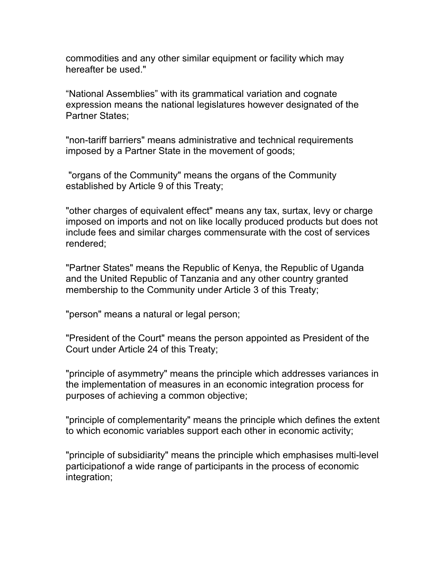commodities and any other similar equipment or facility which may hereafter be used."

"National Assemblies" with its grammatical variation and cognate expression means the national legislatures however designated of the Partner States;

"non-tariff barriers" means administrative and technical requirements imposed by a Partner State in the movement of goods;

 "organs of the Community" means the organs of the Community established by Article 9 of this Treaty;

"other charges of equivalent effect" means any tax, surtax, levy or charge imposed on imports and not on like locally produced products but does not include fees and similar charges commensurate with the cost of services rendered;

"Partner States" means the Republic of Kenya, the Republic of Uganda and the United Republic of Tanzania and any other country granted membership to the Community under Article 3 of this Treaty;

"person" means a natural or legal person;

"President of the Court" means the person appointed as President of the Court under Article 24 of this Treaty;

"principle of asymmetry" means the principle which addresses variances in the implementation of measures in an economic integration process for purposes of achieving a common objective;

"principle of complementarity" means the principle which defines the extent to which economic variables support each other in economic activity;

"principle of subsidiarity" means the principle which emphasises multi-level participationof a wide range of participants in the process of economic integration;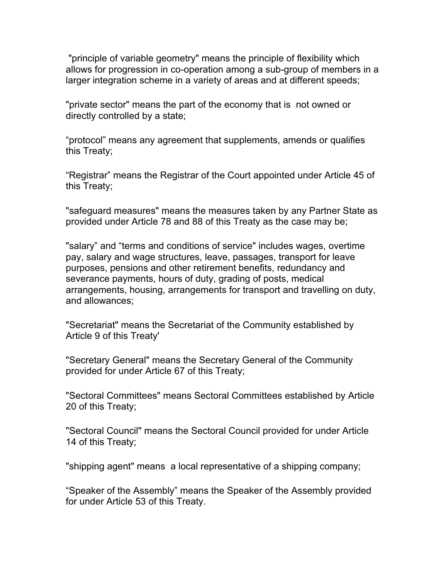"principle of variable geometry" means the principle of flexibility which allows for progression in co-operation among a sub-group of members in a larger integration scheme in a variety of areas and at different speeds;

"private sector" means the part of the economy that is not owned or directly controlled by a state;

"protocol" means any agreement that supplements, amends or qualifies this Treaty;

"Registrar" means the Registrar of the Court appointed under Article 45 of this Treaty;

"safeguard measures" means the measures taken by any Partner State as provided under Article 78 and 88 of this Treaty as the case may be;

"salary" and "terms and conditions of service" includes wages, overtime pay, salary and wage structures, leave, passages, transport for leave purposes, pensions and other retirement benefits, redundancy and severance payments, hours of duty, grading of posts, medical arrangements, housing, arrangements for transport and travelling on duty, and allowances;

"Secretariat" means the Secretariat of the Community established by Article 9 of this Treaty'

"Secretary General" means the Secretary General of the Community provided for under Article 67 of this Treaty;

"Sectoral Committees" means Sectoral Committees established by Article 20 of this Treaty;

"Sectoral Council" means the Sectoral Council provided for under Article 14 of this Treaty;

"shipping agent" means a local representative of a shipping company;

"Speaker of the Assembly" means the Speaker of the Assembly provided for under Article 53 of this Treaty.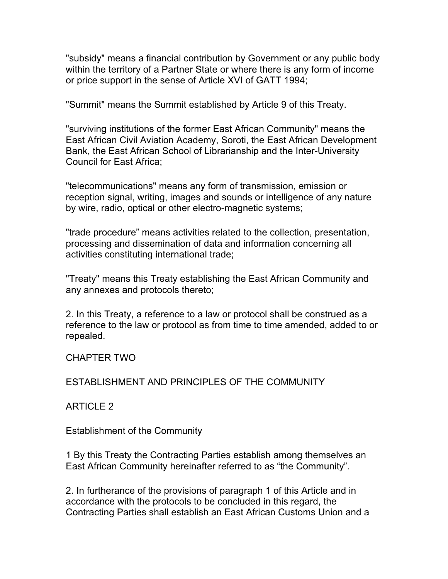"subsidy" means a financial contribution by Government or any public body within the territory of a Partner State or where there is any form of income or price support in the sense of Article XVI of GATT 1994;

"Summit" means the Summit established by Article 9 of this Treaty.

"surviving institutions of the former East African Community" means the East African Civil Aviation Academy, Soroti, the East African Development Bank, the East African School of Librarianship and the Inter-University Council for East Africa;

"telecommunications" means any form of transmission, emission or reception signal, writing, images and sounds or intelligence of any nature by wire, radio, optical or other electro-magnetic systems;

"trade procedure" means activities related to the collection, presentation, processing and dissemination of data and information concerning all activities constituting international trade;

"Treaty" means this Treaty establishing the East African Community and any annexes and protocols thereto;

2. In this Treaty, a reference to a law or protocol shall be construed as a reference to the law or protocol as from time to time amended, added to or repealed.

CHAPTER TWO

ESTABLISHMENT AND PRINCIPLES OF THE COMMUNITY

ARTICLE 2

Establishment of the Community

1 By this Treaty the Contracting Parties establish among themselves an East African Community hereinafter referred to as "the Community".

2. In furtherance of the provisions of paragraph 1 of this Article and in accordance with the protocols to be concluded in this regard, the Contracting Parties shall establish an East African Customs Union and a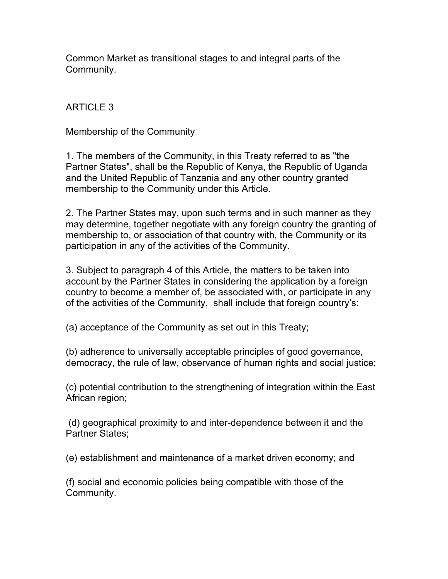Common Market as transitional stages to and integral parts of the Community.

ARTICLE 3

Membership of the Community

1. The members of the Community, in this Treaty referred to as "the Partner States", shall be the Republic of Kenya, the Republic of Uganda and the United Republic of Tanzania and any other country granted membership to the Community under this Article.

2. The Partner States may, upon such terms and in such manner as they may determine, together negotiate with any foreign country the granting of membership to, or association of that country with, the Community or its participation in any of the activities of the Community.

3. Subject to paragraph 4 of this Article, the matters to be taken into account by the Partner States in considering the application by a foreign country to become a member of, be associated with, or participate in any of the activities of the Community, shall include that foreign country's:

(a) acceptance of the Community as set out in this Treaty;

(b) adherence to universally acceptable principles of good governance, democracy, the rule of law, observance of human rights and social justice;

(c) potential contribution to the strengthening of integration within the East African region;

 (d) geographical proximity to and inter-dependence between it and the Partner States;

(e) establishment and maintenance of a market driven economy; and

(f) social and economic policies being compatible with those of the Community.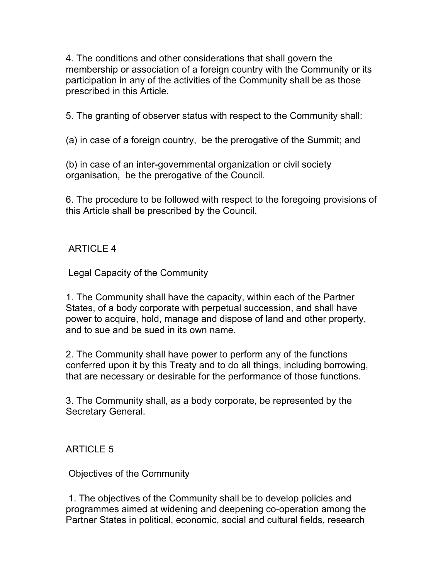4. The conditions and other considerations that shall govern the membership or association of a foreign country with the Community or its participation in any of the activities of the Community shall be as those prescribed in this Article.

5. The granting of observer status with respect to the Community shall:

(a) in case of a foreign country, be the prerogative of the Summit; and

(b) in case of an inter-governmental organization or civil society organisation, be the prerogative of the Council.

6. The procedure to be followed with respect to the foregoing provisions of this Article shall be prescribed by the Council.

ARTICLE 4

Legal Capacity of the Community

1. The Community shall have the capacity, within each of the Partner States, of a body corporate with perpetual succession, and shall have power to acquire, hold, manage and dispose of land and other property, and to sue and be sued in its own name.

2. The Community shall have power to perform any of the functions conferred upon it by this Treaty and to do all things, including borrowing, that are necessary or desirable for the performance of those functions.

3. The Community shall, as a body corporate, be represented by the Secretary General.

ARTICLE 5

Objectives of the Community

 1. The objectives of the Community shall be to develop policies and programmes aimed at widening and deepening co-operation among the Partner States in political, economic, social and cultural fields, research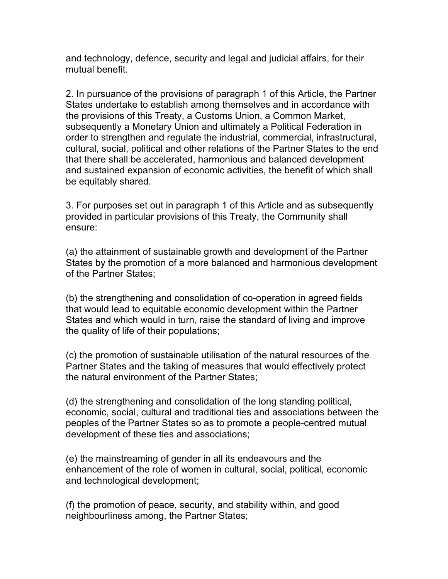and technology, defence, security and legal and judicial affairs, for their mutual benefit.

2. In pursuance of the provisions of paragraph 1 of this Article, the Partner States undertake to establish among themselves and in accordance with the provisions of this Treaty, a Customs Union, a Common Market, subsequently a Monetary Union and ultimately a Political Federation in order to strengthen and regulate the industrial, commercial, infrastructural, cultural, social, political and other relations of the Partner States to the end that there shall be accelerated, harmonious and balanced development and sustained expansion of economic activities, the benefit of which shall be equitably shared.

3. For purposes set out in paragraph 1 of this Article and as subsequently provided in particular provisions of this Treaty, the Community shall ensure:

(a) the attainment of sustainable growth and development of the Partner States by the promotion of a more balanced and harmonious development of the Partner States;

(b) the strengthening and consolidation of co-operation in agreed fields that would lead to equitable economic development within the Partner States and which would in turn, raise the standard of living and improve the quality of life of their populations;

(c) the promotion of sustainable utilisation of the natural resources of the Partner States and the taking of measures that would effectively protect the natural environment of the Partner States;

(d) the strengthening and consolidation of the long standing political, economic, social, cultural and traditional ties and associations between the peoples of the Partner States so as to promote a people-centred mutual development of these ties and associations;

(e) the mainstreaming of gender in all its endeavours and the enhancement of the role of women in cultural, social, political, economic and technological development;

(f) the promotion of peace, security, and stability within, and good neighbourliness among, the Partner States;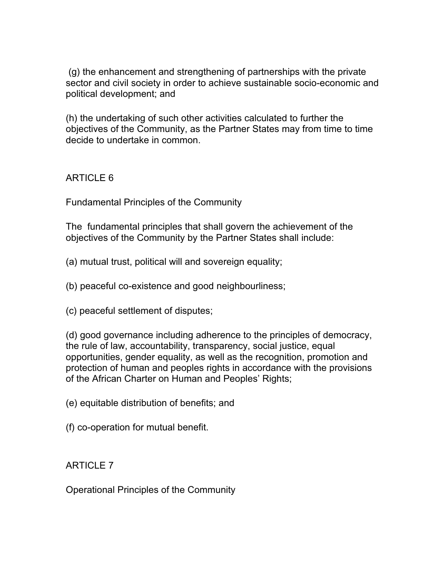(g) the enhancement and strengthening of partnerships with the private sector and civil society in order to achieve sustainable socio-economic and political development; and

(h) the undertaking of such other activities calculated to further the objectives of the Community, as the Partner States may from time to time decide to undertake in common.

ARTICLE 6

Fundamental Principles of the Community

The fundamental principles that shall govern the achievement of the objectives of the Community by the Partner States shall include:

- (a) mutual trust, political will and sovereign equality;
- (b) peaceful co-existence and good neighbourliness;
- (c) peaceful settlement of disputes;

(d) good governance including adherence to the principles of democracy, the rule of law, accountability, transparency, social justice, equal opportunities, gender equality, as well as the recognition, promotion and protection of human and peoples rights in accordance with the provisions of the African Charter on Human and Peoples' Rights;

(e) equitable distribution of benefits; and

(f) co-operation for mutual benefit.

ARTICLE 7

Operational Principles of the Community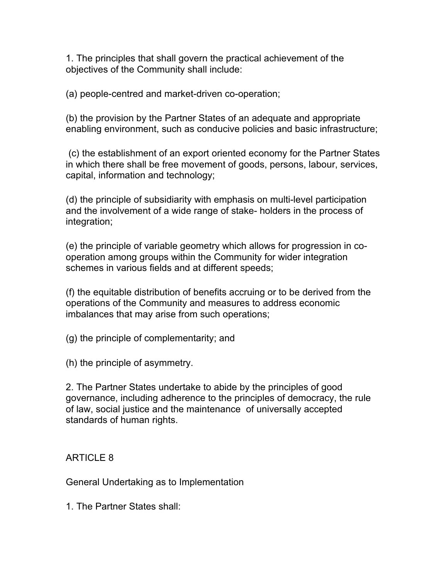1. The principles that shall govern the practical achievement of the objectives of the Community shall include:

(a) people-centred and market-driven co-operation;

(b) the provision by the Partner States of an adequate and appropriate enabling environment, such as conducive policies and basic infrastructure;

 (c) the establishment of an export oriented economy for the Partner States in which there shall be free movement of goods, persons, labour, services, capital, information and technology;

(d) the principle of subsidiarity with emphasis on multi-level participation and the involvement of a wide range of stake- holders in the process of integration;

(e) the principle of variable geometry which allows for progression in cooperation among groups within the Community for wider integration schemes in various fields and at different speeds;

(f) the equitable distribution of benefits accruing or to be derived from the operations of the Community and measures to address economic imbalances that may arise from such operations;

(g) the principle of complementarity; and

(h) the principle of asymmetry.

2. The Partner States undertake to abide by the principles of good governance, including adherence to the principles of democracy, the rule of law, social justice and the maintenance of universally accepted standards of human rights.

ARTICLE 8

General Undertaking as to Implementation

1. The Partner States shall: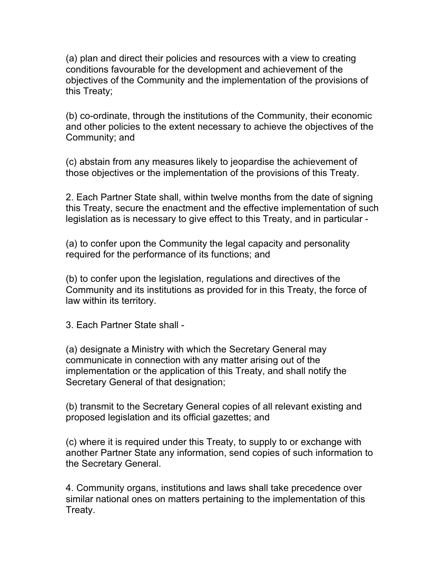(a) plan and direct their policies and resources with a view to creating conditions favourable for the development and achievement of the objectives of the Community and the implementation of the provisions of this Treaty;

(b) co-ordinate, through the institutions of the Community, their economic and other policies to the extent necessary to achieve the objectives of the Community; and

(c) abstain from any measures likely to jeopardise the achievement of those objectives or the implementation of the provisions of this Treaty.

2. Each Partner State shall, within twelve months from the date of signing this Treaty, secure the enactment and the effective implementation of such legislation as is necessary to give effect to this Treaty, and in particular -

(a) to confer upon the Community the legal capacity and personality required for the performance of its functions; and

(b) to confer upon the legislation, regulations and directives of the Community and its institutions as provided for in this Treaty, the force of law within its territory.

3. Each Partner State shall -

(a) designate a Ministry with which the Secretary General may communicate in connection with any matter arising out of the implementation or the application of this Treaty, and shall notify the Secretary General of that designation;

(b) transmit to the Secretary General copies of all relevant existing and proposed legislation and its official gazettes; and

(c) where it is required under this Treaty, to supply to or exchange with another Partner State any information, send copies of such information to the Secretary General.

4. Community organs, institutions and laws shall take precedence over similar national ones on matters pertaining to the implementation of this Treaty.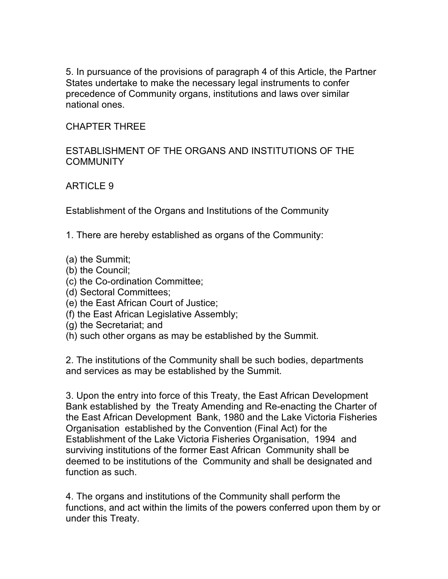5. In pursuance of the provisions of paragraph 4 of this Article, the Partner States undertake to make the necessary legal instruments to confer precedence of Community organs, institutions and laws over similar national ones.

## CHAPTER THREE

#### ESTABLISHMENT OF THE ORGANS AND INSTITUTIONS OF THE **COMMUNITY**

#### ARTICLE 9

Establishment of the Organs and Institutions of the Community

1. There are hereby established as organs of the Community:

- (a) the Summit;
- (b) the Council;
- (c) the Co-ordination Committee;
- (d) Sectoral Committees;
- (e) the East African Court of Justice;
- (f) the East African Legislative Assembly;
- (g) the Secretariat; and
- (h) such other organs as may be established by the Summit.

2. The institutions of the Community shall be such bodies, departments and services as may be established by the Summit.

3. Upon the entry into force of this Treaty, the East African Development Bank established by the Treaty Amending and Re-enacting the Charter of the East African Development Bank, 1980 and the Lake Victoria Fisheries Organisation established by the Convention (Final Act) for the Establishment of the Lake Victoria Fisheries Organisation, 1994 and surviving institutions of the former East African Community shall be deemed to be institutions of the Community and shall be designated and function as such.

4. The organs and institutions of the Community shall perform the functions, and act within the limits of the powers conferred upon them by or under this Treaty.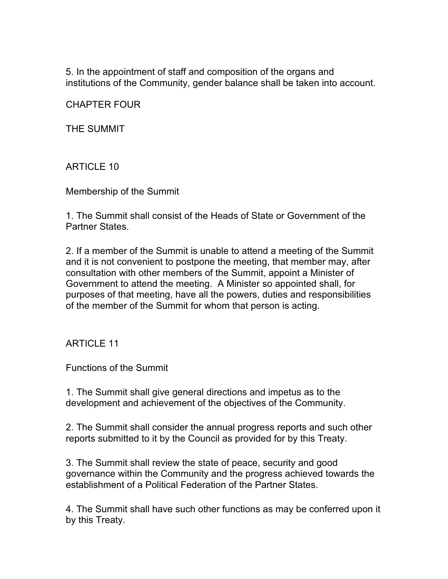5. In the appointment of staff and composition of the organs and institutions of the Community, gender balance shall be taken into account.

CHAPTER FOUR

THE SUMMIT

ARTICLE 10

Membership of the Summit

1. The Summit shall consist of the Heads of State or Government of the Partner States.

2. If a member of the Summit is unable to attend a meeting of the Summit and it is not convenient to postpone the meeting, that member may, after consultation with other members of the Summit, appoint a Minister of Government to attend the meeting. A Minister so appointed shall, for purposes of that meeting, have all the powers, duties and responsibilities of the member of the Summit for whom that person is acting.

**ARTICLE 11** 

Functions of the Summit

1. The Summit shall give general directions and impetus as to the development and achievement of the objectives of the Community.

2. The Summit shall consider the annual progress reports and such other reports submitted to it by the Council as provided for by this Treaty.

3. The Summit shall review the state of peace, security and good governance within the Community and the progress achieved towards the establishment of a Political Federation of the Partner States.

4. The Summit shall have such other functions as may be conferred upon it by this Treaty.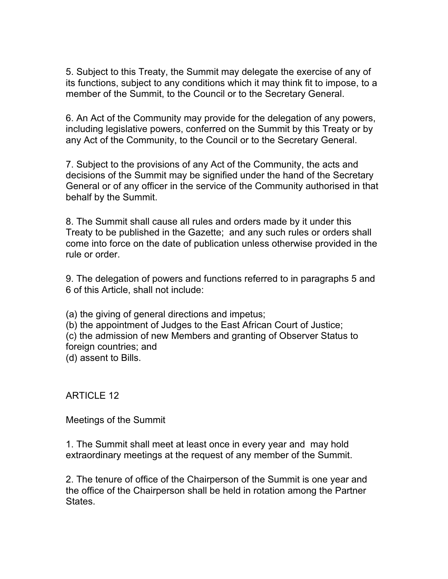5. Subject to this Treaty, the Summit may delegate the exercise of any of its functions, subject to any conditions which it may think fit to impose, to a member of the Summit, to the Council or to the Secretary General.

6. An Act of the Community may provide for the delegation of any powers, including legislative powers, conferred on the Summit by this Treaty or by any Act of the Community, to the Council or to the Secretary General.

7. Subject to the provisions of any Act of the Community, the acts and decisions of the Summit may be signified under the hand of the Secretary General or of any officer in the service of the Community authorised in that behalf by the Summit.

8. The Summit shall cause all rules and orders made by it under this Treaty to be published in the Gazette; and any such rules or orders shall come into force on the date of publication unless otherwise provided in the rule or order.

9. The delegation of powers and functions referred to in paragraphs 5 and 6 of this Article, shall not include:

(a) the giving of general directions and impetus;

(b) the appointment of Judges to the East African Court of Justice;

(c) the admission of new Members and granting of Observer Status to foreign countries; and

(d) assent to Bills.

**ARTICLE 12** 

Meetings of the Summit

1. The Summit shall meet at least once in every year and may hold extraordinary meetings at the request of any member of the Summit.

2. The tenure of office of the Chairperson of the Summit is one year and the office of the Chairperson shall be held in rotation among the Partner States.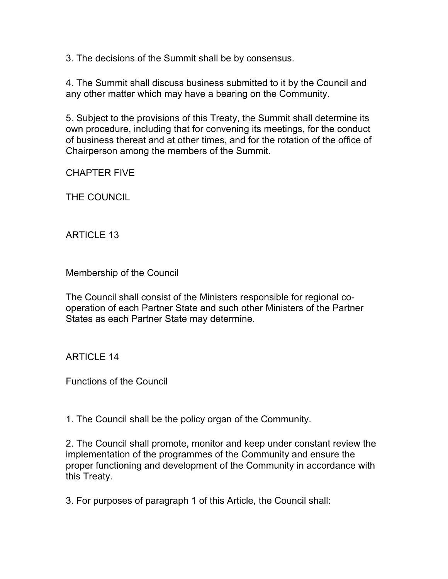3. The decisions of the Summit shall be by consensus.

4. The Summit shall discuss business submitted to it by the Council and any other matter which may have a bearing on the Community.

5. Subject to the provisions of this Treaty, the Summit shall determine its own procedure, including that for convening its meetings, for the conduct of business thereat and at other times, and for the rotation of the office of Chairperson among the members of the Summit.

CHAPTER FIVE

THE COUNCIL

ARTICLE 13

Membership of the Council

The Council shall consist of the Ministers responsible for regional cooperation of each Partner State and such other Ministers of the Partner States as each Partner State may determine.

ARTICLE 14

Functions of the Council

1. The Council shall be the policy organ of the Community.

2. The Council shall promote, monitor and keep under constant review the implementation of the programmes of the Community and ensure the proper functioning and development of the Community in accordance with this Treaty.

3. For purposes of paragraph 1 of this Article, the Council shall: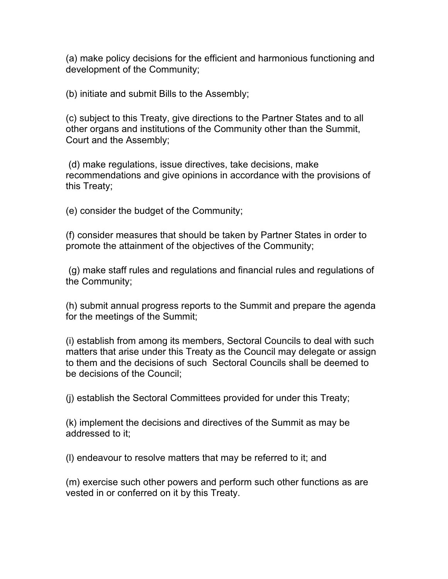(a) make policy decisions for the efficient and harmonious functioning and development of the Community;

(b) initiate and submit Bills to the Assembly;

(c) subject to this Treaty, give directions to the Partner States and to all other organs and institutions of the Community other than the Summit, Court and the Assembly;

 (d) make regulations, issue directives, take decisions, make recommendations and give opinions in accordance with the provisions of this Treaty;

(e) consider the budget of the Community;

(f) consider measures that should be taken by Partner States in order to promote the attainment of the objectives of the Community;

 (g) make staff rules and regulations and financial rules and regulations of the Community;

(h) submit annual progress reports to the Summit and prepare the agenda for the meetings of the Summit;

(i) establish from among its members, Sectoral Councils to deal with such matters that arise under this Treaty as the Council may delegate or assign to them and the decisions of such Sectoral Councils shall be deemed to be decisions of the Council;

(j) establish the Sectoral Committees provided for under this Treaty;

(k) implement the decisions and directives of the Summit as may be addressed to it;

(l) endeavour to resolve matters that may be referred to it; and

(m) exercise such other powers and perform such other functions as are vested in or conferred on it by this Treaty.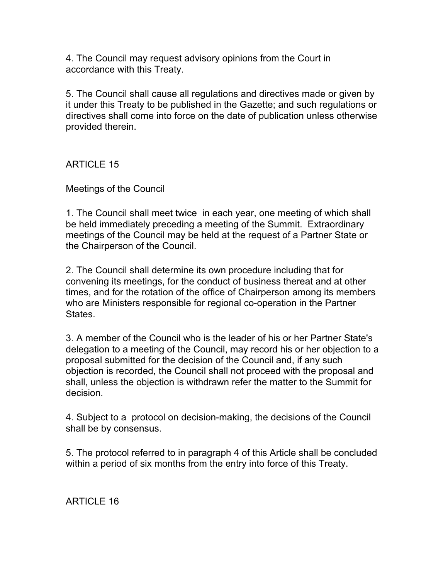4. The Council may request advisory opinions from the Court in accordance with this Treaty.

5. The Council shall cause all regulations and directives made or given by it under this Treaty to be published in the Gazette; and such regulations or directives shall come into force on the date of publication unless otherwise provided therein.

ARTICLE 15

Meetings of the Council

1. The Council shall meet twice in each year, one meeting of which shall be held immediately preceding a meeting of the Summit. Extraordinary meetings of the Council may be held at the request of a Partner State or the Chairperson of the Council.

2. The Council shall determine its own procedure including that for convening its meetings, for the conduct of business thereat and at other times, and for the rotation of the office of Chairperson among its members who are Ministers responsible for regional co-operation in the Partner States.

3. A member of the Council who is the leader of his or her Partner State's delegation to a meeting of the Council, may record his or her objection to a proposal submitted for the decision of the Council and, if any such objection is recorded, the Council shall not proceed with the proposal and shall, unless the objection is withdrawn refer the matter to the Summit for decision.

4. Subject to a protocol on decision-making, the decisions of the Council shall be by consensus.

5. The protocol referred to in paragraph 4 of this Article shall be concluded within a period of six months from the entry into force of this Treaty.

ARTICLE 16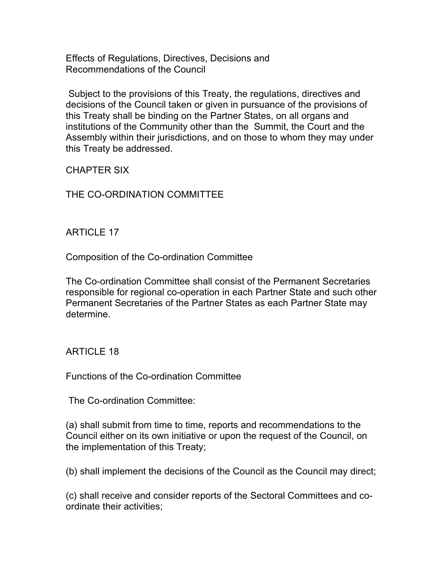Effects of Regulations, Directives, Decisions and Recommendations of the Council

 Subject to the provisions of this Treaty, the regulations, directives and decisions of the Council taken or given in pursuance of the provisions of this Treaty shall be binding on the Partner States, on all organs and institutions of the Community other than the Summit, the Court and the Assembly within their jurisdictions, and on those to whom they may under this Treaty be addressed.

CHAPTER SIX

# THE CO-ORDINATION COMMITTEE

ARTICLE 17

Composition of the Co-ordination Committee

The Co-ordination Committee shall consist of the Permanent Secretaries responsible for regional co-operation in each Partner State and such other Permanent Secretaries of the Partner States as each Partner State may determine.

# ARTICLE 18

Functions of the Co-ordination Committee

The Co-ordination Committee:

(a) shall submit from time to time, reports and recommendations to the Council either on its own initiative or upon the request of the Council, on the implementation of this Treaty;

(b) shall implement the decisions of the Council as the Council may direct;

(c) shall receive and consider reports of the Sectoral Committees and coordinate their activities;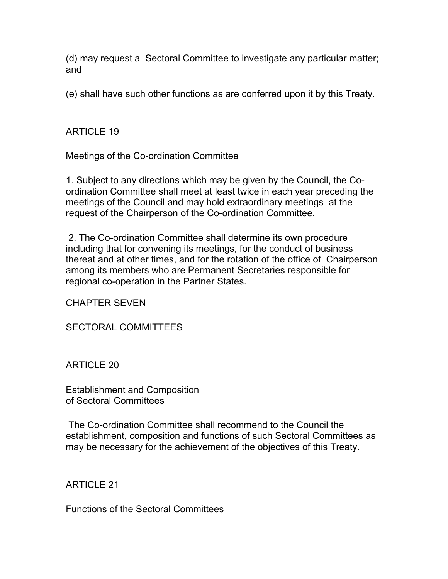(d) may request a Sectoral Committee to investigate any particular matter; and

(e) shall have such other functions as are conferred upon it by this Treaty.

## ARTICLE 19

Meetings of the Co-ordination Committee

1. Subject to any directions which may be given by the Council, the Coordination Committee shall meet at least twice in each year preceding the meetings of the Council and may hold extraordinary meetings at the request of the Chairperson of the Co-ordination Committee.

 2. The Co-ordination Committee shall determine its own procedure including that for convening its meetings, for the conduct of business thereat and at other times, and for the rotation of the office of Chairperson among its members who are Permanent Secretaries responsible for regional co-operation in the Partner States.

CHAPTER SEVEN

# SECTORAL COMMITTEES

ARTICLE 20

Establishment and Composition of Sectoral Committees

 The Co-ordination Committee shall recommend to the Council the establishment, composition and functions of such Sectoral Committees as may be necessary for the achievement of the objectives of this Treaty.

ARTICLE 21

Functions of the Sectoral Committees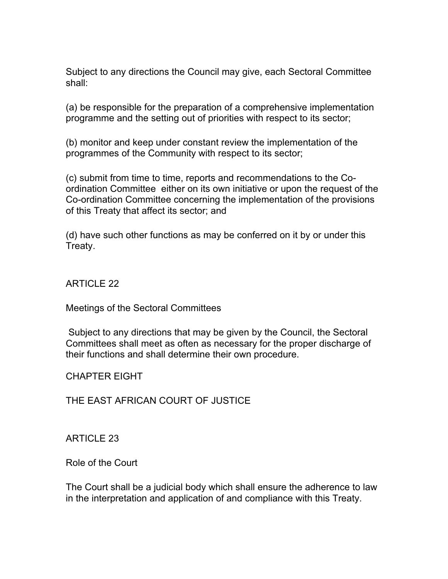Subject to any directions the Council may give, each Sectoral Committee shall:

(a) be responsible for the preparation of a comprehensive implementation programme and the setting out of priorities with respect to its sector;

(b) monitor and keep under constant review the implementation of the programmes of the Community with respect to its sector;

(c) submit from time to time, reports and recommendations to the Coordination Committee either on its own initiative or upon the request of the Co-ordination Committee concerning the implementation of the provisions of this Treaty that affect its sector; and

(d) have such other functions as may be conferred on it by or under this Treaty.

ARTICLE 22

Meetings of the Sectoral Committees

 Subject to any directions that may be given by the Council, the Sectoral Committees shall meet as often as necessary for the proper discharge of their functions and shall determine their own procedure.

CHAPTER EIGHT

THE EAST AFRICAN COURT OF JUSTICE

ARTICLE 23

Role of the Court

The Court shall be a judicial body which shall ensure the adherence to law in the interpretation and application of and compliance with this Treaty.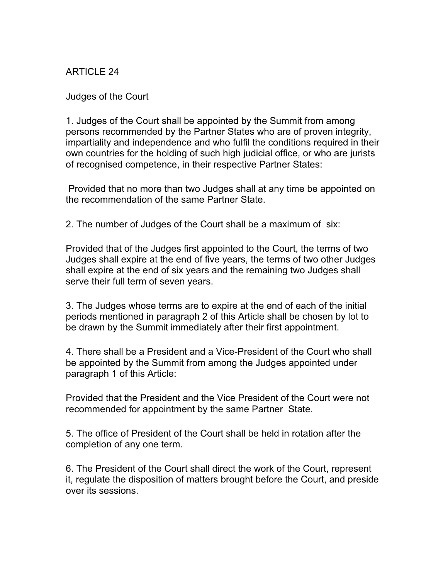ARTICLE 24

Judges of the Court

1. Judges of the Court shall be appointed by the Summit from among persons recommended by the Partner States who are of proven integrity, impartiality and independence and who fulfil the conditions required in their own countries for the holding of such high judicial office, or who are jurists of recognised competence, in their respective Partner States:

 Provided that no more than two Judges shall at any time be appointed on the recommendation of the same Partner State.

2. The number of Judges of the Court shall be a maximum of six:

Provided that of the Judges first appointed to the Court, the terms of two Judges shall expire at the end of five years, the terms of two other Judges shall expire at the end of six years and the remaining two Judges shall serve their full term of seven years.

3. The Judges whose terms are to expire at the end of each of the initial periods mentioned in paragraph 2 of this Article shall be chosen by lot to be drawn by the Summit immediately after their first appointment.

4. There shall be a President and a Vice-President of the Court who shall be appointed by the Summit from among the Judges appointed under paragraph 1 of this Article:

Provided that the President and the Vice President of the Court were not recommended for appointment by the same Partner State.

5. The office of President of the Court shall be held in rotation after the completion of any one term.

6. The President of the Court shall direct the work of the Court, represent it, regulate the disposition of matters brought before the Court, and preside over its sessions.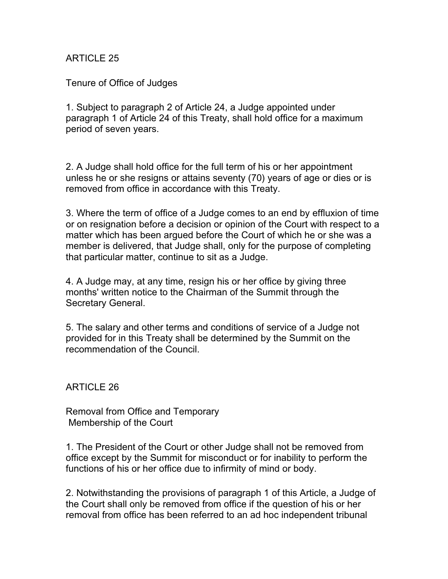#### ARTICLE 25

Tenure of Office of Judges

1. Subject to paragraph 2 of Article 24, a Judge appointed under paragraph 1 of Article 24 of this Treaty, shall hold office for a maximum period of seven years.

2. A Judge shall hold office for the full term of his or her appointment unless he or she resigns or attains seventy (70) years of age or dies or is removed from office in accordance with this Treaty.

3. Where the term of office of a Judge comes to an end by effluxion of time or on resignation before a decision or opinion of the Court with respect to a matter which has been argued before the Court of which he or she was a member is delivered, that Judge shall, only for the purpose of completing that particular matter, continue to sit as a Judge.

4. A Judge may, at any time, resign his or her office by giving three months' written notice to the Chairman of the Summit through the Secretary General.

5. The salary and other terms and conditions of service of a Judge not provided for in this Treaty shall be determined by the Summit on the recommendation of the Council.

ARTICLE 26

Removal from Office and Temporary Membership of the Court

1. The President of the Court or other Judge shall not be removed from office except by the Summit for misconduct or for inability to perform the functions of his or her office due to infirmity of mind or body.

2. Notwithstanding the provisions of paragraph 1 of this Article, a Judge of the Court shall only be removed from office if the question of his or her removal from office has been referred to an ad hoc independent tribunal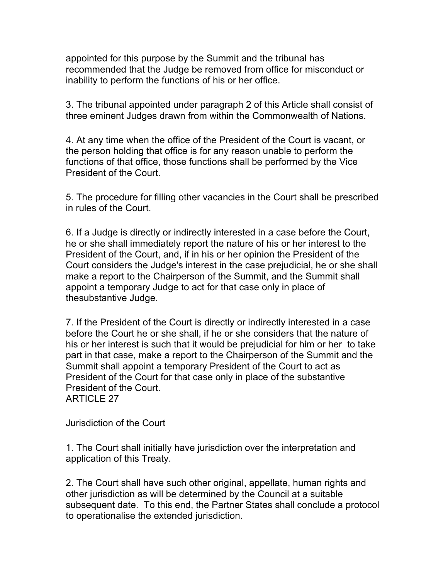appointed for this purpose by the Summit and the tribunal has recommended that the Judge be removed from office for misconduct or inability to perform the functions of his or her office.

3. The tribunal appointed under paragraph 2 of this Article shall consist of three eminent Judges drawn from within the Commonwealth of Nations.

4. At any time when the office of the President of the Court is vacant, or the person holding that office is for any reason unable to perform the functions of that office, those functions shall be performed by the Vice President of the Court.

5. The procedure for filling other vacancies in the Court shall be prescribed in rules of the Court.

6. If a Judge is directly or indirectly interested in a case before the Court, he or she shall immediately report the nature of his or her interest to the President of the Court, and, if in his or her opinion the President of the Court considers the Judge's interest in the case prejudicial, he or she shall make a report to the Chairperson of the Summit, and the Summit shall appoint a temporary Judge to act for that case only in place of thesubstantive Judge.

7. If the President of the Court is directly or indirectly interested in a case before the Court he or she shall, if he or she considers that the nature of his or her interest is such that it would be prejudicial for him or her to take part in that case, make a report to the Chairperson of the Summit and the Summit shall appoint a temporary President of the Court to act as President of the Court for that case only in place of the substantive President of the Court. ARTICLE 27

Jurisdiction of the Court

1. The Court shall initially have jurisdiction over the interpretation and application of this Treaty.

2. The Court shall have such other original, appellate, human rights and other jurisdiction as will be determined by the Council at a suitable subsequent date. To this end, the Partner States shall conclude a protocol to operationalise the extended jurisdiction.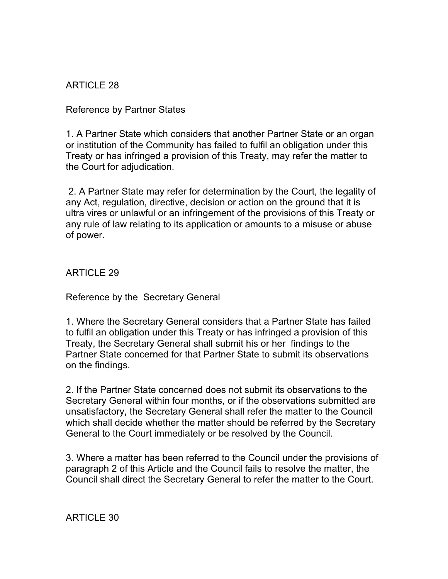ARTICLE 28

Reference by Partner States

1. A Partner State which considers that another Partner State or an organ or institution of the Community has failed to fulfil an obligation under this Treaty or has infringed a provision of this Treaty, may refer the matter to the Court for adjudication.

 2. A Partner State may refer for determination by the Court, the legality of any Act, regulation, directive, decision or action on the ground that it is ultra vires or unlawful or an infringement of the provisions of this Treaty or any rule of law relating to its application or amounts to a misuse or abuse of power.

ARTICLE 29

Reference by the Secretary General

1. Where the Secretary General considers that a Partner State has failed to fulfil an obligation under this Treaty or has infringed a provision of this Treaty, the Secretary General shall submit his or her findings to the Partner State concerned for that Partner State to submit its observations on the findings.

2. If the Partner State concerned does not submit its observations to the Secretary General within four months, or if the observations submitted are unsatisfactory, the Secretary General shall refer the matter to the Council which shall decide whether the matter should be referred by the Secretary General to the Court immediately or be resolved by the Council.

3. Where a matter has been referred to the Council under the provisions of paragraph 2 of this Article and the Council fails to resolve the matter, the Council shall direct the Secretary General to refer the matter to the Court.

ARTICLE 30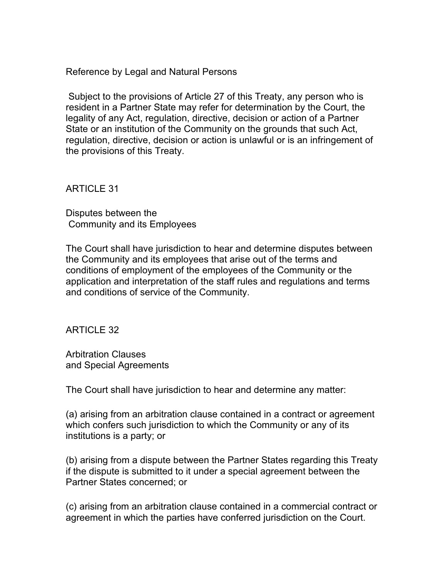Reference by Legal and Natural Persons

 Subject to the provisions of Article 27 of this Treaty, any person who is resident in a Partner State may refer for determination by the Court, the legality of any Act, regulation, directive, decision or action of a Partner State or an institution of the Community on the grounds that such Act, regulation, directive, decision or action is unlawful or is an infringement of the provisions of this Treaty.

ARTICLE 31

Disputes between the Community and its Employees

The Court shall have jurisdiction to hear and determine disputes between the Community and its employees that arise out of the terms and conditions of employment of the employees of the Community or the application and interpretation of the staff rules and regulations and terms and conditions of service of the Community.

ARTICLE 32

Arbitration Clauses and Special Agreements

The Court shall have jurisdiction to hear and determine any matter:

(a) arising from an arbitration clause contained in a contract or agreement which confers such jurisdiction to which the Community or any of its institutions is a party; or

(b) arising from a dispute between the Partner States regarding this Treaty if the dispute is submitted to it under a special agreement between the Partner States concerned; or

(c) arising from an arbitration clause contained in a commercial contract or agreement in which the parties have conferred jurisdiction on the Court.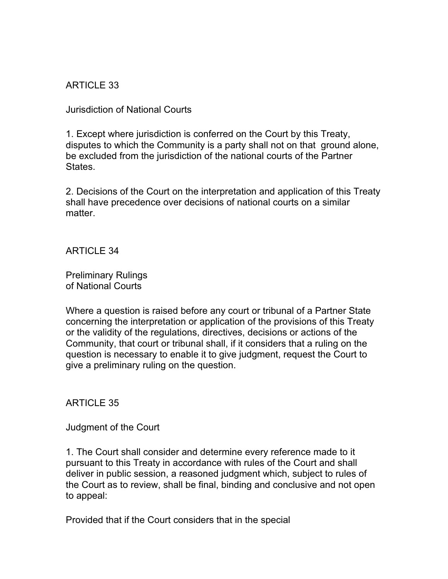## ARTICLE 33

Jurisdiction of National Courts

1. Except where jurisdiction is conferred on the Court by this Treaty, disputes to which the Community is a party shall not on that ground alone, be excluded from the jurisdiction of the national courts of the Partner States.

2. Decisions of the Court on the interpretation and application of this Treaty shall have precedence over decisions of national courts on a similar matter.

ARTICLE 34

Preliminary Rulings of National Courts

Where a question is raised before any court or tribunal of a Partner State concerning the interpretation or application of the provisions of this Treaty or the validity of the regulations, directives, decisions or actions of the Community, that court or tribunal shall, if it considers that a ruling on the question is necessary to enable it to give judgment, request the Court to give a preliminary ruling on the question.

ARTICLE 35

Judgment of the Court

1. The Court shall consider and determine every reference made to it pursuant to this Treaty in accordance with rules of the Court and shall deliver in public session, a reasoned judgment which, subject to rules of the Court as to review, shall be final, binding and conclusive and not open to appeal:

Provided that if the Court considers that in the special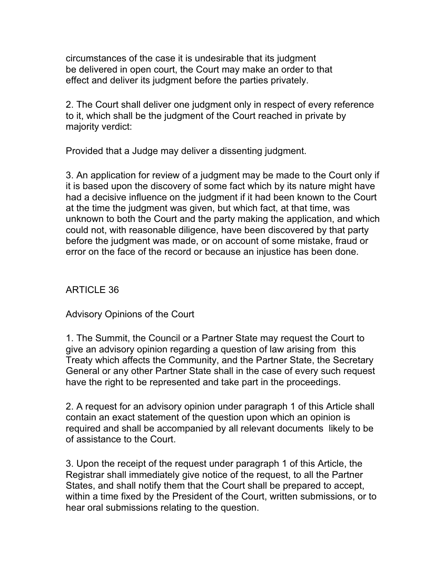circumstances of the case it is undesirable that its judgment be delivered in open court, the Court may make an order to that effect and deliver its judgment before the parties privately.

2. The Court shall deliver one judgment only in respect of every reference to it, which shall be the judgment of the Court reached in private by majority verdict:

Provided that a Judge may deliver a dissenting judgment.

3. An application for review of a judgment may be made to the Court only if it is based upon the discovery of some fact which by its nature might have had a decisive influence on the judgment if it had been known to the Court at the time the judgment was given, but which fact, at that time, was unknown to both the Court and the party making the application, and which could not, with reasonable diligence, have been discovered by that party before the judgment was made, or on account of some mistake, fraud or error on the face of the record or because an injustice has been done.

ARTICLE 36

Advisory Opinions of the Court

1. The Summit, the Council or a Partner State may request the Court to give an advisory opinion regarding a question of law arising from this Treaty which affects the Community, and the Partner State, the Secretary General or any other Partner State shall in the case of every such request have the right to be represented and take part in the proceedings.

2. A request for an advisory opinion under paragraph 1 of this Article shall contain an exact statement of the question upon which an opinion is required and shall be accompanied by all relevant documents likely to be of assistance to the Court.

3. Upon the receipt of the request under paragraph 1 of this Article, the Registrar shall immediately give notice of the request, to all the Partner States, and shall notify them that the Court shall be prepared to accept, within a time fixed by the President of the Court, written submissions, or to hear oral submissions relating to the question.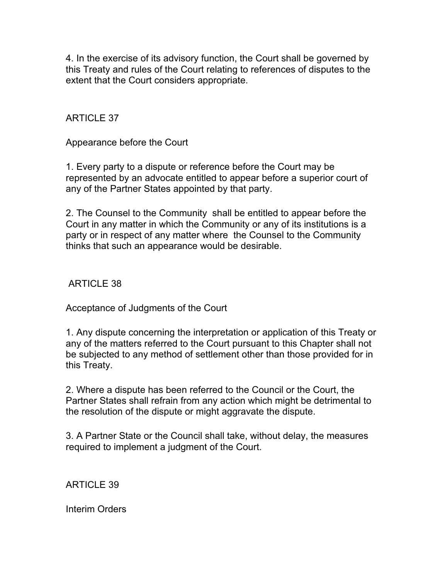4. In the exercise of its advisory function, the Court shall be governed by this Treaty and rules of the Court relating to references of disputes to the extent that the Court considers appropriate.

ARTICLE 37

Appearance before the Court

1. Every party to a dispute or reference before the Court may be represented by an advocate entitled to appear before a superior court of any of the Partner States appointed by that party.

2. The Counsel to the Community shall be entitled to appear before the Court in any matter in which the Community or any of its institutions is a party or in respect of any matter where the Counsel to the Community thinks that such an appearance would be desirable.

ARTICLE 38

Acceptance of Judgments of the Court

1. Any dispute concerning the interpretation or application of this Treaty or any of the matters referred to the Court pursuant to this Chapter shall not be subjected to any method of settlement other than those provided for in this Treaty.

2. Where a dispute has been referred to the Council or the Court, the Partner States shall refrain from any action which might be detrimental to the resolution of the dispute or might aggravate the dispute.

3. A Partner State or the Council shall take, without delay, the measures required to implement a judgment of the Court.

ARTICLE 39

Interim Orders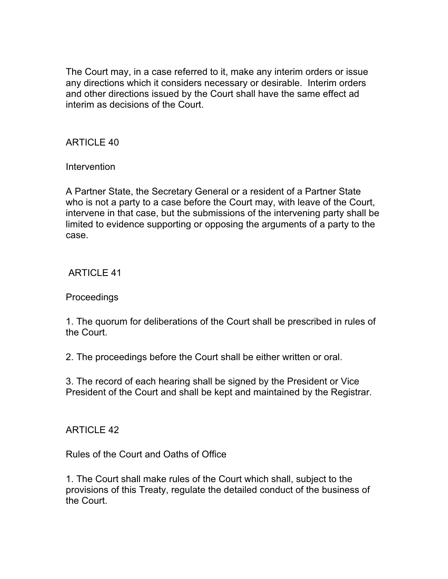The Court may, in a case referred to it, make any interim orders or issue any directions which it considers necessary or desirable. Interim orders and other directions issued by the Court shall have the same effect ad interim as decisions of the Court.

ARTICLE 40

**Intervention** 

A Partner State, the Secretary General or a resident of a Partner State who is not a party to a case before the Court may, with leave of the Court, intervene in that case, but the submissions of the intervening party shall be limited to evidence supporting or opposing the arguments of a party to the case.

ARTICLE 41

Proceedings

1. The quorum for deliberations of the Court shall be prescribed in rules of the Court.

2. The proceedings before the Court shall be either written or oral.

3. The record of each hearing shall be signed by the President or Vice President of the Court and shall be kept and maintained by the Registrar.

ARTICLE 42

Rules of the Court and Oaths of Office

1. The Court shall make rules of the Court which shall, subject to the provisions of this Treaty, regulate the detailed conduct of the business of the Court.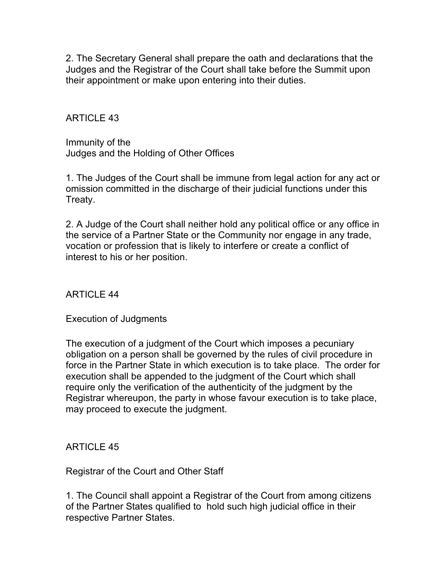2. The Secretary General shall prepare the oath and declarations that the Judges and the Registrar of the Court shall take before the Summit upon their appointment or make upon entering into their duties.

**ARTICLE 43** 

Immunity of the Judges and the Holding of Other Offices

1. The Judges of the Court shall be immune from legal action for any act or omission committed in the discharge of their judicial functions under this Treaty.

2. A Judge of the Court shall neither hold any political office or any office in the service of a Partner State or the Community nor engage in any trade, vocation or profession that is likely to interfere or create a conflict of interest to his or her position.

**ARTICLE 44** 

Execution of Judgments

The execution of a judgment of the Court which imposes a pecuniary obligation on a person shall be governed by the rules of civil procedure in force in the Partner State in which execution is to take place. The order for execution shall be appended to the judgment of the Court which shall require only the verification of the authenticity of the judgment by the Registrar whereupon, the party in whose favour execution is to take place, may proceed to execute the judgment.

ARTICLE 45

Registrar of the Court and Other Staff

1. The Council shall appoint a Registrar of the Court from among citizens of the Partner States qualified to hold such high judicial office in their respective Partner States.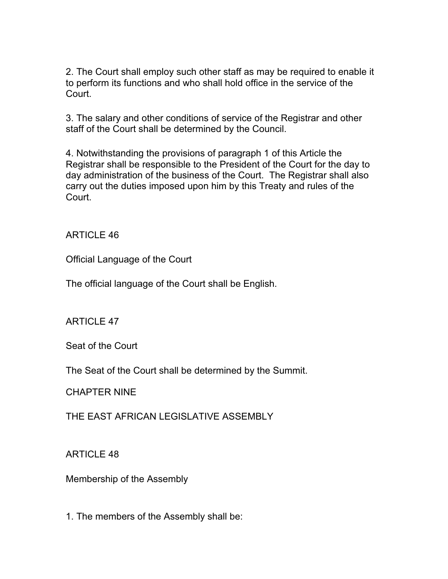2. The Court shall employ such other staff as may be required to enable it to perform its functions and who shall hold office in the service of the Court.

3. The salary and other conditions of service of the Registrar and other staff of the Court shall be determined by the Council.

4. Notwithstanding the provisions of paragraph 1 of this Article the Registrar shall be responsible to the President of the Court for the day to day administration of the business of the Court. The Registrar shall also carry out the duties imposed upon him by this Treaty and rules of the Court.

# ARTICLE 46

Official Language of the Court

The official language of the Court shall be English.

# ARTICLE 47

Seat of the Court

The Seat of the Court shall be determined by the Summit.

CHAPTER NINE

THE EAST AFRICAN LEGISLATIVE ASSEMBLY

ARTICLE 48

Membership of the Assembly

1. The members of the Assembly shall be: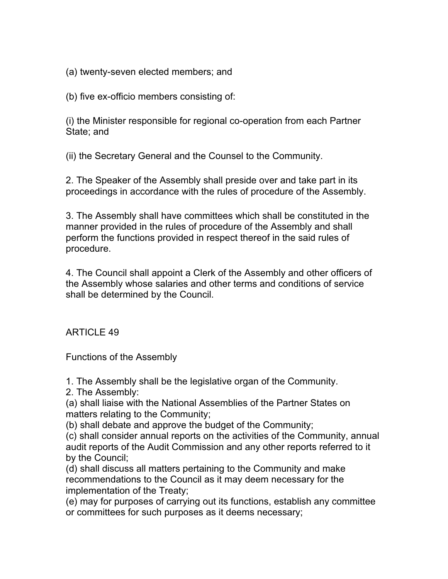(a) twenty-seven elected members; and

(b) five ex-officio members consisting of:

(i) the Minister responsible for regional co-operation from each Partner State; and

(ii) the Secretary General and the Counsel to the Community.

2. The Speaker of the Assembly shall preside over and take part in its proceedings in accordance with the rules of procedure of the Assembly.

3. The Assembly shall have committees which shall be constituted in the manner provided in the rules of procedure of the Assembly and shall perform the functions provided in respect thereof in the said rules of procedure.

4. The Council shall appoint a Clerk of the Assembly and other officers of the Assembly whose salaries and other terms and conditions of service shall be determined by the Council.

 $ARTICI F 49$ 

Functions of the Assembly

1. The Assembly shall be the legislative organ of the Community.

2. The Assembly:

(a) shall liaise with the National Assemblies of the Partner States on matters relating to the Community;

(b) shall debate and approve the budget of the Community;

(c) shall consider annual reports on the activities of the Community, annual audit reports of the Audit Commission and any other reports referred to it by the Council;

(d) shall discuss all matters pertaining to the Community and make recommendations to the Council as it may deem necessary for the implementation of the Treaty;

(e) may for purposes of carrying out its functions, establish any committee or committees for such purposes as it deems necessary;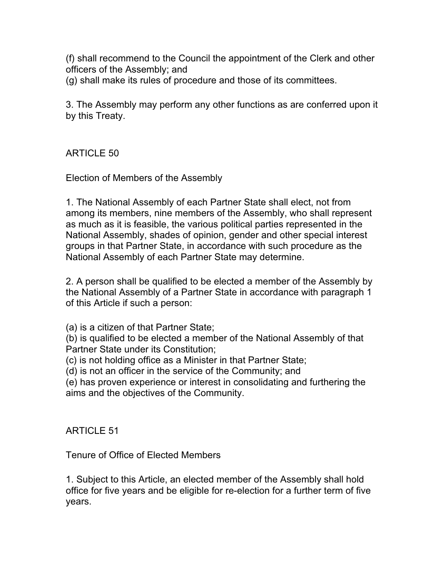(f) shall recommend to the Council the appointment of the Clerk and other officers of the Assembly; and

(g) shall make its rules of procedure and those of its committees.

3. The Assembly may perform any other functions as are conferred upon it by this Treaty.

ARTICLE 50

Election of Members of the Assembly

1. The National Assembly of each Partner State shall elect, not from among its members, nine members of the Assembly, who shall represent as much as it is feasible, the various political parties represented in the National Assembly, shades of opinion, gender and other special interest groups in that Partner State, in accordance with such procedure as the National Assembly of each Partner State may determine.

2. A person shall be qualified to be elected a member of the Assembly by the National Assembly of a Partner State in accordance with paragraph 1 of this Article if such a person:

(a) is a citizen of that Partner State;

(b) is qualified to be elected a member of the National Assembly of that Partner State under its Constitution;

(c) is not holding office as a Minister in that Partner State;

(d) is not an officer in the service of the Community; and

(e) has proven experience or interest in consolidating and furthering the aims and the objectives of the Community.

ARTICLE 51

Tenure of Office of Elected Members

1. Subject to this Article, an elected member of the Assembly shall hold office for five years and be eligible for re-election for a further term of five years.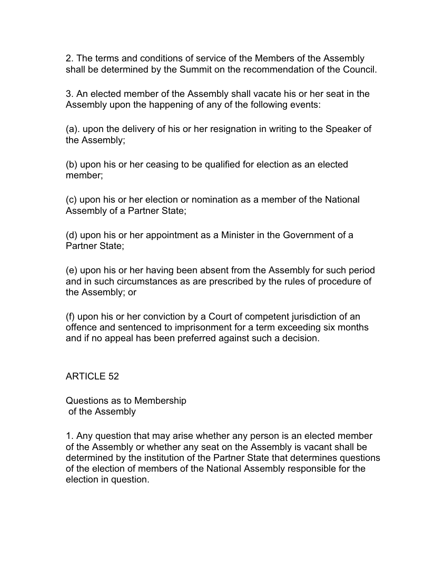2. The terms and conditions of service of the Members of the Assembly shall be determined by the Summit on the recommendation of the Council.

3. An elected member of the Assembly shall vacate his or her seat in the Assembly upon the happening of any of the following events:

(a). upon the delivery of his or her resignation in writing to the Speaker of the Assembly;

(b) upon his or her ceasing to be qualified for election as an elected member;

(c) upon his or her election or nomination as a member of the National Assembly of a Partner State;

(d) upon his or her appointment as a Minister in the Government of a Partner State;

(e) upon his or her having been absent from the Assembly for such period and in such circumstances as are prescribed by the rules of procedure of the Assembly; or

(f) upon his or her conviction by a Court of competent jurisdiction of an offence and sentenced to imprisonment for a term exceeding six months and if no appeal has been preferred against such a decision.

ARTICLE 52

Questions as to Membership of the Assembly

1. Any question that may arise whether any person is an elected member of the Assembly or whether any seat on the Assembly is vacant shall be determined by the institution of the Partner State that determines questions of the election of members of the National Assembly responsible for the election in question.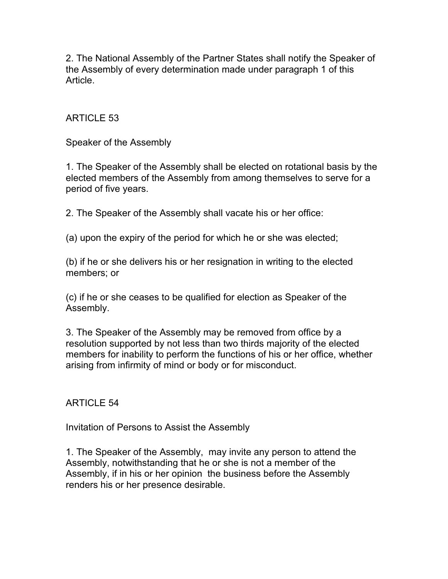2. The National Assembly of the Partner States shall notify the Speaker of the Assembly of every determination made under paragraph 1 of this Article.

# ARTICLE  $53$

Speaker of the Assembly

1. The Speaker of the Assembly shall be elected on rotational basis by the elected members of the Assembly from among themselves to serve for a period of five years.

2. The Speaker of the Assembly shall vacate his or her office:

(a) upon the expiry of the period for which he or she was elected;

(b) if he or she delivers his or her resignation in writing to the elected members; or

(c) if he or she ceases to be qualified for election as Speaker of the Assembly.

3. The Speaker of the Assembly may be removed from office by a resolution supported by not less than two thirds majority of the elected members for inability to perform the functions of his or her office, whether arising from infirmity of mind or body or for misconduct.

# ARTICLE 54

Invitation of Persons to Assist the Assembly

1. The Speaker of the Assembly, may invite any person to attend the Assembly, notwithstanding that he or she is not a member of the Assembly, if in his or her opinion the business before the Assembly renders his or her presence desirable.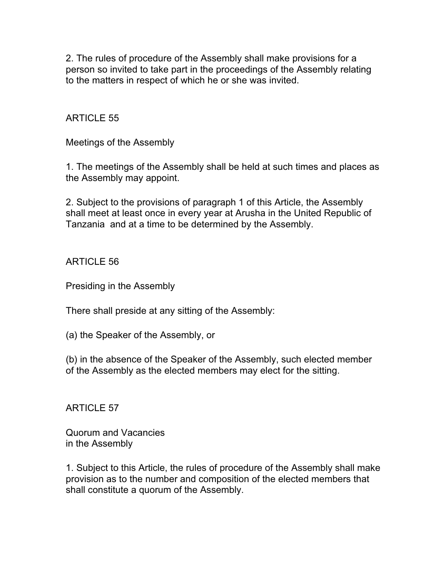2. The rules of procedure of the Assembly shall make provisions for a person so invited to take part in the proceedings of the Assembly relating to the matters in respect of which he or she was invited.

ARTICLE 55

Meetings of the Assembly

1. The meetings of the Assembly shall be held at such times and places as the Assembly may appoint.

2. Subject to the provisions of paragraph 1 of this Article, the Assembly shall meet at least once in every year at Arusha in the United Republic of Tanzania and at a time to be determined by the Assembly.

ARTICLE 56

Presiding in the Assembly

There shall preside at any sitting of the Assembly:

(a) the Speaker of the Assembly, or

(b) in the absence of the Speaker of the Assembly, such elected member of the Assembly as the elected members may elect for the sitting.

ARTICLE 57

Quorum and Vacancies in the Assembly

1. Subject to this Article, the rules of procedure of the Assembly shall make provision as to the number and composition of the elected members that shall constitute a quorum of the Assembly.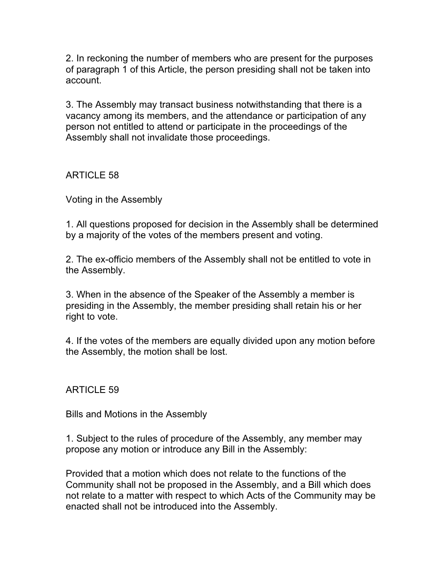2. In reckoning the number of members who are present for the purposes of paragraph 1 of this Article, the person presiding shall not be taken into account.

3. The Assembly may transact business notwithstanding that there is a vacancy among its members, and the attendance or participation of any person not entitled to attend or participate in the proceedings of the Assembly shall not invalidate those proceedings.

# ARTICLE 58

Voting in the Assembly

1. All questions proposed for decision in the Assembly shall be determined by a majority of the votes of the members present and voting.

2. The ex-officio members of the Assembly shall not be entitled to vote in the Assembly.

3. When in the absence of the Speaker of the Assembly a member is presiding in the Assembly, the member presiding shall retain his or her right to vote.

4. If the votes of the members are equally divided upon any motion before the Assembly, the motion shall be lost.

ARTICLE 59

Bills and Motions in the Assembly

1. Subject to the rules of procedure of the Assembly, any member may propose any motion or introduce any Bill in the Assembly:

Provided that a motion which does not relate to the functions of the Community shall not be proposed in the Assembly, and a Bill which does not relate to a matter with respect to which Acts of the Community may be enacted shall not be introduced into the Assembly.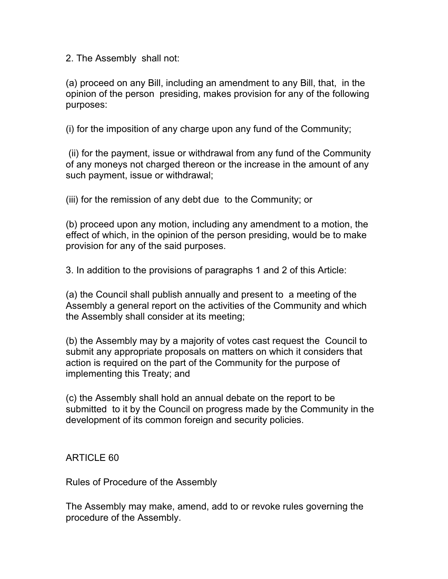2. The Assembly shall not:

(a) proceed on any Bill, including an amendment to any Bill, that, in the opinion of the person presiding, makes provision for any of the following purposes:

(i) for the imposition of any charge upon any fund of the Community;

 (ii) for the payment, issue or withdrawal from any fund of the Community of any moneys not charged thereon or the increase in the amount of any such payment, issue or withdrawal;

(iii) for the remission of any debt due to the Community; or

(b) proceed upon any motion, including any amendment to a motion, the effect of which, in the opinion of the person presiding, would be to make provision for any of the said purposes.

3. In addition to the provisions of paragraphs 1 and 2 of this Article:

(a) the Council shall publish annually and present to a meeting of the Assembly a general report on the activities of the Community and which the Assembly shall consider at its meeting;

(b) the Assembly may by a majority of votes cast request the Council to submit any appropriate proposals on matters on which it considers that action is required on the part of the Community for the purpose of implementing this Treaty; and

(c) the Assembly shall hold an annual debate on the report to be submitted to it by the Council on progress made by the Community in the development of its common foreign and security policies.

ARTICLE 60

Rules of Procedure of the Assembly

The Assembly may make, amend, add to or revoke rules governing the procedure of the Assembly.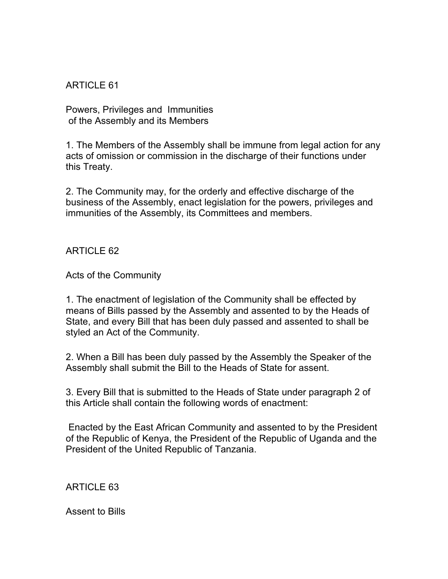# ARTICLE 61

Powers, Privileges and Immunities of the Assembly and its Members

1. The Members of the Assembly shall be immune from legal action for any acts of omission or commission in the discharge of their functions under this Treaty.

2. The Community may, for the orderly and effective discharge of the business of the Assembly, enact legislation for the powers, privileges and immunities of the Assembly, its Committees and members.

### ARTICLE 62

Acts of the Community

1. The enactment of legislation of the Community shall be effected by means of Bills passed by the Assembly and assented to by the Heads of State, and every Bill that has been duly passed and assented to shall be styled an Act of the Community.

2. When a Bill has been duly passed by the Assembly the Speaker of the Assembly shall submit the Bill to the Heads of State for assent.

3. Every Bill that is submitted to the Heads of State under paragraph 2 of this Article shall contain the following words of enactment:

 Enacted by the East African Community and assented to by the President of the Republic of Kenya, the President of the Republic of Uganda and the President of the United Republic of Tanzania.

ARTICLE 63

Assent to Bills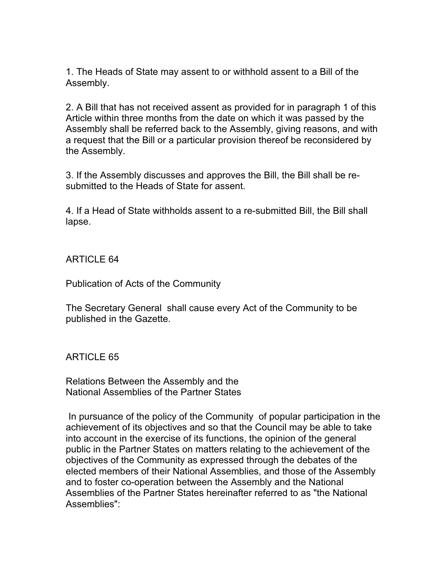1. The Heads of State may assent to or withhold assent to a Bill of the Assembly.

2. A Bill that has not received assent as provided for in paragraph 1 of this Article within three months from the date on which it was passed by the Assembly shall be referred back to the Assembly, giving reasons, and with a request that the Bill or a particular provision thereof be reconsidered by the Assembly.

3. If the Assembly discusses and approves the Bill, the Bill shall be resubmitted to the Heads of State for assent.

4. If a Head of State withholds assent to a re-submitted Bill, the Bill shall lapse.

# ARTICLE 64

Publication of Acts of the Community

The Secretary General shall cause every Act of the Community to be published in the Gazette.

### ARTICLE 65

Relations Between the Assembly and the National Assemblies of the Partner States

 In pursuance of the policy of the Community of popular participation in the achievement of its objectives and so that the Council may be able to take into account in the exercise of its functions, the opinion of the general public in the Partner States on matters relating to the achievement of the objectives of the Community as expressed through the debates of the elected members of their National Assemblies, and those of the Assembly and to foster co-operation between the Assembly and the National Assemblies of the Partner States hereinafter referred to as "the National Assemblies":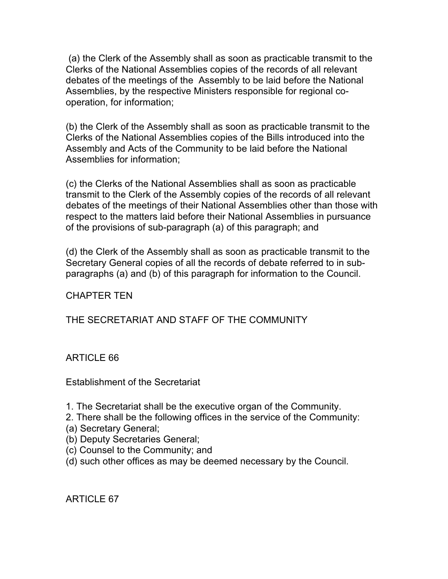(a) the Clerk of the Assembly shall as soon as practicable transmit to the Clerks of the National Assemblies copies of the records of all relevant debates of the meetings of the Assembly to be laid before the National Assemblies, by the respective Ministers responsible for regional cooperation, for information;

(b) the Clerk of the Assembly shall as soon as practicable transmit to the Clerks of the National Assemblies copies of the Bills introduced into the Assembly and Acts of the Community to be laid before the National Assemblies for information;

(c) the Clerks of the National Assemblies shall as soon as practicable transmit to the Clerk of the Assembly copies of the records of all relevant debates of the meetings of their National Assemblies other than those with respect to the matters laid before their National Assemblies in pursuance of the provisions of sub-paragraph (a) of this paragraph; and

(d) the Clerk of the Assembly shall as soon as practicable transmit to the Secretary General copies of all the records of debate referred to in subparagraphs (a) and (b) of this paragraph for information to the Council.

CHAPTER TEN

THE SECRETARIAT AND STAFF OF THE COMMUNITY

ARTICLE 66

Establishment of the Secretariat

- 1. The Secretariat shall be the executive organ of the Community.
- 2. There shall be the following offices in the service of the Community:
- (a) Secretary General;
- (b) Deputy Secretaries General;
- (c) Counsel to the Community; and
- (d) such other offices as may be deemed necessary by the Council.

ARTICLE 67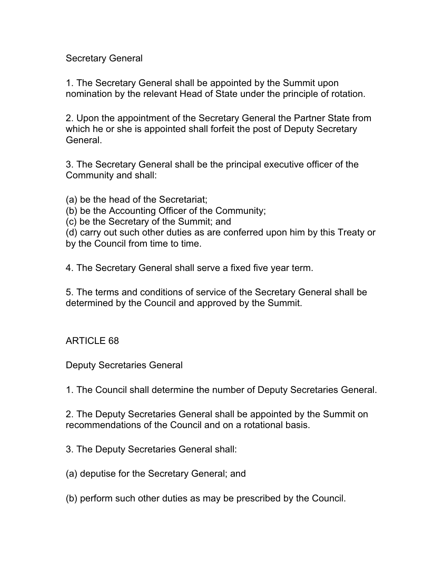Secretary General

1. The Secretary General shall be appointed by the Summit upon nomination by the relevant Head of State under the principle of rotation.

2. Upon the appointment of the Secretary General the Partner State from which he or she is appointed shall forfeit the post of Deputy Secretary General.

3. The Secretary General shall be the principal executive officer of the Community and shall:

(a) be the head of the Secretariat;

(b) be the Accounting Officer of the Community;

(c) be the Secretary of the Summit; and

(d) carry out such other duties as are conferred upon him by this Treaty or by the Council from time to time.

4. The Secretary General shall serve a fixed five year term.

5. The terms and conditions of service of the Secretary General shall be determined by the Council and approved by the Summit.

# ARTICLE 68

Deputy Secretaries General

1. The Council shall determine the number of Deputy Secretaries General.

2. The Deputy Secretaries General shall be appointed by the Summit on recommendations of the Council and on a rotational basis.

3. The Deputy Secretaries General shall:

(a) deputise for the Secretary General; and

(b) perform such other duties as may be prescribed by the Council.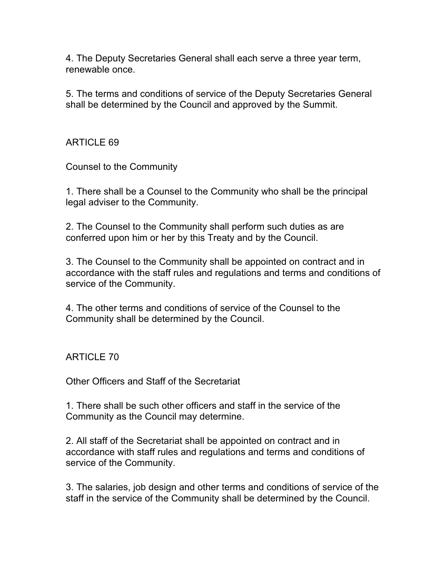4. The Deputy Secretaries General shall each serve a three year term, renewable once.

5. The terms and conditions of service of the Deputy Secretaries General shall be determined by the Council and approved by the Summit.

ARTICLE 69

Counsel to the Community

1. There shall be a Counsel to the Community who shall be the principal legal adviser to the Community.

2. The Counsel to the Community shall perform such duties as are conferred upon him or her by this Treaty and by the Council.

3. The Counsel to the Community shall be appointed on contract and in accordance with the staff rules and regulations and terms and conditions of service of the Community.

4. The other terms and conditions of service of the Counsel to the Community shall be determined by the Council.

ARTICLE 70

Other Officers and Staff of the Secretariat

1. There shall be such other officers and staff in the service of the Community as the Council may determine.

2. All staff of the Secretariat shall be appointed on contract and in accordance with staff rules and regulations and terms and conditions of service of the Community.

3. The salaries, job design and other terms and conditions of service of the staff in the service of the Community shall be determined by the Council.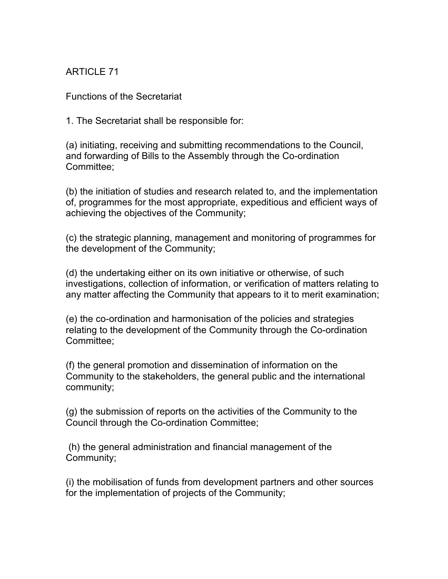**ARTICLE 71** 

Functions of the Secretariat

1. The Secretariat shall be responsible for:

(a) initiating, receiving and submitting recommendations to the Council, and forwarding of Bills to the Assembly through the Co-ordination Committee;

(b) the initiation of studies and research related to, and the implementation of, programmes for the most appropriate, expeditious and efficient ways of achieving the objectives of the Community;

(c) the strategic planning, management and monitoring of programmes for the development of the Community;

(d) the undertaking either on its own initiative or otherwise, of such investigations, collection of information, or verification of matters relating to any matter affecting the Community that appears to it to merit examination;

(e) the co-ordination and harmonisation of the policies and strategies relating to the development of the Community through the Co-ordination Committee;

(f) the general promotion and dissemination of information on the Community to the stakeholders, the general public and the international community;

(g) the submission of reports on the activities of the Community to the Council through the Co-ordination Committee;

 (h) the general administration and financial management of the Community;

(i) the mobilisation of funds from development partners and other sources for the implementation of projects of the Community;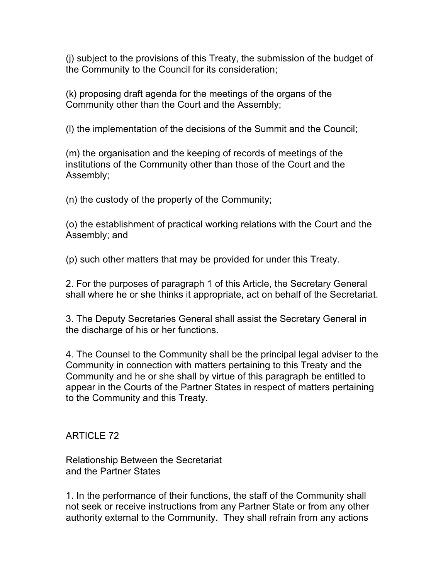(j) subject to the provisions of this Treaty, the submission of the budget of the Community to the Council for its consideration;

(k) proposing draft agenda for the meetings of the organs of the Community other than the Court and the Assembly;

(l) the implementation of the decisions of the Summit and the Council;

(m) the organisation and the keeping of records of meetings of the institutions of the Community other than those of the Court and the Assembly;

(n) the custody of the property of the Community;

(o) the establishment of practical working relations with the Court and the Assembly; and

(p) such other matters that may be provided for under this Treaty.

2. For the purposes of paragraph 1 of this Article, the Secretary General shall where he or she thinks it appropriate, act on behalf of the Secretariat.

3. The Deputy Secretaries General shall assist the Secretary General in the discharge of his or her functions.

4. The Counsel to the Community shall be the principal legal adviser to the Community in connection with matters pertaining to this Treaty and the Community and he or she shall by virtue of this paragraph be entitled to appear in the Courts of the Partner States in respect of matters pertaining to the Community and this Treaty.

# ARTICLE 72

Relationship Between the Secretariat and the Partner States

1. In the performance of their functions, the staff of the Community shall not seek or receive instructions from any Partner State or from any other authority external to the Community. They shall refrain from any actions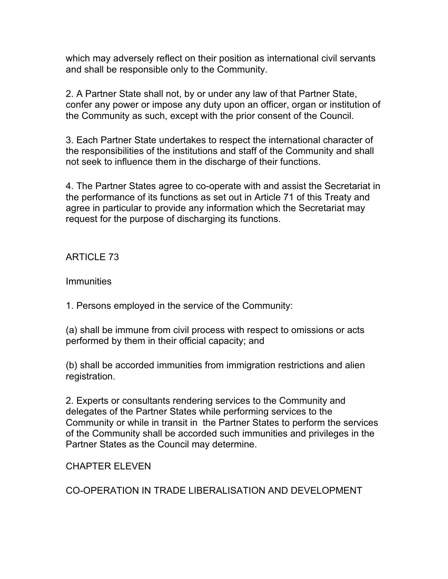which may adversely reflect on their position as international civil servants and shall be responsible only to the Community.

2. A Partner State shall not, by or under any law of that Partner State, confer any power or impose any duty upon an officer, organ or institution of the Community as such, except with the prior consent of the Council.

3. Each Partner State undertakes to respect the international character of the responsibilities of the institutions and staff of the Community and shall not seek to influence them in the discharge of their functions.

4. The Partner States agree to co-operate with and assist the Secretariat in the performance of its functions as set out in Article 71 of this Treaty and agree in particular to provide any information which the Secretariat may request for the purpose of discharging its functions.

ARTICLE 73

Immunities

1. Persons employed in the service of the Community:

(a) shall be immune from civil process with respect to omissions or acts performed by them in their official capacity; and

(b) shall be accorded immunities from immigration restrictions and alien registration.

2. Experts or consultants rendering services to the Community and delegates of the Partner States while performing services to the Community or while in transit in the Partner States to perform the services of the Community shall be accorded such immunities and privileges in the Partner States as the Council may determine.

CHAPTER ELEVEN

CO-OPERATION IN TRADE LIBERALISATION AND DEVELOPMENT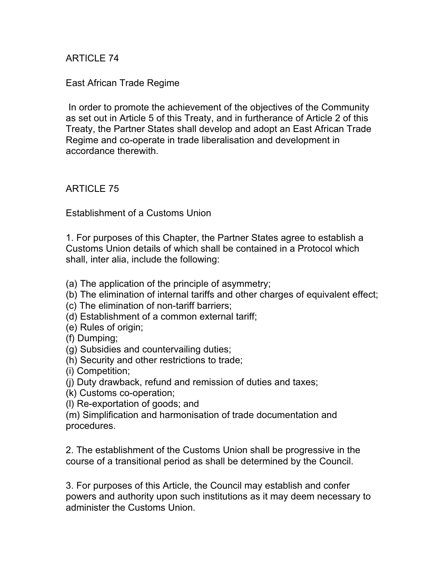ARTICLE 74

East African Trade Regime

 In order to promote the achievement of the objectives of the Community as set out in Article 5 of this Treaty, and in furtherance of Article 2 of this Treaty, the Partner States shall develop and adopt an East African Trade Regime and co-operate in trade liberalisation and development in accordance therewith.

ARTICLE 75

Establishment of a Customs Union

1. For purposes of this Chapter, the Partner States agree to establish a Customs Union details of which shall be contained in a Protocol which shall, inter alia, include the following:

(a) The application of the principle of asymmetry;

(b) The elimination of internal tariffs and other charges of equivalent effect;

(c) The elimination of non-tariff barriers;

(d) Establishment of a common external tariff;

(e) Rules of origin;

(f) Dumping;

(g) Subsidies and countervailing duties;

(h) Security and other restrictions to trade;

(i) Competition;

(j) Duty drawback, refund and remission of duties and taxes;

(k) Customs co-operation;

(l) Re-exportation of goods; and

(m) Simplification and harmonisation of trade documentation and procedures.

2. The establishment of the Customs Union shall be progressive in the course of a transitional period as shall be determined by the Council.

3. For purposes of this Article, the Council may establish and confer powers and authority upon such institutions as it may deem necessary to administer the Customs Union.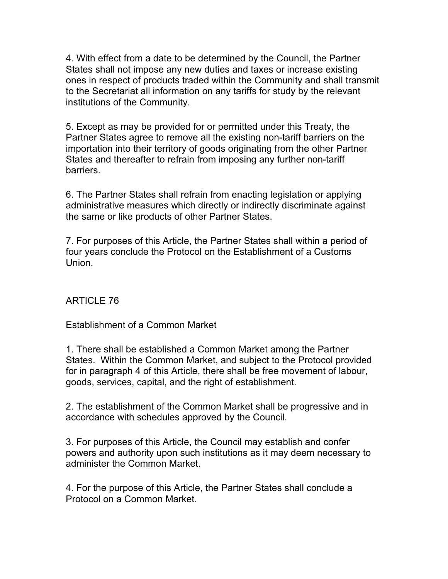4. With effect from a date to be determined by the Council, the Partner States shall not impose any new duties and taxes or increase existing ones in respect of products traded within the Community and shall transmit to the Secretariat all information on any tariffs for study by the relevant institutions of the Community.

5. Except as may be provided for or permitted under this Treaty, the Partner States agree to remove all the existing non-tariff barriers on the importation into their territory of goods originating from the other Partner States and thereafter to refrain from imposing any further non-tariff barriers.

6. The Partner States shall refrain from enacting legislation or applying administrative measures which directly or indirectly discriminate against the same or like products of other Partner States.

7. For purposes of this Article, the Partner States shall within a period of four years conclude the Protocol on the Establishment of a Customs Union.

ARTICLE 76

Establishment of a Common Market

1. There shall be established a Common Market among the Partner States. Within the Common Market, and subject to the Protocol provided for in paragraph 4 of this Article, there shall be free movement of labour, goods, services, capital, and the right of establishment.

2. The establishment of the Common Market shall be progressive and in accordance with schedules approved by the Council.

3. For purposes of this Article, the Council may establish and confer powers and authority upon such institutions as it may deem necessary to administer the Common Market.

4. For the purpose of this Article, the Partner States shall conclude a Protocol on a Common Market.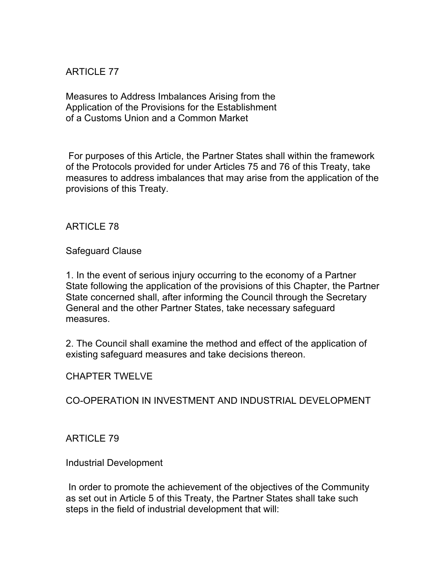ARTICLE 77

Measures to Address Imbalances Arising from the Application of the Provisions for the Establishment of a Customs Union and a Common Market

 For purposes of this Article, the Partner States shall within the framework of the Protocols provided for under Articles 75 and 76 of this Treaty, take measures to address imbalances that may arise from the application of the provisions of this Treaty.

ARTICLE 78

Safeguard Clause

1. In the event of serious injury occurring to the economy of a Partner State following the application of the provisions of this Chapter, the Partner State concerned shall, after informing the Council through the Secretary General and the other Partner States, take necessary safeguard measures.

2. The Council shall examine the method and effect of the application of existing safeguard measures and take decisions thereon.

CHAPTER TWELVE

CO-OPERATION IN INVESTMENT AND INDUSTRIAL DEVELOPMENT

ARTICLE 79

Industrial Development

 In order to promote the achievement of the objectives of the Community as set out in Article 5 of this Treaty, the Partner States shall take such steps in the field of industrial development that will: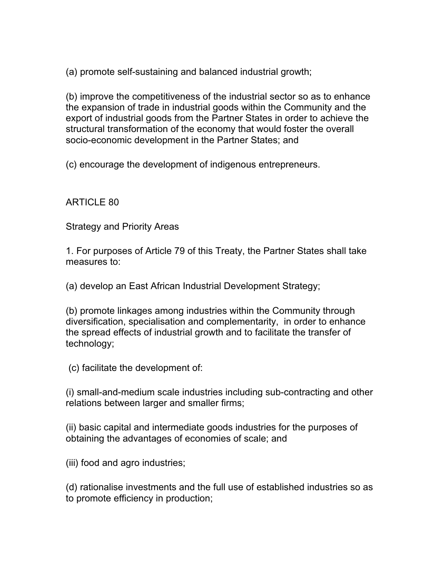(a) promote self-sustaining and balanced industrial growth;

(b) improve the competitiveness of the industrial sector so as to enhance the expansion of trade in industrial goods within the Community and the export of industrial goods from the Partner States in order to achieve the structural transformation of the economy that would foster the overall socio-economic development in the Partner States; and

(c) encourage the development of indigenous entrepreneurs.

ARTICLE 80

Strategy and Priority Areas

1. For purposes of Article 79 of this Treaty, the Partner States shall take measures to:

(a) develop an East African Industrial Development Strategy;

(b) promote linkages among industries within the Community through diversification, specialisation and complementarity, in order to enhance the spread effects of industrial growth and to facilitate the transfer of technology;

(c) facilitate the development of:

(i) small-and-medium scale industries including sub-contracting and other relations between larger and smaller firms;

(ii) basic capital and intermediate goods industries for the purposes of obtaining the advantages of economies of scale; and

(iii) food and agro industries;

(d) rationalise investments and the full use of established industries so as to promote efficiency in production;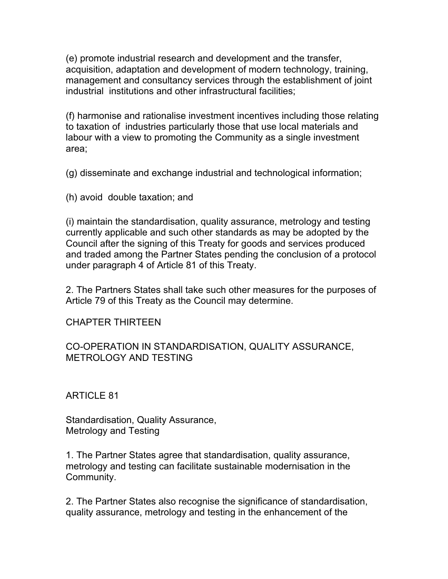(e) promote industrial research and development and the transfer, acquisition, adaptation and development of modern technology, training, management and consultancy services through the establishment of joint industrial institutions and other infrastructural facilities;

(f) harmonise and rationalise investment incentives including those relating to taxation of industries particularly those that use local materials and labour with a view to promoting the Community as a single investment area;

(g) disseminate and exchange industrial and technological information;

(h) avoid double taxation; and

(i) maintain the standardisation, quality assurance, metrology and testing currently applicable and such other standards as may be adopted by the Council after the signing of this Treaty for goods and services produced and traded among the Partner States pending the conclusion of a protocol under paragraph 4 of Article 81 of this Treaty.

2. The Partners States shall take such other measures for the purposes of Article 79 of this Treaty as the Council may determine.

CHAPTER THIRTEEN

CO-OPERATION IN STANDARDISATION, QUALITY ASSURANCE, METROLOGY AND TESTING

**ARTICLE 81** 

Standardisation, Quality Assurance, Metrology and Testing

1. The Partner States agree that standardisation, quality assurance, metrology and testing can facilitate sustainable modernisation in the Community.

2. The Partner States also recognise the significance of standardisation, quality assurance, metrology and testing in the enhancement of the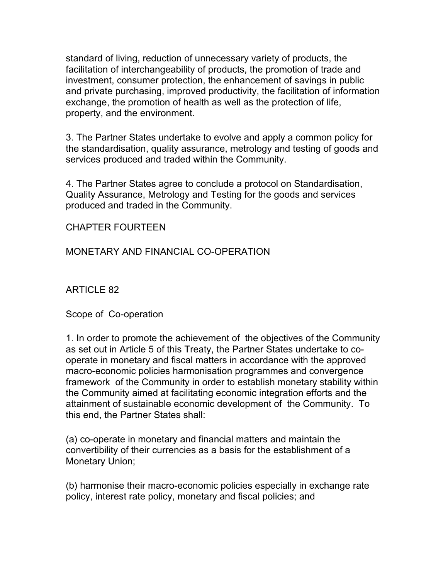standard of living, reduction of unnecessary variety of products, the facilitation of interchangeability of products, the promotion of trade and investment, consumer protection, the enhancement of savings in public and private purchasing, improved productivity, the facilitation of information exchange, the promotion of health as well as the protection of life, property, and the environment.

3. The Partner States undertake to evolve and apply a common policy for the standardisation, quality assurance, metrology and testing of goods and services produced and traded within the Community.

4. The Partner States agree to conclude a protocol on Standardisation, Quality Assurance, Metrology and Testing for the goods and services produced and traded in the Community.

CHAPTER FOURTEEN

MONETARY AND FINANCIAL CO-OPERATION

ARTICLE 82

Scope of Co-operation

1. In order to promote the achievement of the objectives of the Community as set out in Article 5 of this Treaty, the Partner States undertake to cooperate in monetary and fiscal matters in accordance with the approved macro-economic policies harmonisation programmes and convergence framework of the Community in order to establish monetary stability within the Community aimed at facilitating economic integration efforts and the attainment of sustainable economic development of the Community. To this end, the Partner States shall:

(a) co-operate in monetary and financial matters and maintain the convertibility of their currencies as a basis for the establishment of a Monetary Union;

(b) harmonise their macro-economic policies especially in exchange rate policy, interest rate policy, monetary and fiscal policies; and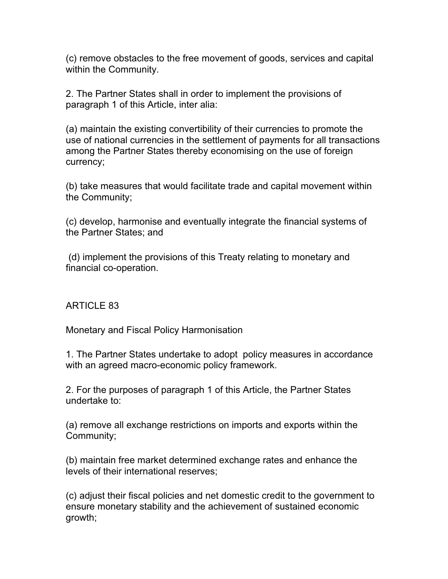(c) remove obstacles to the free movement of goods, services and capital within the Community.

2. The Partner States shall in order to implement the provisions of paragraph 1 of this Article, inter alia:

(a) maintain the existing convertibility of their currencies to promote the use of national currencies in the settlement of payments for all transactions among the Partner States thereby economising on the use of foreign currency;

(b) take measures that would facilitate trade and capital movement within the Community;

(c) develop, harmonise and eventually integrate the financial systems of the Partner States; and

 (d) implement the provisions of this Treaty relating to monetary and financial co-operation.

# ARTICLE 83

Monetary and Fiscal Policy Harmonisation

1. The Partner States undertake to adopt policy measures in accordance with an agreed macro-economic policy framework.

2. For the purposes of paragraph 1 of this Article, the Partner States undertake to:

(a) remove all exchange restrictions on imports and exports within the Community;

(b) maintain free market determined exchange rates and enhance the levels of their international reserves;

(c) adjust their fiscal policies and net domestic credit to the government to ensure monetary stability and the achievement of sustained economic growth;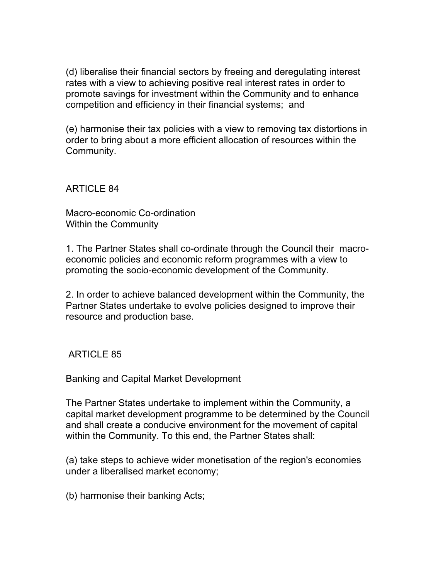(d) liberalise their financial sectors by freeing and deregulating interest rates with a view to achieving positive real interest rates in order to promote savings for investment within the Community and to enhance competition and efficiency in their financial systems; and

(e) harmonise their tax policies with a view to removing tax distortions in order to bring about a more efficient allocation of resources within the Community.

ARTICLE 84

Macro-economic Co-ordination Within the Community

1. The Partner States shall co-ordinate through the Council their macroeconomic policies and economic reform programmes with a view to promoting the socio-economic development of the Community.

2. In order to achieve balanced development within the Community, the Partner States undertake to evolve policies designed to improve their resource and production base.

ARTICLE 85

Banking and Capital Market Development

The Partner States undertake to implement within the Community, a capital market development programme to be determined by the Council and shall create a conducive environment for the movement of capital within the Community. To this end, the Partner States shall:

(a) take steps to achieve wider monetisation of the region's economies under a liberalised market economy;

(b) harmonise their banking Acts;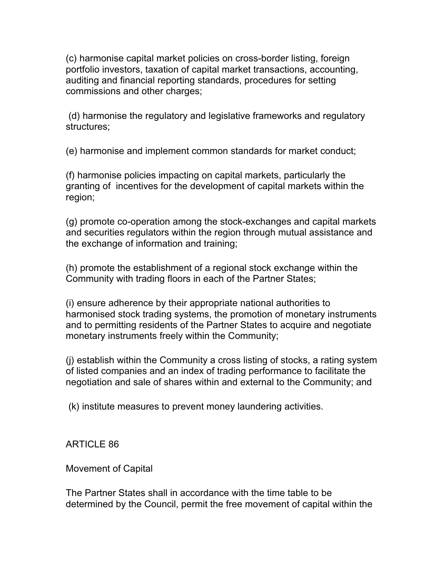(c) harmonise capital market policies on cross-border listing, foreign portfolio investors, taxation of capital market transactions, accounting, auditing and financial reporting standards, procedures for setting commissions and other charges;

 (d) harmonise the regulatory and legislative frameworks and regulatory structures;

(e) harmonise and implement common standards for market conduct;

(f) harmonise policies impacting on capital markets, particularly the granting of incentives for the development of capital markets within the region;

(g) promote co-operation among the stock-exchanges and capital markets and securities regulators within the region through mutual assistance and the exchange of information and training;

(h) promote the establishment of a regional stock exchange within the Community with trading floors in each of the Partner States;

(i) ensure adherence by their appropriate national authorities to harmonised stock trading systems, the promotion of monetary instruments and to permitting residents of the Partner States to acquire and negotiate monetary instruments freely within the Community;

(j) establish within the Community a cross listing of stocks, a rating system of listed companies and an index of trading performance to facilitate the negotiation and sale of shares within and external to the Community; and

(k) institute measures to prevent money laundering activities.

ARTICLE 86

Movement of Capital

The Partner States shall in accordance with the time table to be determined by the Council, permit the free movement of capital within the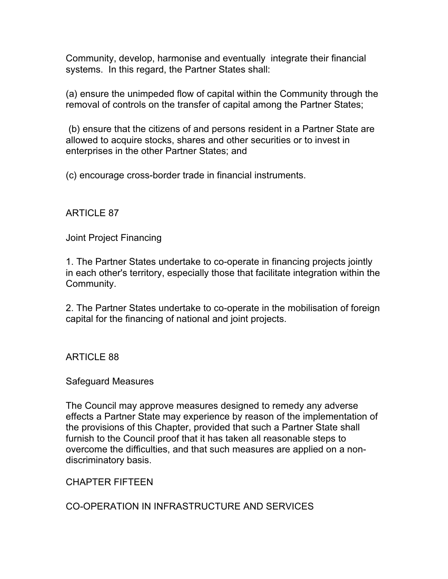Community, develop, harmonise and eventually integrate their financial systems. In this regard, the Partner States shall:

(a) ensure the unimpeded flow of capital within the Community through the removal of controls on the transfer of capital among the Partner States;

 (b) ensure that the citizens of and persons resident in a Partner State are allowed to acquire stocks, shares and other securities or to invest in enterprises in the other Partner States; and

(c) encourage cross-border trade in financial instruments.

ARTICLE 87

Joint Project Financing

1. The Partner States undertake to co-operate in financing projects jointly in each other's territory, especially those that facilitate integration within the Community.

2. The Partner States undertake to co-operate in the mobilisation of foreign capital for the financing of national and joint projects.

ARTICLE 88

Safeguard Measures

The Council may approve measures designed to remedy any adverse effects a Partner State may experience by reason of the implementation of the provisions of this Chapter, provided that such a Partner State shall furnish to the Council proof that it has taken all reasonable steps to overcome the difficulties, and that such measures are applied on a nondiscriminatory basis.

CHAPTER FIFTEEN

CO-OPERATION IN INFRASTRUCTURE AND SERVICES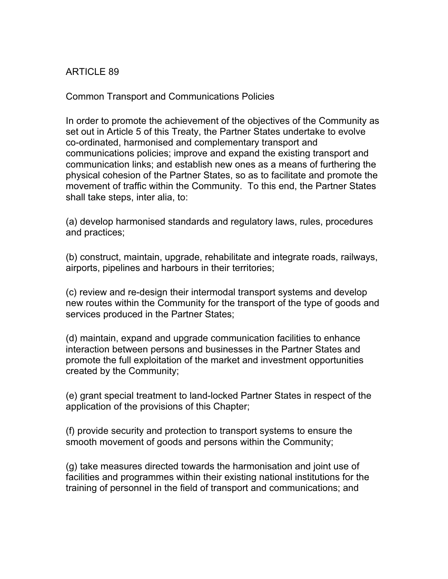# ARTICLE 89

Common Transport and Communications Policies

In order to promote the achievement of the objectives of the Community as set out in Article 5 of this Treaty, the Partner States undertake to evolve co-ordinated, harmonised and complementary transport and communications policies; improve and expand the existing transport and communication links; and establish new ones as a means of furthering the physical cohesion of the Partner States, so as to facilitate and promote the movement of traffic within the Community. To this end, the Partner States shall take steps, inter alia, to:

(a) develop harmonised standards and regulatory laws, rules, procedures and practices;

(b) construct, maintain, upgrade, rehabilitate and integrate roads, railways, airports, pipelines and harbours in their territories;

(c) review and re-design their intermodal transport systems and develop new routes within the Community for the transport of the type of goods and services produced in the Partner States;

(d) maintain, expand and upgrade communication facilities to enhance interaction between persons and businesses in the Partner States and promote the full exploitation of the market and investment opportunities created by the Community;

(e) grant special treatment to land-locked Partner States in respect of the application of the provisions of this Chapter;

(f) provide security and protection to transport systems to ensure the smooth movement of goods and persons within the Community;

(g) take measures directed towards the harmonisation and joint use of facilities and programmes within their existing national institutions for the training of personnel in the field of transport and communications; and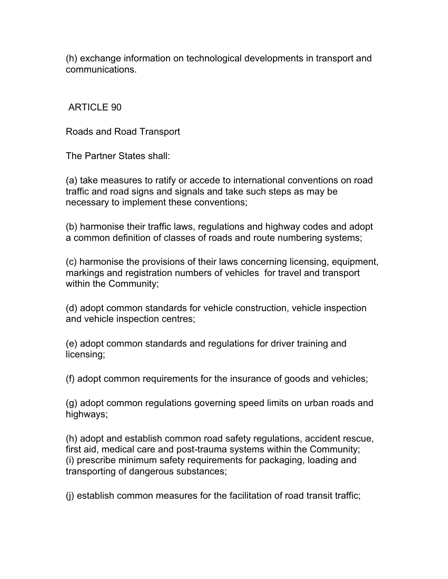(h) exchange information on technological developments in transport and communications.

ARTICLE 90

Roads and Road Transport

The Partner States shall:

(a) take measures to ratify or accede to international conventions on road traffic and road signs and signals and take such steps as may be necessary to implement these conventions;

(b) harmonise their traffic laws, regulations and highway codes and adopt a common definition of classes of roads and route numbering systems;

(c) harmonise the provisions of their laws concerning licensing, equipment, markings and registration numbers of vehicles for travel and transport within the Community;

(d) adopt common standards for vehicle construction, vehicle inspection and vehicle inspection centres;

(e) adopt common standards and regulations for driver training and licensing;

(f) adopt common requirements for the insurance of goods and vehicles;

(g) adopt common regulations governing speed limits on urban roads and highways;

(h) adopt and establish common road safety regulations, accident rescue, first aid, medical care and post-trauma systems within the Community; (i) prescribe minimum safety requirements for packaging, loading and transporting of dangerous substances;

(j) establish common measures for the facilitation of road transit traffic;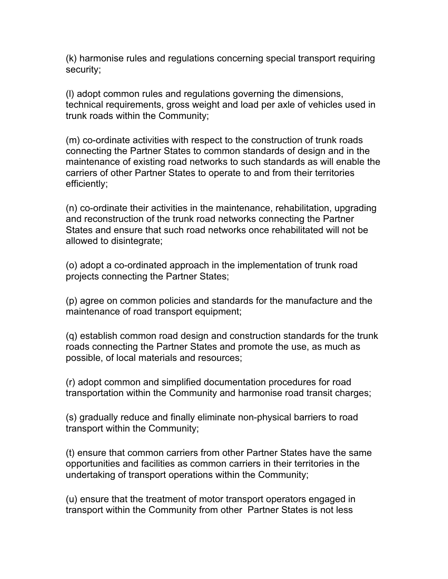(k) harmonise rules and regulations concerning special transport requiring security;

(l) adopt common rules and regulations governing the dimensions, technical requirements, gross weight and load per axle of vehicles used in trunk roads within the Community;

(m) co-ordinate activities with respect to the construction of trunk roads connecting the Partner States to common standards of design and in the maintenance of existing road networks to such standards as will enable the carriers of other Partner States to operate to and from their territories efficiently;

(n) co-ordinate their activities in the maintenance, rehabilitation, upgrading and reconstruction of the trunk road networks connecting the Partner States and ensure that such road networks once rehabilitated will not be allowed to disintegrate;

(o) adopt a co-ordinated approach in the implementation of trunk road projects connecting the Partner States;

(p) agree on common policies and standards for the manufacture and the maintenance of road transport equipment;

(q) establish common road design and construction standards for the trunk roads connecting the Partner States and promote the use, as much as possible, of local materials and resources;

(r) adopt common and simplified documentation procedures for road transportation within the Community and harmonise road transit charges;

(s) gradually reduce and finally eliminate non-physical barriers to road transport within the Community;

(t) ensure that common carriers from other Partner States have the same opportunities and facilities as common carriers in their territories in the undertaking of transport operations within the Community;

(u) ensure that the treatment of motor transport operators engaged in transport within the Community from other Partner States is not less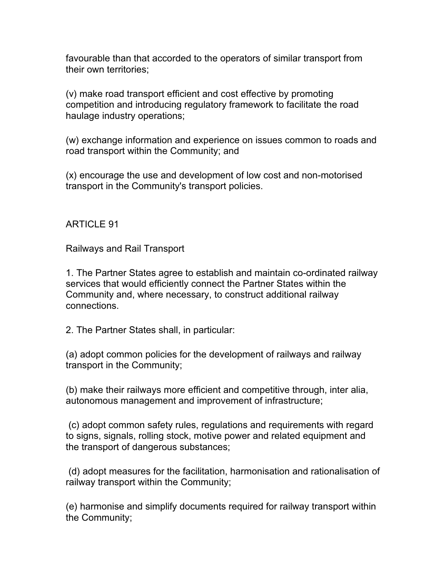favourable than that accorded to the operators of similar transport from their own territories;

(v) make road transport efficient and cost effective by promoting competition and introducing regulatory framework to facilitate the road haulage industry operations;

(w) exchange information and experience on issues common to roads and road transport within the Community; and

(x) encourage the use and development of low cost and non-motorised transport in the Community's transport policies.

# ARTICLE 91

Railways and Rail Transport

1. The Partner States agree to establish and maintain co-ordinated railway services that would efficiently connect the Partner States within the Community and, where necessary, to construct additional railway connections.

2. The Partner States shall, in particular:

(a) adopt common policies for the development of railways and railway transport in the Community;

(b) make their railways more efficient and competitive through, inter alia, autonomous management and improvement of infrastructure;

 (c) adopt common safety rules, regulations and requirements with regard to signs, signals, rolling stock, motive power and related equipment and the transport of dangerous substances;

 (d) adopt measures for the facilitation, harmonisation and rationalisation of railway transport within the Community;

(e) harmonise and simplify documents required for railway transport within the Community;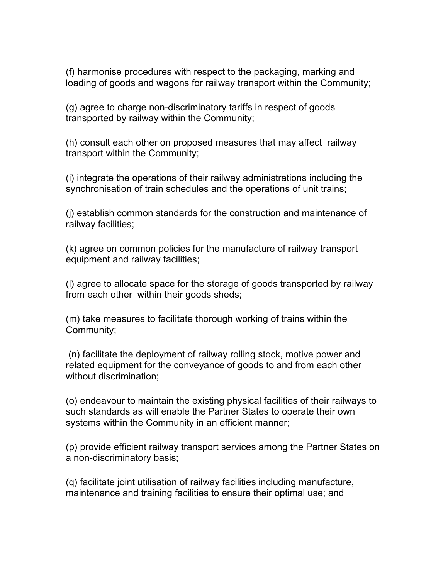(f) harmonise procedures with respect to the packaging, marking and loading of goods and wagons for railway transport within the Community;

(g) agree to charge non-discriminatory tariffs in respect of goods transported by railway within the Community;

(h) consult each other on proposed measures that may affect railway transport within the Community;

(i) integrate the operations of their railway administrations including the synchronisation of train schedules and the operations of unit trains;

(j) establish common standards for the construction and maintenance of railway facilities;

(k) agree on common policies for the manufacture of railway transport equipment and railway facilities;

(l) agree to allocate space for the storage of goods transported by railway from each other within their goods sheds;

(m) take measures to facilitate thorough working of trains within the Community;

 (n) facilitate the deployment of railway rolling stock, motive power and related equipment for the conveyance of goods to and from each other without discrimination;

(o) endeavour to maintain the existing physical facilities of their railways to such standards as will enable the Partner States to operate their own systems within the Community in an efficient manner;

(p) provide efficient railway transport services among the Partner States on a non-discriminatory basis;

(q) facilitate joint utilisation of railway facilities including manufacture, maintenance and training facilities to ensure their optimal use; and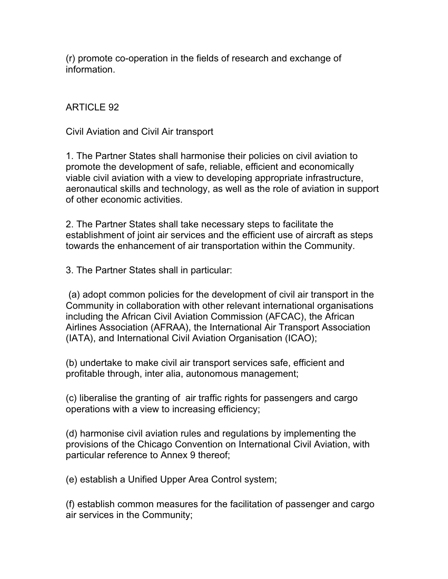(r) promote co-operation in the fields of research and exchange of information.

ARTICLE 92

Civil Aviation and Civil Air transport

1. The Partner States shall harmonise their policies on civil aviation to promote the development of safe, reliable, efficient and economically viable civil aviation with a view to developing appropriate infrastructure, aeronautical skills and technology, as well as the role of aviation in support of other economic activities.

2. The Partner States shall take necessary steps to facilitate the establishment of joint air services and the efficient use of aircraft as steps towards the enhancement of air transportation within the Community.

3. The Partner States shall in particular:

 (a) adopt common policies for the development of civil air transport in the Community in collaboration with other relevant international organisations including the African Civil Aviation Commission (AFCAC), the African Airlines Association (AFRAA), the International Air Transport Association (IATA), and International Civil Aviation Organisation (ICAO);

(b) undertake to make civil air transport services safe, efficient and profitable through, inter alia, autonomous management;

(c) liberalise the granting of air traffic rights for passengers and cargo operations with a view to increasing efficiency;

(d) harmonise civil aviation rules and regulations by implementing the provisions of the Chicago Convention on International Civil Aviation, with particular reference to Annex 9 thereof;

(e) establish a Unified Upper Area Control system;

(f) establish common measures for the facilitation of passenger and cargo air services in the Community;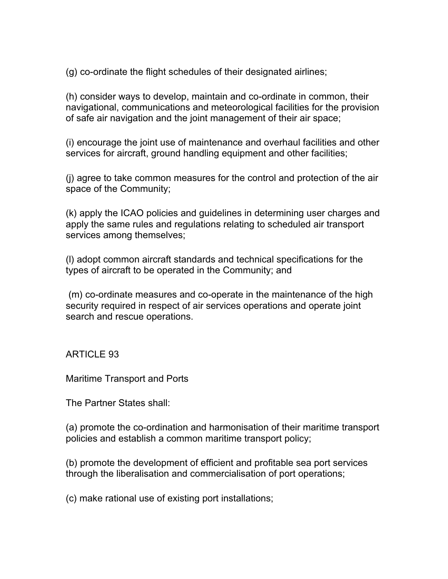(g) co-ordinate the flight schedules of their designated airlines;

(h) consider ways to develop, maintain and co-ordinate in common, their navigational, communications and meteorological facilities for the provision of safe air navigation and the joint management of their air space;

(i) encourage the joint use of maintenance and overhaul facilities and other services for aircraft, ground handling equipment and other facilities;

(j) agree to take common measures for the control and protection of the air space of the Community;

(k) apply the ICAO policies and guidelines in determining user charges and apply the same rules and regulations relating to scheduled air transport services among themselves;

(l) adopt common aircraft standards and technical specifications for the types of aircraft to be operated in the Community; and

 (m) co-ordinate measures and co-operate in the maintenance of the high security required in respect of air services operations and operate joint search and rescue operations.

### ARTICLE 93

Maritime Transport and Ports

The Partner States shall:

(a) promote the co-ordination and harmonisation of their maritime transport policies and establish a common maritime transport policy;

(b) promote the development of efficient and profitable sea port services through the liberalisation and commercialisation of port operations;

(c) make rational use of existing port installations;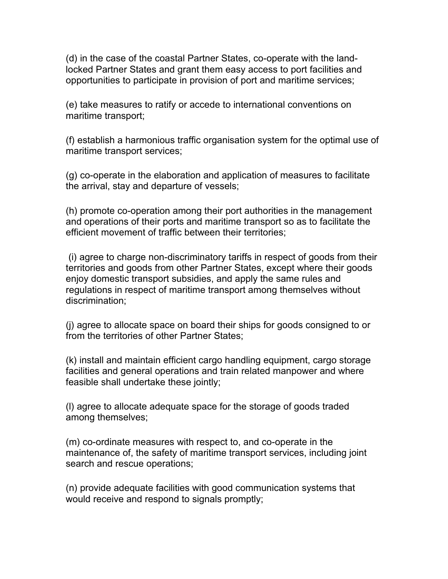(d) in the case of the coastal Partner States, co-operate with the landlocked Partner States and grant them easy access to port facilities and opportunities to participate in provision of port and maritime services;

(e) take measures to ratify or accede to international conventions on maritime transport;

(f) establish a harmonious traffic organisation system for the optimal use of maritime transport services;

(g) co-operate in the elaboration and application of measures to facilitate the arrival, stay and departure of vessels;

(h) promote co-operation among their port authorities in the management and operations of their ports and maritime transport so as to facilitate the efficient movement of traffic between their territories;

 (i) agree to charge non-discriminatory tariffs in respect of goods from their territories and goods from other Partner States, except where their goods enjoy domestic transport subsidies, and apply the same rules and regulations in respect of maritime transport among themselves without discrimination;

(j) agree to allocate space on board their ships for goods consigned to or from the territories of other Partner States;

(k) install and maintain efficient cargo handling equipment, cargo storage facilities and general operations and train related manpower and where feasible shall undertake these jointly;

(l) agree to allocate adequate space for the storage of goods traded among themselves;

(m) co-ordinate measures with respect to, and co-operate in the maintenance of, the safety of maritime transport services, including joint search and rescue operations;

(n) provide adequate facilities with good communication systems that would receive and respond to signals promptly;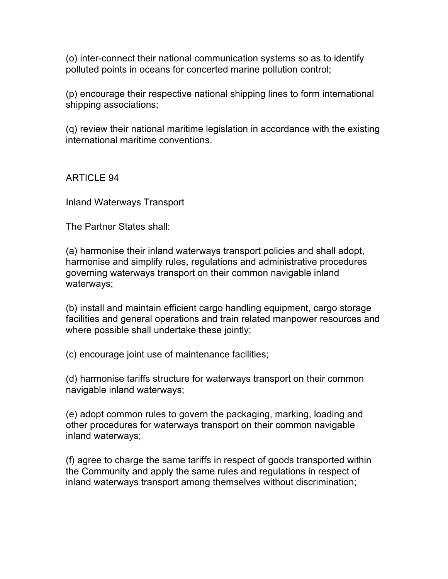(o) inter-connect their national communication systems so as to identify polluted points in oceans for concerted marine pollution control;

(p) encourage their respective national shipping lines to form international shipping associations;

(q) review their national maritime legislation in accordance with the existing international maritime conventions.

ARTICLE 94

Inland Waterways Transport

The Partner States shall:

(a) harmonise their inland waterways transport policies and shall adopt, harmonise and simplify rules, regulations and administrative procedures governing waterways transport on their common navigable inland waterways;

(b) install and maintain efficient cargo handling equipment, cargo storage facilities and general operations and train related manpower resources and where possible shall undertake these jointly;

(c) encourage joint use of maintenance facilities;

(d) harmonise tariffs structure for waterways transport on their common navigable inland waterways;

(e) adopt common rules to govern the packaging, marking, loading and other procedures for waterways transport on their common navigable inland waterways;

(f) agree to charge the same tariffs in respect of goods transported within the Community and apply the same rules and regulations in respect of inland waterways transport among themselves without discrimination;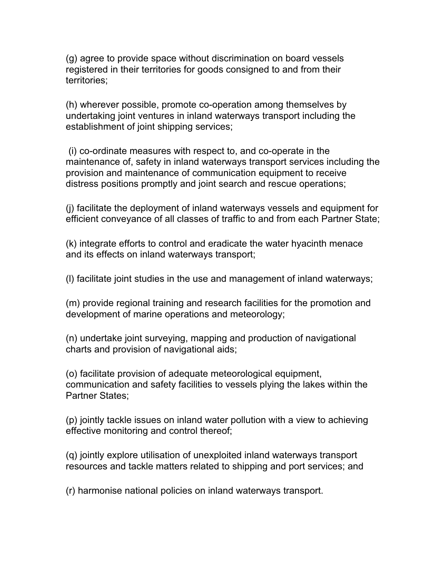(g) agree to provide space without discrimination on board vessels registered in their territories for goods consigned to and from their territories;

(h) wherever possible, promote co-operation among themselves by undertaking joint ventures in inland waterways transport including the establishment of joint shipping services;

 (i) co-ordinate measures with respect to, and co-operate in the maintenance of, safety in inland waterways transport services including the provision and maintenance of communication equipment to receive distress positions promptly and joint search and rescue operations;

(j) facilitate the deployment of inland waterways vessels and equipment for efficient conveyance of all classes of traffic to and from each Partner State;

(k) integrate efforts to control and eradicate the water hyacinth menace and its effects on inland waterways transport;

(l) facilitate joint studies in the use and management of inland waterways;

(m) provide regional training and research facilities for the promotion and development of marine operations and meteorology;

(n) undertake joint surveying, mapping and production of navigational charts and provision of navigational aids;

(o) facilitate provision of adequate meteorological equipment, communication and safety facilities to vessels plying the lakes within the Partner States;

(p) jointly tackle issues on inland water pollution with a view to achieving effective monitoring and control thereof;

(q) jointly explore utilisation of unexploited inland waterways transport resources and tackle matters related to shipping and port services; and

(r) harmonise national policies on inland waterways transport.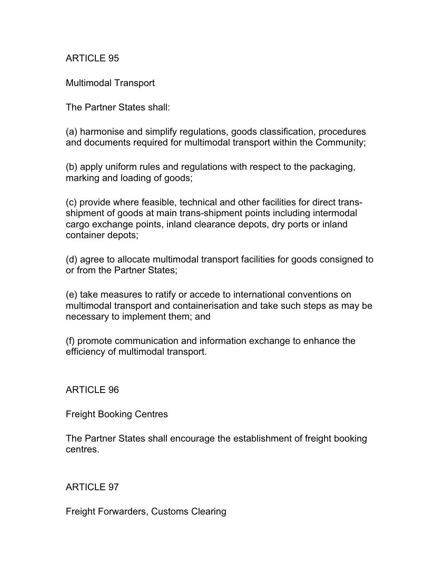ARTICLE 95

Multimodal Transport

The Partner States shall:

(a) harmonise and simplify regulations, goods classification, procedures and documents required for multimodal transport within the Community;

(b) apply uniform rules and regulations with respect to the packaging, marking and loading of goods;

(c) provide where feasible, technical and other facilities for direct transshipment of goods at main trans-shipment points including intermodal cargo exchange points, inland clearance depots, dry ports or inland container depots;

(d) agree to allocate multimodal transport facilities for goods consigned to or from the Partner States;

(e) take measures to ratify or accede to international conventions on multimodal transport and containerisation and take such steps as may be necessary to implement them; and

(f) promote communication and information exchange to enhance the efficiency of multimodal transport.

ARTICLE 96

Freight Booking Centres

The Partner States shall encourage the establishment of freight booking centres.

ARTICLE 97

Freight Forwarders, Customs Clearing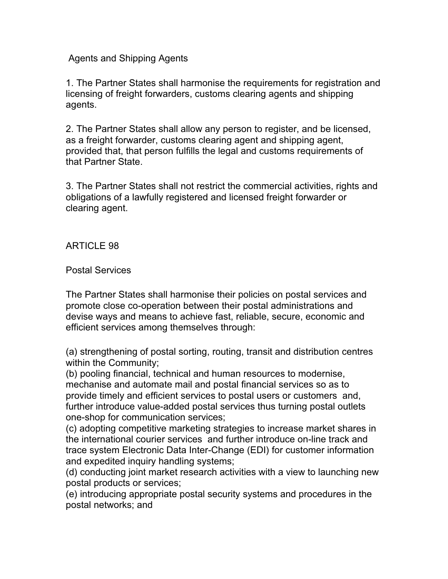#### Agents and Shipping Agents

1. The Partner States shall harmonise the requirements for registration and licensing of freight forwarders, customs clearing agents and shipping agents.

2. The Partner States shall allow any person to register, and be licensed, as a freight forwarder, customs clearing agent and shipping agent, provided that, that person fulfills the legal and customs requirements of that Partner State.

3. The Partner States shall not restrict the commercial activities, rights and obligations of a lawfully registered and licensed freight forwarder or clearing agent.

#### ARTICLE 98

#### Postal Services

The Partner States shall harmonise their policies on postal services and promote close co-operation between their postal administrations and devise ways and means to achieve fast, reliable, secure, economic and efficient services among themselves through:

(a) strengthening of postal sorting, routing, transit and distribution centres within the Community;

(b) pooling financial, technical and human resources to modernise, mechanise and automate mail and postal financial services so as to provide timely and efficient services to postal users or customers and, further introduce value-added postal services thus turning postal outlets one-shop for communication services;

(c) adopting competitive marketing strategies to increase market shares in the international courier services and further introduce on-line track and trace system Electronic Data Inter-Change (EDI) for customer information and expedited inquiry handling systems;

(d) conducting joint market research activities with a view to launching new postal products or services;

(e) introducing appropriate postal security systems and procedures in the postal networks; and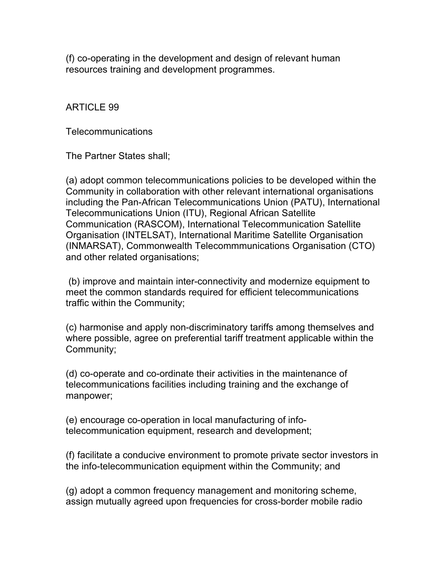(f) co-operating in the development and design of relevant human resources training and development programmes.

ARTICLE 99

Telecommunications

The Partner States shall;

(a) adopt common telecommunications policies to be developed within the Community in collaboration with other relevant international organisations including the Pan-African Telecommunications Union (PATU), International Telecommunications Union (ITU), Regional African Satellite Communication (RASCOM), International Telecommunication Satellite Organisation (INTELSAT), International Maritime Satellite Organisation (INMARSAT), Commonwealth Telecommmunications Organisation (CTO) and other related organisations;

 (b) improve and maintain inter-connectivity and modernize equipment to meet the common standards required for efficient telecommunications traffic within the Community;

(c) harmonise and apply non-discriminatory tariffs among themselves and where possible, agree on preferential tariff treatment applicable within the Community;

(d) co-operate and co-ordinate their activities in the maintenance of telecommunications facilities including training and the exchange of manpower;

(e) encourage co-operation in local manufacturing of infotelecommunication equipment, research and development;

(f) facilitate a conducive environment to promote private sector investors in the info-telecommunication equipment within the Community; and

(g) adopt a common frequency management and monitoring scheme, assign mutually agreed upon frequencies for cross-border mobile radio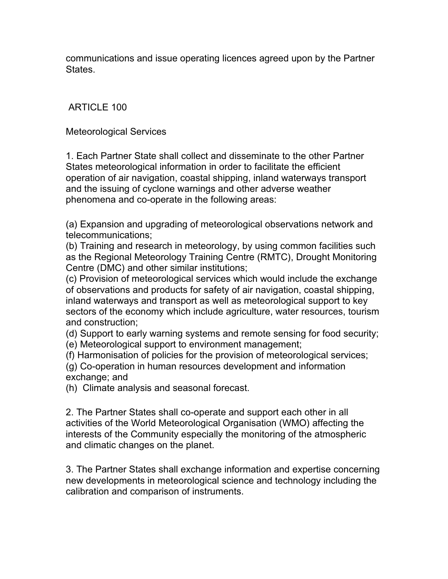communications and issue operating licences agreed upon by the Partner States.

# ARTICLE 100

Meteorological Services

1. Each Partner State shall collect and disseminate to the other Partner States meteorological information in order to facilitate the efficient operation of air navigation, coastal shipping, inland waterways transport and the issuing of cyclone warnings and other adverse weather phenomena and co-operate in the following areas:

(a) Expansion and upgrading of meteorological observations network and telecommunications;

(b) Training and research in meteorology, by using common facilities such as the Regional Meteorology Training Centre (RMTC), Drought Monitoring Centre (DMC) and other similar institutions;

(c) Provision of meteorological services which would include the exchange of observations and products for safety of air navigation, coastal shipping, inland waterways and transport as well as meteorological support to key sectors of the economy which include agriculture, water resources, tourism and construction;

(d) Support to early warning systems and remote sensing for food security;

(e) Meteorological support to environment management;

(f) Harmonisation of policies for the provision of meteorological services;

(g) Co-operation in human resources development and information exchange; and

(h) Climate analysis and seasonal forecast.

2. The Partner States shall co-operate and support each other in all activities of the World Meteorological Organisation (WMO) affecting the interests of the Community especially the monitoring of the atmospheric and climatic changes on the planet.

3. The Partner States shall exchange information and expertise concerning new developments in meteorological science and technology including the calibration and comparison of instruments.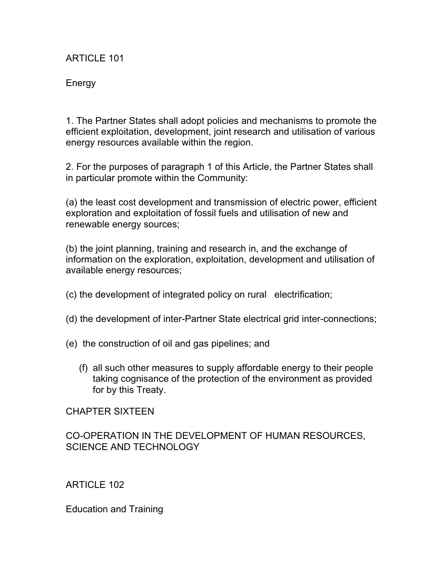ARTICLE 101

### Energy

1. The Partner States shall adopt policies and mechanisms to promote the efficient exploitation, development, joint research and utilisation of various energy resources available within the region.

2. For the purposes of paragraph 1 of this Article, the Partner States shall in particular promote within the Community:

(a) the least cost development and transmission of electric power, efficient exploration and exploitation of fossil fuels and utilisation of new and renewable energy sources;

(b) the joint planning, training and research in, and the exchange of information on the exploration, exploitation, development and utilisation of available energy resources;

- (c) the development of integrated policy on rural electrification;
- (d) the development of inter-Partner State electrical grid inter-connections;
- (e) the construction of oil and gas pipelines; and
	- (f) all such other measures to supply affordable energy to their people taking cognisance of the protection of the environment as provided for by this Treaty.

#### CHAPTER SIXTEEN

CO-OPERATION IN THE DEVELOPMENT OF HUMAN RESOURCES, SCIENCE AND TECHNOLOGY

ARTICLE 102

Education and Training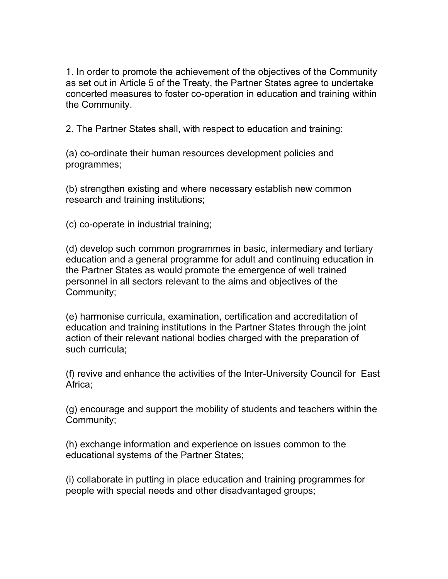1. In order to promote the achievement of the objectives of the Community as set out in Article 5 of the Treaty, the Partner States agree to undertake concerted measures to foster co-operation in education and training within the Community.

2. The Partner States shall, with respect to education and training:

(a) co-ordinate their human resources development policies and programmes;

(b) strengthen existing and where necessary establish new common research and training institutions;

(c) co-operate in industrial training;

(d) develop such common programmes in basic, intermediary and tertiary education and a general programme for adult and continuing education in the Partner States as would promote the emergence of well trained personnel in all sectors relevant to the aims and objectives of the Community;

(e) harmonise curricula, examination, certification and accreditation of education and training institutions in the Partner States through the joint action of their relevant national bodies charged with the preparation of such curricula;

(f) revive and enhance the activities of the Inter-University Council for East Africa;

(g) encourage and support the mobility of students and teachers within the Community;

(h) exchange information and experience on issues common to the educational systems of the Partner States;

(i) collaborate in putting in place education and training programmes for people with special needs and other disadvantaged groups;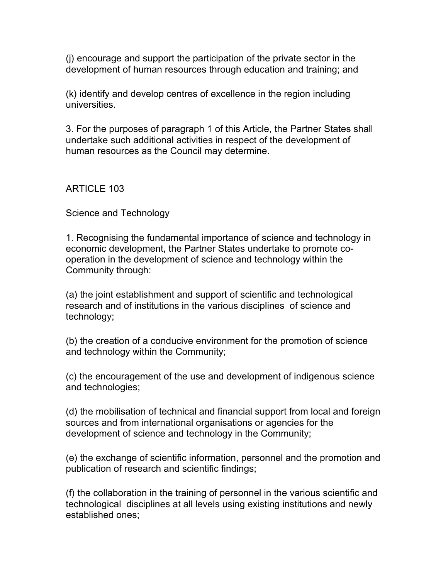(j) encourage and support the participation of the private sector in the development of human resources through education and training; and

(k) identify and develop centres of excellence in the region including universities.

3. For the purposes of paragraph 1 of this Article, the Partner States shall undertake such additional activities in respect of the development of human resources as the Council may determine.

ARTICLE 103

Science and Technology

1. Recognising the fundamental importance of science and technology in economic development, the Partner States undertake to promote cooperation in the development of science and technology within the Community through:

(a) the joint establishment and support of scientific and technological research and of institutions in the various disciplines of science and technology;

(b) the creation of a conducive environment for the promotion of science and technology within the Community;

(c) the encouragement of the use and development of indigenous science and technologies;

(d) the mobilisation of technical and financial support from local and foreign sources and from international organisations or agencies for the development of science and technology in the Community;

(e) the exchange of scientific information, personnel and the promotion and publication of research and scientific findings;

(f) the collaboration in the training of personnel in the various scientific and technological disciplines at all levels using existing institutions and newly established ones;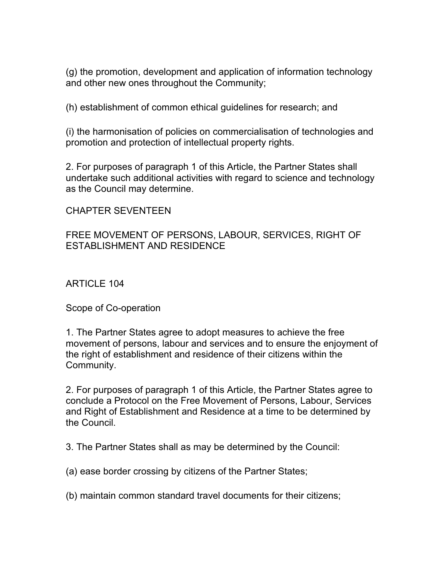(g) the promotion, development and application of information technology and other new ones throughout the Community;

(h) establishment of common ethical guidelines for research; and

(i) the harmonisation of policies on commercialisation of technologies and promotion and protection of intellectual property rights.

2. For purposes of paragraph 1 of this Article, the Partner States shall undertake such additional activities with regard to science and technology as the Council may determine.

#### CHAPTER SEVENTEEN

FREE MOVEMENT OF PERSONS, LABOUR, SERVICES, RIGHT OF ESTABLISHMENT AND RESIDENCE

**ARTICLE 104** 

Scope of Co-operation

1. The Partner States agree to adopt measures to achieve the free movement of persons, labour and services and to ensure the enjoyment of the right of establishment and residence of their citizens within the Community.

2. For purposes of paragraph 1 of this Article, the Partner States agree to conclude a Protocol on the Free Movement of Persons, Labour, Services and Right of Establishment and Residence at a time to be determined by the Council.

3. The Partner States shall as may be determined by the Council:

(a) ease border crossing by citizens of the Partner States;

(b) maintain common standard travel documents for their citizens;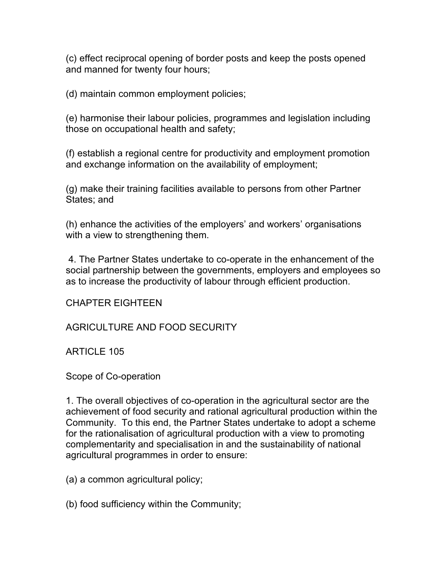(c) effect reciprocal opening of border posts and keep the posts opened and manned for twenty four hours;

(d) maintain common employment policies;

(e) harmonise their labour policies, programmes and legislation including those on occupational health and safety;

(f) establish a regional centre for productivity and employment promotion and exchange information on the availability of employment;

(g) make their training facilities available to persons from other Partner States; and

(h) enhance the activities of the employers' and workers' organisations with a view to strengthening them.

 4. The Partner States undertake to co-operate in the enhancement of the social partnership between the governments, employers and employees so as to increase the productivity of labour through efficient production.

CHAPTER EIGHTEEN

AGRICULTURE AND FOOD SECURITY

ARTICLE 105

Scope of Co-operation

1. The overall objectives of co-operation in the agricultural sector are the achievement of food security and rational agricultural production within the Community. To this end, the Partner States undertake to adopt a scheme for the rationalisation of agricultural production with a view to promoting complementarity and specialisation in and the sustainability of national agricultural programmes in order to ensure:

(a) a common agricultural policy;

(b) food sufficiency within the Community;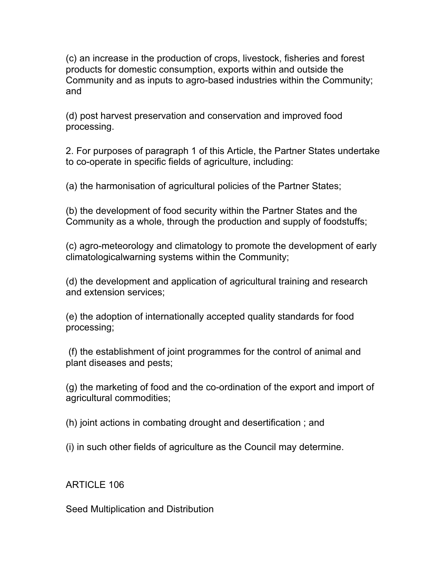(c) an increase in the production of crops, livestock, fisheries and forest products for domestic consumption, exports within and outside the Community and as inputs to agro-based industries within the Community; and

(d) post harvest preservation and conservation and improved food processing.

2. For purposes of paragraph 1 of this Article, the Partner States undertake to co-operate in specific fields of agriculture, including:

(a) the harmonisation of agricultural policies of the Partner States;

(b) the development of food security within the Partner States and the Community as a whole, through the production and supply of foodstuffs;

(c) agro-meteorology and climatology to promote the development of early climatologicalwarning systems within the Community;

(d) the development and application of agricultural training and research and extension services;

(e) the adoption of internationally accepted quality standards for food processing;

 (f) the establishment of joint programmes for the control of animal and plant diseases and pests;

(g) the marketing of food and the co-ordination of the export and import of agricultural commodities;

(h) joint actions in combating drought and desertification ; and

(i) in such other fields of agriculture as the Council may determine.

ARTICLE 106

Seed Multiplication and Distribution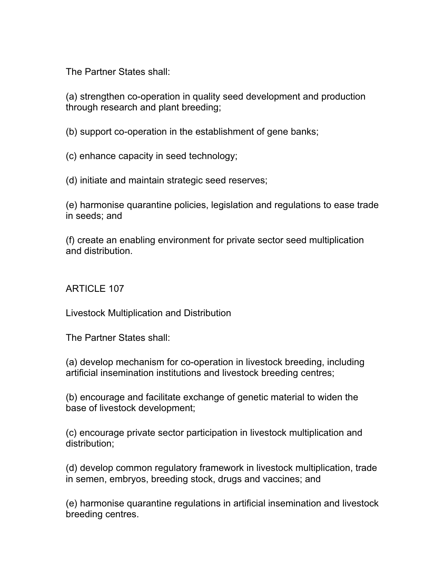The Partner States shall:

(a) strengthen co-operation in quality seed development and production through research and plant breeding;

(b) support co-operation in the establishment of gene banks;

(c) enhance capacity in seed technology;

(d) initiate and maintain strategic seed reserves;

(e) harmonise quarantine policies, legislation and regulations to ease trade in seeds; and

(f) create an enabling environment for private sector seed multiplication and distribution.

ARTICLE 107

Livestock Multiplication and Distribution

The Partner States shall:

(a) develop mechanism for co-operation in livestock breeding, including artificial insemination institutions and livestock breeding centres;

(b) encourage and facilitate exchange of genetic material to widen the base of livestock development;

(c) encourage private sector participation in livestock multiplication and distribution;

(d) develop common regulatory framework in livestock multiplication, trade in semen, embryos, breeding stock, drugs and vaccines; and

(e) harmonise quarantine regulations in artificial insemination and livestock breeding centres.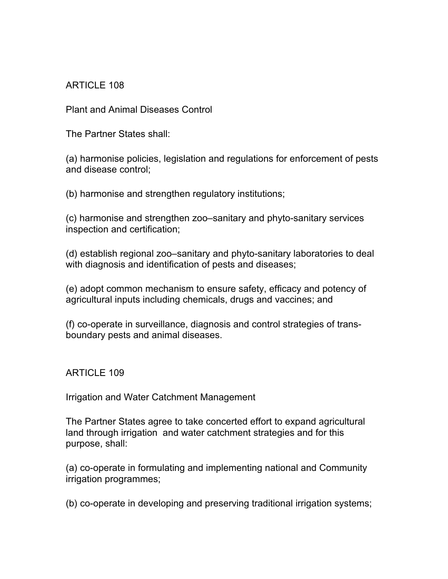ARTICLE 108

Plant and Animal Diseases Control

The Partner States shall:

(a) harmonise policies, legislation and regulations for enforcement of pests and disease control;

(b) harmonise and strengthen regulatory institutions;

(c) harmonise and strengthen zoo–sanitary and phyto-sanitary services inspection and certification;

(d) establish regional zoo–sanitary and phyto-sanitary laboratories to deal with diagnosis and identification of pests and diseases;

(e) adopt common mechanism to ensure safety, efficacy and potency of agricultural inputs including chemicals, drugs and vaccines; and

(f) co-operate in surveillance, diagnosis and control strategies of transboundary pests and animal diseases.

ARTICLE 109

Irrigation and Water Catchment Management

The Partner States agree to take concerted effort to expand agricultural land through irrigation and water catchment strategies and for this purpose, shall:

(a) co-operate in formulating and implementing national and Community irrigation programmes;

(b) co-operate in developing and preserving traditional irrigation systems;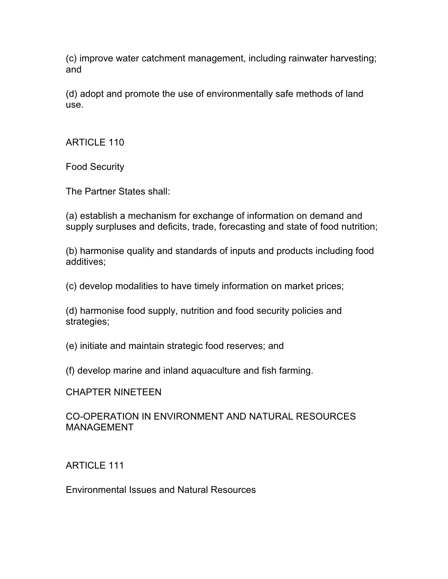(c) improve water catchment management, including rainwater harvesting; and

(d) adopt and promote the use of environmentally safe methods of land use.

ARTICLE 110

Food Security

The Partner States shall:

(a) establish a mechanism for exchange of information on demand and supply surpluses and deficits, trade, forecasting and state of food nutrition;

(b) harmonise quality and standards of inputs and products including food additives;

(c) develop modalities to have timely information on market prices;

(d) harmonise food supply, nutrition and food security policies and strategies;

(e) initiate and maintain strategic food reserves; and

(f) develop marine and inland aquaculture and fish farming.

# CHAPTER NINETEEN

# CO-OPERATION IN ENVIRONMENT AND NATURAL RESOURCES MANAGEMENT

ARTICLE 111

Environmental Issues and Natural Resources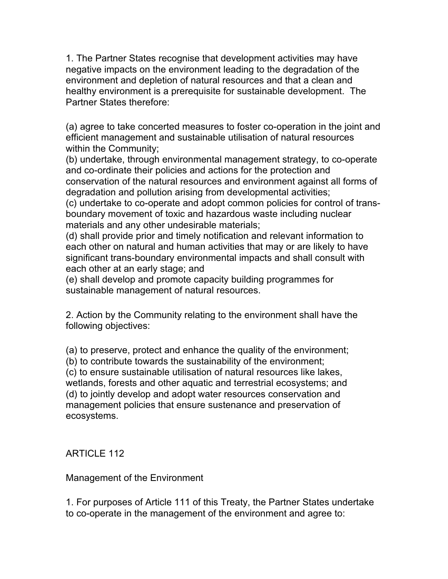1. The Partner States recognise that development activities may have negative impacts on the environment leading to the degradation of the environment and depletion of natural resources and that a clean and healthy environment is a prerequisite for sustainable development. The Partner States therefore:

(a) agree to take concerted measures to foster co-operation in the joint and efficient management and sustainable utilisation of natural resources within the Community;

(b) undertake, through environmental management strategy, to co-operate and co-ordinate their policies and actions for the protection and conservation of the natural resources and environment against all forms of degradation and pollution arising from developmental activities;

(c) undertake to co-operate and adopt common policies for control of transboundary movement of toxic and hazardous waste including nuclear materials and any other undesirable materials;

(d) shall provide prior and timely notification and relevant information to each other on natural and human activities that may or are likely to have significant trans-boundary environmental impacts and shall consult with each other at an early stage; and

(e) shall develop and promote capacity building programmes for sustainable management of natural resources.

2. Action by the Community relating to the environment shall have the following objectives:

(a) to preserve, protect and enhance the quality of the environment; (b) to contribute towards the sustainability of the environment; (c) to ensure sustainable utilisation of natural resources like lakes, wetlands, forests and other aquatic and terrestrial ecosystems; and (d) to jointly develop and adopt water resources conservation and management policies that ensure sustenance and preservation of ecosystems.

# **ARTICLE 112**

#### Management of the Environment

1. For purposes of Article 111 of this Treaty, the Partner States undertake to co-operate in the management of the environment and agree to: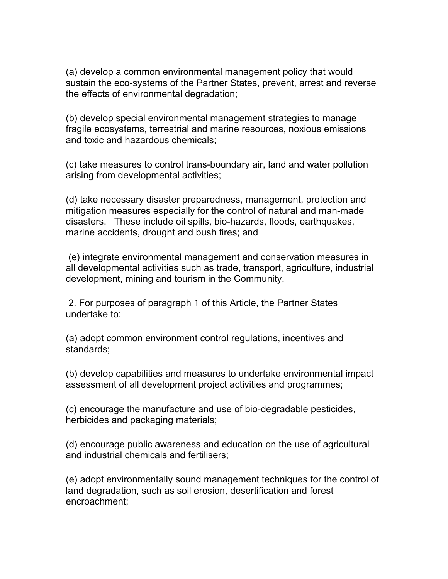(a) develop a common environmental management policy that would sustain the eco-systems of the Partner States, prevent, arrest and reverse the effects of environmental degradation;

(b) develop special environmental management strategies to manage fragile ecosystems, terrestrial and marine resources, noxious emissions and toxic and hazardous chemicals;

(c) take measures to control trans-boundary air, land and water pollution arising from developmental activities;

(d) take necessary disaster preparedness, management, protection and mitigation measures especially for the control of natural and man-made disasters. These include oil spills, bio-hazards, floods, earthquakes, marine accidents, drought and bush fires; and

 (e) integrate environmental management and conservation measures in all developmental activities such as trade, transport, agriculture, industrial development, mining and tourism in the Community.

 2. For purposes of paragraph 1 of this Article, the Partner States undertake to:

(a) adopt common environment control regulations, incentives and standards;

(b) develop capabilities and measures to undertake environmental impact assessment of all development project activities and programmes;

(c) encourage the manufacture and use of bio-degradable pesticides, herbicides and packaging materials;

(d) encourage public awareness and education on the use of agricultural and industrial chemicals and fertilisers;

(e) adopt environmentally sound management techniques for the control of land degradation, such as soil erosion, desertification and forest encroachment;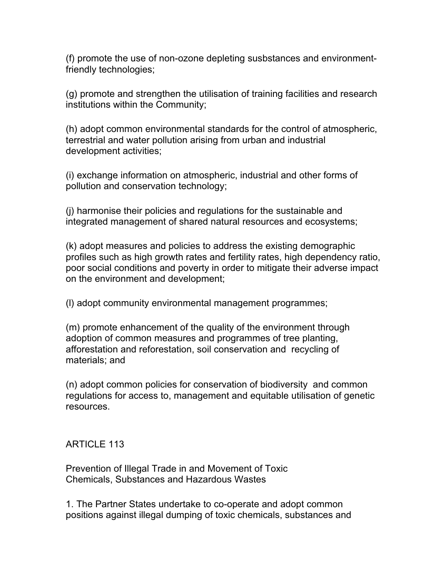(f) promote the use of non-ozone depleting susbstances and environmentfriendly technologies;

(g) promote and strengthen the utilisation of training facilities and research institutions within the Community;

(h) adopt common environmental standards for the control of atmospheric, terrestrial and water pollution arising from urban and industrial development activities;

(i) exchange information on atmospheric, industrial and other forms of pollution and conservation technology;

(j) harmonise their policies and regulations for the sustainable and integrated management of shared natural resources and ecosystems;

(k) adopt measures and policies to address the existing demographic profiles such as high growth rates and fertility rates, high dependency ratio, poor social conditions and poverty in order to mitigate their adverse impact on the environment and development;

(l) adopt community environmental management programmes;

(m) promote enhancement of the quality of the environment through adoption of common measures and programmes of tree planting, afforestation and reforestation, soil conservation and recycling of materials; and

(n) adopt common policies for conservation of biodiversity and common regulations for access to, management and equitable utilisation of genetic resources.

#### **ARTICLE 113**

Prevention of Illegal Trade in and Movement of Toxic Chemicals, Substances and Hazardous Wastes

1. The Partner States undertake to co-operate and adopt common positions against illegal dumping of toxic chemicals, substances and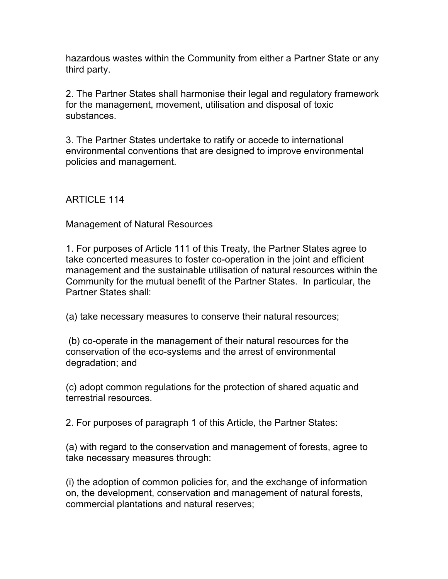hazardous wastes within the Community from either a Partner State or any third party.

2. The Partner States shall harmonise their legal and regulatory framework for the management, movement, utilisation and disposal of toxic substances.

3. The Partner States undertake to ratify or accede to international environmental conventions that are designed to improve environmental policies and management.

ARTICLE 114

Management of Natural Resources

1. For purposes of Article 111 of this Treaty, the Partner States agree to take concerted measures to foster co-operation in the joint and efficient management and the sustainable utilisation of natural resources within the Community for the mutual benefit of the Partner States. In particular, the Partner States shall:

(a) take necessary measures to conserve their natural resources;

 (b) co-operate in the management of their natural resources for the conservation of the eco-systems and the arrest of environmental degradation; and

(c) adopt common regulations for the protection of shared aquatic and terrestrial resources.

2. For purposes of paragraph 1 of this Article, the Partner States:

(a) with regard to the conservation and management of forests, agree to take necessary measures through:

(i) the adoption of common policies for, and the exchange of information on, the development, conservation and management of natural forests, commercial plantations and natural reserves;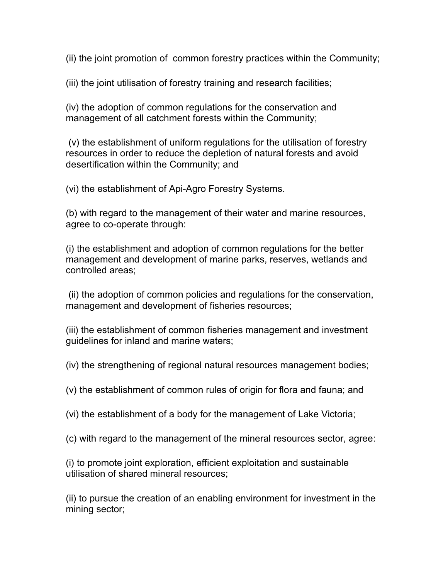(ii) the joint promotion of common forestry practices within the Community;

(iii) the joint utilisation of forestry training and research facilities;

(iv) the adoption of common regulations for the conservation and management of all catchment forests within the Community;

 (v) the establishment of uniform regulations for the utilisation of forestry resources in order to reduce the depletion of natural forests and avoid desertification within the Community; and

(vi) the establishment of Api-Agro Forestry Systems.

(b) with regard to the management of their water and marine resources, agree to co-operate through:

(i) the establishment and adoption of common regulations for the better management and development of marine parks, reserves, wetlands and controlled areas;

 (ii) the adoption of common policies and regulations for the conservation, management and development of fisheries resources;

(iii) the establishment of common fisheries management and investment guidelines for inland and marine waters;

(iv) the strengthening of regional natural resources management bodies;

(v) the establishment of common rules of origin for flora and fauna; and

(vi) the establishment of a body for the management of Lake Victoria;

(c) with regard to the management of the mineral resources sector, agree:

(i) to promote joint exploration, efficient exploitation and sustainable utilisation of shared mineral resources;

(ii) to pursue the creation of an enabling environment for investment in the mining sector;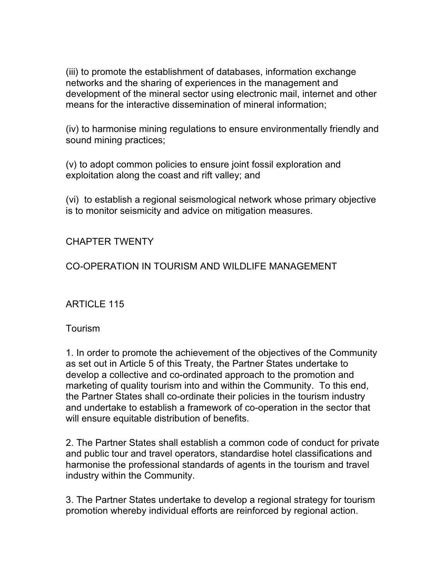(iii) to promote the establishment of databases, information exchange networks and the sharing of experiences in the management and development of the mineral sector using electronic mail, internet and other means for the interactive dissemination of mineral information;

(iv) to harmonise mining regulations to ensure environmentally friendly and sound mining practices;

(v) to adopt common policies to ensure joint fossil exploration and exploitation along the coast and rift valley; and

(vi) to establish a regional seismological network whose primary objective is to monitor seismicity and advice on mitigation measures.

#### CHAPTER TWENTY

CO-OPERATION IN TOURISM AND WILDLIFE MANAGEMENT

ARTICLE 115

Tourism

1. In order to promote the achievement of the objectives of the Community as set out in Article 5 of this Treaty, the Partner States undertake to develop a collective and co-ordinated approach to the promotion and marketing of quality tourism into and within the Community. To this end, the Partner States shall co-ordinate their policies in the tourism industry and undertake to establish a framework of co-operation in the sector that will ensure equitable distribution of benefits.

2. The Partner States shall establish a common code of conduct for private and public tour and travel operators, standardise hotel classifications and harmonise the professional standards of agents in the tourism and travel industry within the Community.

3. The Partner States undertake to develop a regional strategy for tourism promotion whereby individual efforts are reinforced by regional action.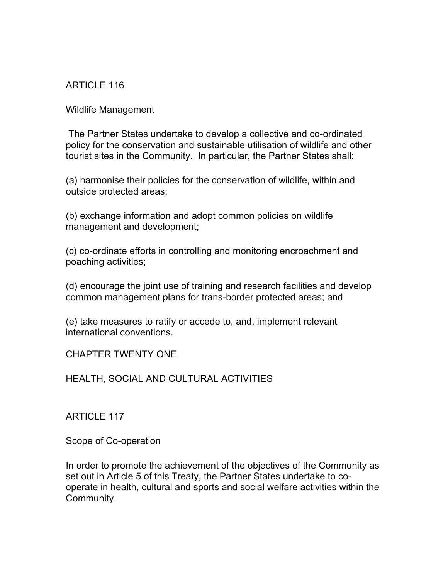# ARTICLE 116

#### Wildlife Management

 The Partner States undertake to develop a collective and co-ordinated policy for the conservation and sustainable utilisation of wildlife and other tourist sites in the Community. In particular, the Partner States shall:

(a) harmonise their policies for the conservation of wildlife, within and outside protected areas;

(b) exchange information and adopt common policies on wildlife management and development;

(c) co-ordinate efforts in controlling and monitoring encroachment and poaching activities;

(d) encourage the joint use of training and research facilities and develop common management plans for trans-border protected areas; and

(e) take measures to ratify or accede to, and, implement relevant international conventions.

CHAPTER TWENTY ONE

HEALTH, SOCIAL AND CULTURAL ACTIVITIES

ARTICLE 117

Scope of Co-operation

In order to promote the achievement of the objectives of the Community as set out in Article 5 of this Treaty, the Partner States undertake to cooperate in health, cultural and sports and social welfare activities within the Community.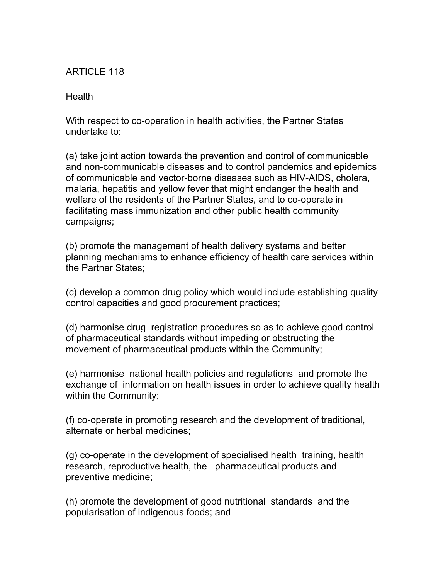#### **ARTICLE 118**

#### **Health**

With respect to co-operation in health activities, the Partner States undertake to:

(a) take joint action towards the prevention and control of communicable and non-communicable diseases and to control pandemics and epidemics of communicable and vector-borne diseases such as HIV-AIDS, cholera, malaria, hepatitis and yellow fever that might endanger the health and welfare of the residents of the Partner States, and to co-operate in facilitating mass immunization and other public health community campaigns;

(b) promote the management of health delivery systems and better planning mechanisms to enhance efficiency of health care services within the Partner States;

(c) develop a common drug policy which would include establishing quality control capacities and good procurement practices;

(d) harmonise drug registration procedures so as to achieve good control of pharmaceutical standards without impeding or obstructing the movement of pharmaceutical products within the Community;

(e) harmonise national health policies and regulations and promote the exchange of information on health issues in order to achieve quality health within the Community;

(f) co-operate in promoting research and the development of traditional, alternate or herbal medicines;

(g) co-operate in the development of specialised health training, health research, reproductive health, the pharmaceutical products and preventive medicine;

(h) promote the development of good nutritional standards and the popularisation of indigenous foods; and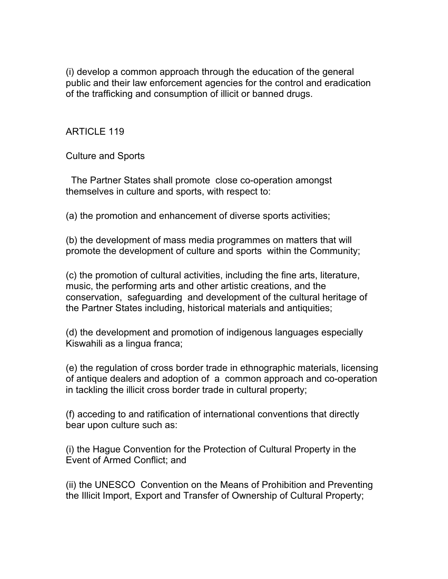(i) develop a common approach through the education of the general public and their law enforcement agencies for the control and eradication of the trafficking and consumption of illicit or banned drugs.

### ARTICLE 119

Culture and Sports

 The Partner States shall promote close co-operation amongst themselves in culture and sports, with respect to:

(a) the promotion and enhancement of diverse sports activities;

(b) the development of mass media programmes on matters that will promote the development of culture and sports within the Community;

(c) the promotion of cultural activities, including the fine arts, literature, music, the performing arts and other artistic creations, and the conservation, safeguarding and development of the cultural heritage of the Partner States including, historical materials and antiquities;

(d) the development and promotion of indigenous languages especially Kiswahili as a lingua franca;

(e) the regulation of cross border trade in ethnographic materials, licensing of antique dealers and adoption of a common approach and co-operation in tackling the illicit cross border trade in cultural property;

(f) acceding to and ratification of international conventions that directly bear upon culture such as:

(i) the Hague Convention for the Protection of Cultural Property in the Event of Armed Conflict; and

(ii) the UNESCO Convention on the Means of Prohibition and Preventing the Illicit Import, Export and Transfer of Ownership of Cultural Property;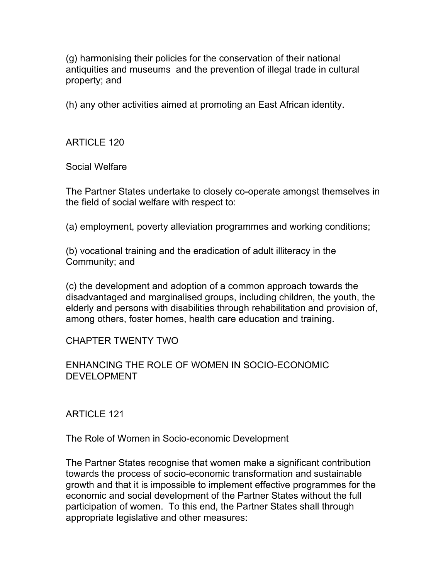(g) harmonising their policies for the conservation of their national antiquities and museums and the prevention of illegal trade in cultural property; and

(h) any other activities aimed at promoting an East African identity.

ARTICLE 120

Social Welfare

The Partner States undertake to closely co-operate amongst themselves in the field of social welfare with respect to:

(a) employment, poverty alleviation programmes and working conditions;

(b) vocational training and the eradication of adult illiteracy in the Community; and

(c) the development and adoption of a common approach towards the disadvantaged and marginalised groups, including children, the youth, the elderly and persons with disabilities through rehabilitation and provision of, among others, foster homes, health care education and training.

# CHAPTER TWENTY TWO

ENHANCING THE ROLE OF WOMEN IN SOCIO-ECONOMIC DEVELOPMENT

**ARTICLE 121** 

The Role of Women in Socio-economic Development

The Partner States recognise that women make a significant contribution towards the process of socio-economic transformation and sustainable growth and that it is impossible to implement effective programmes for the economic and social development of the Partner States without the full participation of women. To this end, the Partner States shall through appropriate legislative and other measures: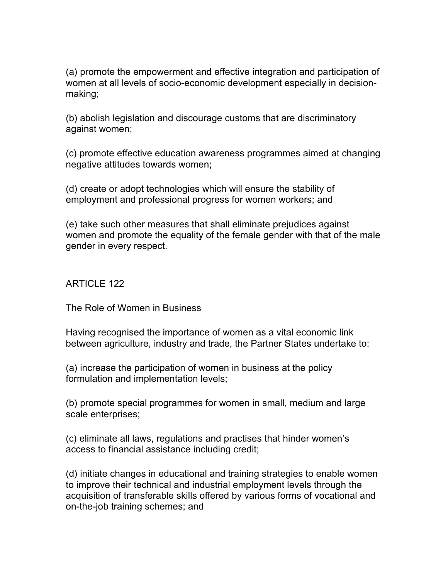(a) promote the empowerment and effective integration and participation of women at all levels of socio-economic development especially in decisionmaking;

(b) abolish legislation and discourage customs that are discriminatory against women;

(c) promote effective education awareness programmes aimed at changing negative attitudes towards women;

(d) create or adopt technologies which will ensure the stability of employment and professional progress for women workers; and

(e) take such other measures that shall eliminate prejudices against women and promote the equality of the female gender with that of the male gender in every respect.

ARTICLE 122

The Role of Women in Business

Having recognised the importance of women as a vital economic link between agriculture, industry and trade, the Partner States undertake to:

(a) increase the participation of women in business at the policy formulation and implementation levels;

(b) promote special programmes for women in small, medium and large scale enterprises;

(c) eliminate all laws, regulations and practises that hinder women's access to financial assistance including credit;

(d) initiate changes in educational and training strategies to enable women to improve their technical and industrial employment levels through the acquisition of transferable skills offered by various forms of vocational and on-the-job training schemes; and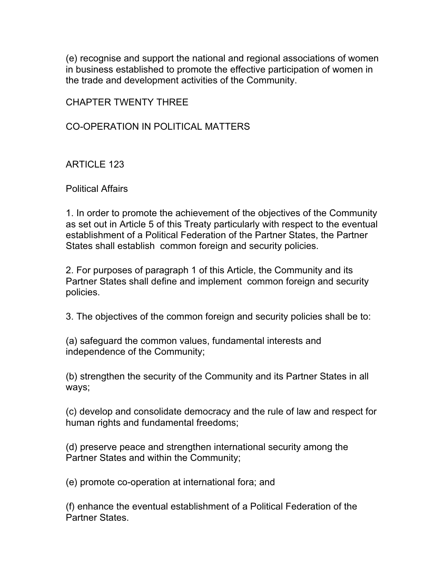(e) recognise and support the national and regional associations of women in business established to promote the effective participation of women in the trade and development activities of the Community.

CHAPTER TWENTY THREE

CO-OPERATION IN POLITICAL MATTERS

ARTICLE 123

Political Affairs

1. In order to promote the achievement of the objectives of the Community as set out in Article 5 of this Treaty particularly with respect to the eventual establishment of a Political Federation of the Partner States, the Partner States shall establish common foreign and security policies.

2. For purposes of paragraph 1 of this Article, the Community and its Partner States shall define and implement common foreign and security policies.

3. The objectives of the common foreign and security policies shall be to:

(a) safeguard the common values, fundamental interests and independence of the Community;

(b) strengthen the security of the Community and its Partner States in all ways;

(c) develop and consolidate democracy and the rule of law and respect for human rights and fundamental freedoms;

(d) preserve peace and strengthen international security among the Partner States and within the Community;

(e) promote co-operation at international fora; and

(f) enhance the eventual establishment of a Political Federation of the Partner States.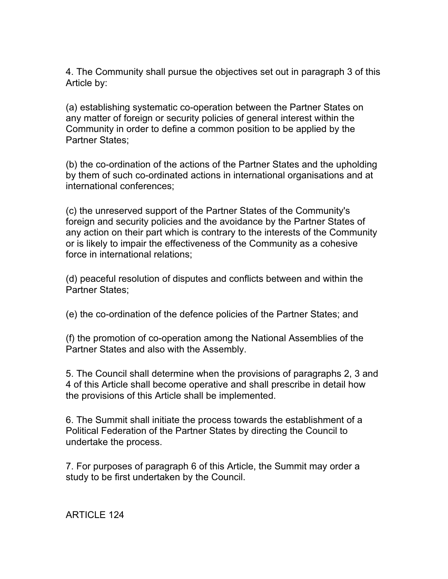4. The Community shall pursue the objectives set out in paragraph 3 of this Article by:

(a) establishing systematic co-operation between the Partner States on any matter of foreign or security policies of general interest within the Community in order to define a common position to be applied by the Partner States;

(b) the co-ordination of the actions of the Partner States and the upholding by them of such co-ordinated actions in international organisations and at international conferences;

(c) the unreserved support of the Partner States of the Community's foreign and security policies and the avoidance by the Partner States of any action on their part which is contrary to the interests of the Community or is likely to impair the effectiveness of the Community as a cohesive force in international relations;

(d) peaceful resolution of disputes and conflicts between and within the Partner States;

(e) the co-ordination of the defence policies of the Partner States; and

(f) the promotion of co-operation among the National Assemblies of the Partner States and also with the Assembly.

5. The Council shall determine when the provisions of paragraphs 2, 3 and 4 of this Article shall become operative and shall prescribe in detail how the provisions of this Article shall be implemented.

6. The Summit shall initiate the process towards the establishment of a Political Federation of the Partner States by directing the Council to undertake the process.

7. For purposes of paragraph 6 of this Article, the Summit may order a study to be first undertaken by the Council.

ARTICLE 124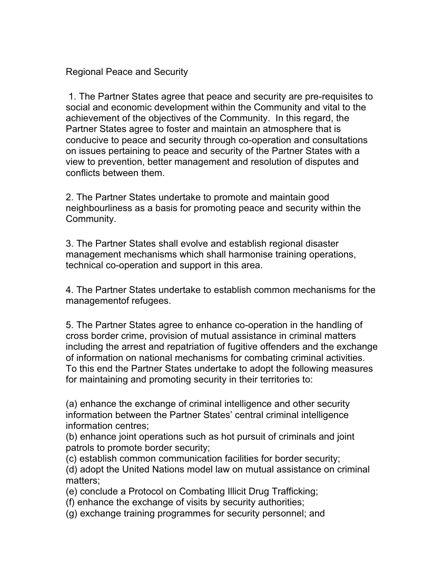### Regional Peace and Security

 1. The Partner States agree that peace and security are pre-requisites to social and economic development within the Community and vital to the achievement of the objectives of the Community. In this regard, the Partner States agree to foster and maintain an atmosphere that is conducive to peace and security through co-operation and consultations on issues pertaining to peace and security of the Partner States with a view to prevention, better management and resolution of disputes and conflicts between them.

2. The Partner States undertake to promote and maintain good neighbourliness as a basis for promoting peace and security within the Community.

3. The Partner States shall evolve and establish regional disaster management mechanisms which shall harmonise training operations, technical co-operation and support in this area.

4. The Partner States undertake to establish common mechanisms for the managementof refugees.

5. The Partner States agree to enhance co-operation in the handling of cross border crime, provision of mutual assistance in criminal matters including the arrest and repatriation of fugitive offenders and the exchange of information on national mechanisms for combating criminal activities. To this end the Partner States undertake to adopt the following measures for maintaining and promoting security in their territories to:

(a) enhance the exchange of criminal intelligence and other security information between the Partner States' central criminal intelligence information centres;

(b) enhance joint operations such as hot pursuit of criminals and joint patrols to promote border security;

(c) establish common communication facilities for border security;

(d) adopt the United Nations model law on mutual assistance on criminal matters;

(e) conclude a Protocol on Combating Illicit Drug Trafficking;

- (f) enhance the exchange of visits by security authorities;
- (g) exchange training programmes for security personnel; and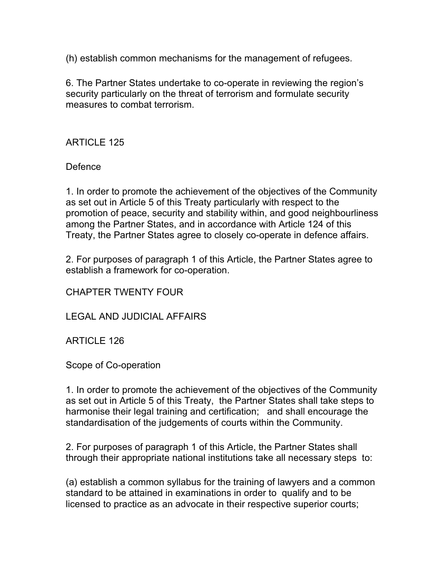(h) establish common mechanisms for the management of refugees.

6. The Partner States undertake to co-operate in reviewing the region's security particularly on the threat of terrorism and formulate security measures to combat terrorism.

ARTICLE 125

Defence

1. In order to promote the achievement of the objectives of the Community as set out in Article 5 of this Treaty particularly with respect to the promotion of peace, security and stability within, and good neighbourliness among the Partner States, and in accordance with Article 124 of this Treaty, the Partner States agree to closely co-operate in defence affairs.

2. For purposes of paragraph 1 of this Article, the Partner States agree to establish a framework for co-operation.

CHAPTER TWENTY FOUR

LEGAL AND JUDICIAL AFFAIRS

ARTICLE 126

Scope of Co-operation

1. In order to promote the achievement of the objectives of the Community as set out in Article 5 of this Treaty, the Partner States shall take steps to harmonise their legal training and certification; and shall encourage the standardisation of the judgements of courts within the Community.

2. For purposes of paragraph 1 of this Article, the Partner States shall through their appropriate national institutions take all necessary steps to:

(a) establish a common syllabus for the training of lawyers and a common standard to be attained in examinations in order to qualify and to be licensed to practice as an advocate in their respective superior courts;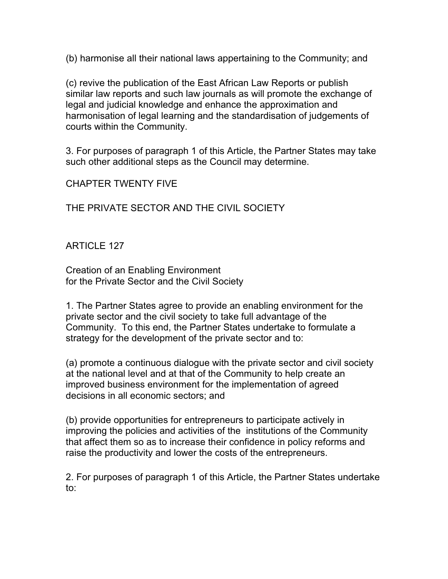(b) harmonise all their national laws appertaining to the Community; and

(c) revive the publication of the East African Law Reports or publish similar law reports and such law journals as will promote the exchange of legal and judicial knowledge and enhance the approximation and harmonisation of legal learning and the standardisation of judgements of courts within the Community.

3. For purposes of paragraph 1 of this Article, the Partner States may take such other additional steps as the Council may determine.

### CHAPTER TWENTY FIVE

# THE PRIVATE SECTOR AND THE CIVIL SOCIETY

### ARTICLE 127

Creation of an Enabling Environment for the Private Sector and the Civil Society

1. The Partner States agree to provide an enabling environment for the private sector and the civil society to take full advantage of the Community. To this end, the Partner States undertake to formulate a strategy for the development of the private sector and to:

(a) promote a continuous dialogue with the private sector and civil society at the national level and at that of the Community to help create an improved business environment for the implementation of agreed decisions in all economic sectors; and

(b) provide opportunities for entrepreneurs to participate actively in improving the policies and activities of the institutions of the Community that affect them so as to increase their confidence in policy reforms and raise the productivity and lower the costs of the entrepreneurs.

2. For purposes of paragraph 1 of this Article, the Partner States undertake to: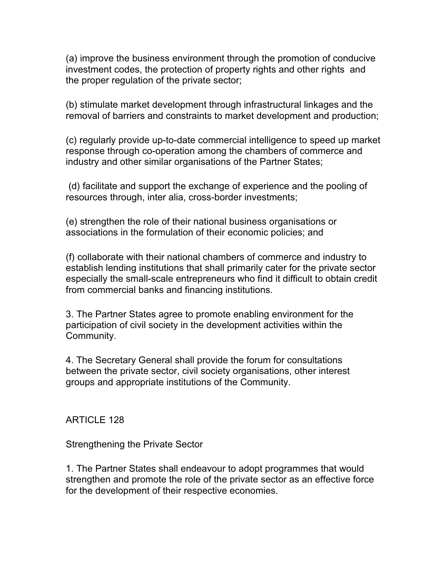(a) improve the business environment through the promotion of conducive investment codes, the protection of property rights and other rights and the proper regulation of the private sector;

(b) stimulate market development through infrastructural linkages and the removal of barriers and constraints to market development and production;

(c) regularly provide up-to-date commercial intelligence to speed up market response through co-operation among the chambers of commerce and industry and other similar organisations of the Partner States;

 (d) facilitate and support the exchange of experience and the pooling of resources through, inter alia, cross-border investments;

(e) strengthen the role of their national business organisations or associations in the formulation of their economic policies; and

(f) collaborate with their national chambers of commerce and industry to establish lending institutions that shall primarily cater for the private sector especially the small-scale entrepreneurs who find it difficult to obtain credit from commercial banks and financing institutions.

3. The Partner States agree to promote enabling environment for the participation of civil society in the development activities within the Community.

4. The Secretary General shall provide the forum for consultations between the private sector, civil society organisations, other interest groups and appropriate institutions of the Community.

ARTICLE 128

Strengthening the Private Sector

1. The Partner States shall endeavour to adopt programmes that would strengthen and promote the role of the private sector as an effective force for the development of their respective economies.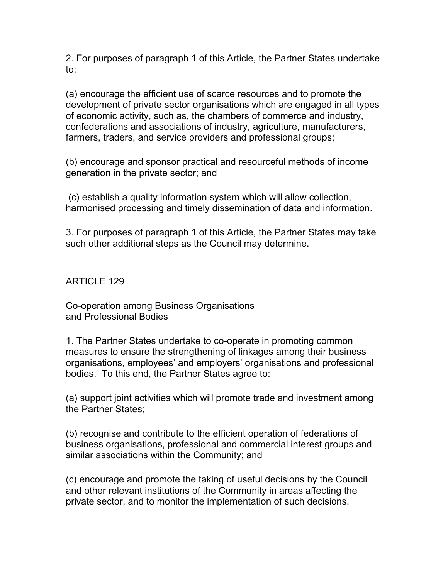2. For purposes of paragraph 1 of this Article, the Partner States undertake to:

(a) encourage the efficient use of scarce resources and to promote the development of private sector organisations which are engaged in all types of economic activity, such as, the chambers of commerce and industry, confederations and associations of industry, agriculture, manufacturers, farmers, traders, and service providers and professional groups;

(b) encourage and sponsor practical and resourceful methods of income generation in the private sector; and

 (c) establish a quality information system which will allow collection, harmonised processing and timely dissemination of data and information.

3. For purposes of paragraph 1 of this Article, the Partner States may take such other additional steps as the Council may determine.

ARTICLE 129

Co-operation among Business Organisations and Professional Bodies

1. The Partner States undertake to co-operate in promoting common measures to ensure the strengthening of linkages among their business organisations, employees' and employers' organisations and professional bodies. To this end, the Partner States agree to:

(a) support joint activities which will promote trade and investment among the Partner States;

(b) recognise and contribute to the efficient operation of federations of business organisations, professional and commercial interest groups and similar associations within the Community; and

(c) encourage and promote the taking of useful decisions by the Council and other relevant institutions of the Community in areas affecting the private sector, and to monitor the implementation of such decisions.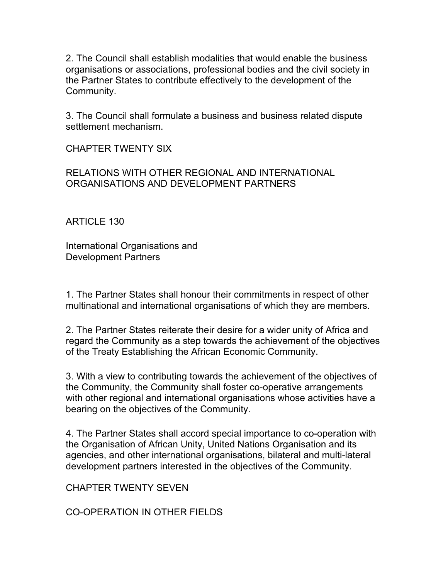2. The Council shall establish modalities that would enable the business organisations or associations, professional bodies and the civil society in the Partner States to contribute effectively to the development of the Community.

3. The Council shall formulate a business and business related dispute settlement mechanism.

CHAPTER TWENTY SIX

RELATIONS WITH OTHER REGIONAL AND INTERNATIONAL ORGANISATIONS AND DEVELOPMENT PARTNERS

ARTICLE 130

International Organisations and Development Partners

1. The Partner States shall honour their commitments in respect of other multinational and international organisations of which they are members.

2. The Partner States reiterate their desire for a wider unity of Africa and regard the Community as a step towards the achievement of the objectives of the Treaty Establishing the African Economic Community.

3. With a view to contributing towards the achievement of the objectives of the Community, the Community shall foster co-operative arrangements with other regional and international organisations whose activities have a bearing on the objectives of the Community.

4. The Partner States shall accord special importance to co-operation with the Organisation of African Unity, United Nations Organisation and its agencies, and other international organisations, bilateral and multi-lateral development partners interested in the objectives of the Community.

CHAPTER TWENTY SEVEN

CO-OPERATION IN OTHER FIELDS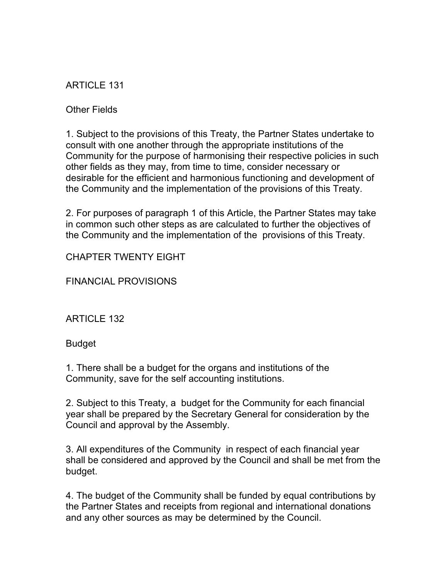# ARTICLE 131

### Other Fields

1. Subject to the provisions of this Treaty, the Partner States undertake to consult with one another through the appropriate institutions of the Community for the purpose of harmonising their respective policies in such other fields as they may, from time to time, consider necessary or desirable for the efficient and harmonious functioning and development of the Community and the implementation of the provisions of this Treaty.

2. For purposes of paragraph 1 of this Article, the Partner States may take in common such other steps as are calculated to further the objectives of the Community and the implementation of the provisions of this Treaty.

# CHAPTER TWENTY EIGHT

FINANCIAL PROVISIONS

ARTICLE 132

**Budget** 

1. There shall be a budget for the organs and institutions of the Community, save for the self accounting institutions.

2. Subject to this Treaty, a budget for the Community for each financial year shall be prepared by the Secretary General for consideration by the Council and approval by the Assembly.

3. All expenditures of the Community in respect of each financial year shall be considered and approved by the Council and shall be met from the budget.

4. The budget of the Community shall be funded by equal contributions by the Partner States and receipts from regional and international donations and any other sources as may be determined by the Council.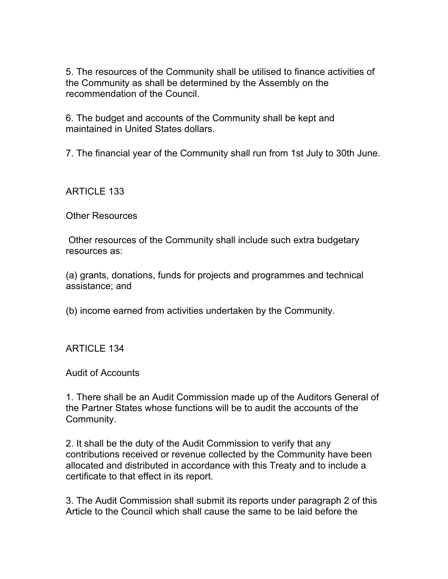5. The resources of the Community shall be utilised to finance activities of the Community as shall be determined by the Assembly on the recommendation of the Council.

6. The budget and accounts of the Community shall be kept and maintained in United States dollars.

7. The financial year of the Community shall run from 1st July to 30th June.

ARTICLE 133

Other Resources

 Other resources of the Community shall include such extra budgetary resources as:

(a) grants, donations, funds for projects and programmes and technical assistance; and

(b) income earned from activities undertaken by the Community.

ARTICLE 134

Audit of Accounts

1. There shall be an Audit Commission made up of the Auditors General of the Partner States whose functions will be to audit the accounts of the Community.

2. It shall be the duty of the Audit Commission to verify that any contributions received or revenue collected by the Community have been allocated and distributed in accordance with this Treaty and to include a certificate to that effect in its report.

3. The Audit Commission shall submit its reports under paragraph 2 of this Article to the Council which shall cause the same to be laid before the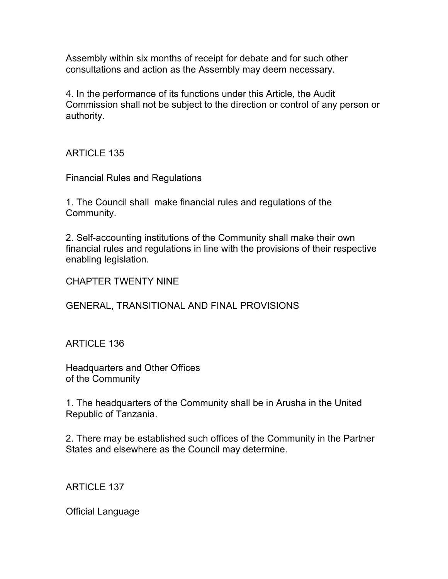Assembly within six months of receipt for debate and for such other consultations and action as the Assembly may deem necessary.

4. In the performance of its functions under this Article, the Audit Commission shall not be subject to the direction or control of any person or authority.

ARTICLE 135

Financial Rules and Regulations

1. The Council shall make financial rules and regulations of the Community.

2. Self-accounting institutions of the Community shall make their own financial rules and regulations in line with the provisions of their respective enabling legislation.

CHAPTER TWENTY NINE

GENERAL, TRANSITIONAL AND FINAL PROVISIONS

**ARTICLE 136** 

Headquarters and Other Offices of the Community

1. The headquarters of the Community shall be in Arusha in the United Republic of Tanzania.

2. There may be established such offices of the Community in the Partner States and elsewhere as the Council may determine.

ARTICLE 137

Official Language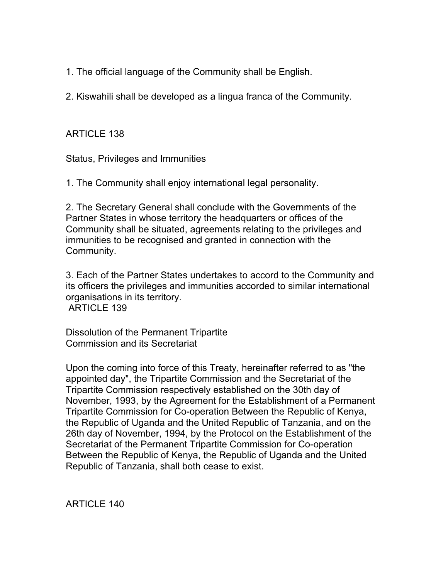1. The official language of the Community shall be English.

2. Kiswahili shall be developed as a lingua franca of the Community.

ARTICLE 138

Status, Privileges and Immunities

1. The Community shall enjoy international legal personality.

2. The Secretary General shall conclude with the Governments of the Partner States in whose territory the headquarters or offices of the Community shall be situated, agreements relating to the privileges and immunities to be recognised and granted in connection with the Community.

3. Each of the Partner States undertakes to accord to the Community and its officers the privileges and immunities accorded to similar international organisations in its territory.

ARTICLE 139

Dissolution of the Permanent Tripartite Commission and its Secretariat

Upon the coming into force of this Treaty, hereinafter referred to as "the appointed day", the Tripartite Commission and the Secretariat of the Tripartite Commission respectively established on the 30th day of November, 1993, by the Agreement for the Establishment of a Permanent Tripartite Commission for Co-operation Between the Republic of Kenya, the Republic of Uganda and the United Republic of Tanzania, and on the 26th day of November, 1994, by the Protocol on the Establishment of the Secretariat of the Permanent Tripartite Commission for Co-operation Between the Republic of Kenya, the Republic of Uganda and the United Republic of Tanzania, shall both cease to exist.

ARTICLE 140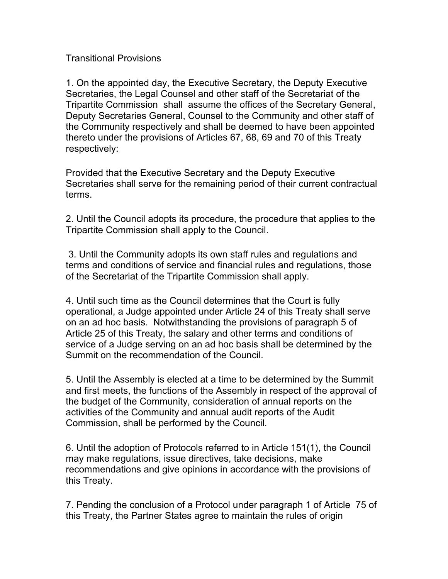Transitional Provisions

1. On the appointed day, the Executive Secretary, the Deputy Executive Secretaries, the Legal Counsel and other staff of the Secretariat of the Tripartite Commission shall assume the offices of the Secretary General, Deputy Secretaries General, Counsel to the Community and other staff of the Community respectively and shall be deemed to have been appointed thereto under the provisions of Articles 67, 68, 69 and 70 of this Treaty respectively:

Provided that the Executive Secretary and the Deputy Executive Secretaries shall serve for the remaining period of their current contractual terms.

2. Until the Council adopts its procedure, the procedure that applies to the Tripartite Commission shall apply to the Council.

 3. Until the Community adopts its own staff rules and regulations and terms and conditions of service and financial rules and regulations, those of the Secretariat of the Tripartite Commission shall apply.

4. Until such time as the Council determines that the Court is fully operational, a Judge appointed under Article 24 of this Treaty shall serve on an ad hoc basis. Notwithstanding the provisions of paragraph 5 of Article 25 of this Treaty, the salary and other terms and conditions of service of a Judge serving on an ad hoc basis shall be determined by the Summit on the recommendation of the Council.

5. Until the Assembly is elected at a time to be determined by the Summit and first meets, the functions of the Assembly in respect of the approval of the budget of the Community, consideration of annual reports on the activities of the Community and annual audit reports of the Audit Commission, shall be performed by the Council.

6. Until the adoption of Protocols referred to in Article 151(1), the Council may make regulations, issue directives, take decisions, make recommendations and give opinions in accordance with the provisions of this Treaty.

7. Pending the conclusion of a Protocol under paragraph 1 of Article 75 of this Treaty, the Partner States agree to maintain the rules of origin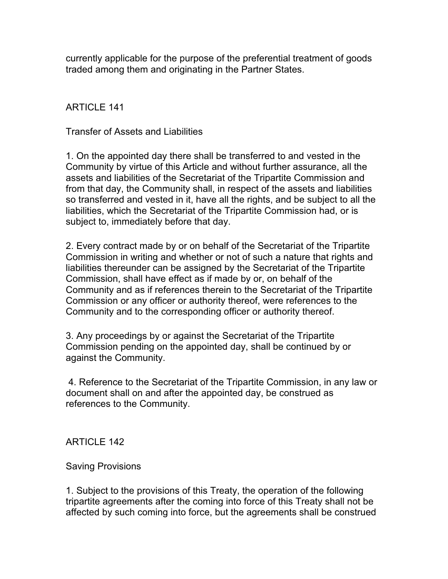currently applicable for the purpose of the preferential treatment of goods traded among them and originating in the Partner States.

### ARTICLE 141

Transfer of Assets and Liabilities

1. On the appointed day there shall be transferred to and vested in the Community by virtue of this Article and without further assurance, all the assets and liabilities of the Secretariat of the Tripartite Commission and from that day, the Community shall, in respect of the assets and liabilities so transferred and vested in it, have all the rights, and be subject to all the liabilities, which the Secretariat of the Tripartite Commission had, or is subject to, immediately before that day.

2. Every contract made by or on behalf of the Secretariat of the Tripartite Commission in writing and whether or not of such a nature that rights and liabilities thereunder can be assigned by the Secretariat of the Tripartite Commission, shall have effect as if made by or, on behalf of the Community and as if references therein to the Secretariat of the Tripartite Commission or any officer or authority thereof, were references to the Community and to the corresponding officer or authority thereof.

3. Any proceedings by or against the Secretariat of the Tripartite Commission pending on the appointed day, shall be continued by or against the Community.

 4. Reference to the Secretariat of the Tripartite Commission, in any law or document shall on and after the appointed day, be construed as references to the Community.

ARTICLE 142

### Saving Provisions

1. Subject to the provisions of this Treaty, the operation of the following tripartite agreements after the coming into force of this Treaty shall not be affected by such coming into force, but the agreements shall be construed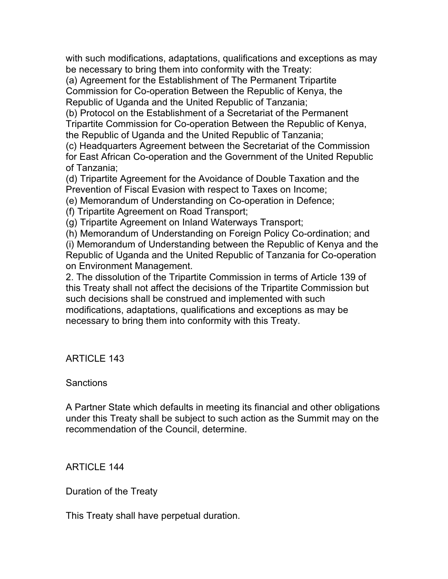with such modifications, adaptations, qualifications and exceptions as may be necessary to bring them into conformity with the Treaty:

(a) Agreement for the Establishment of The Permanent Tripartite Commission for Co-operation Between the Republic of Kenya, the Republic of Uganda and the United Republic of Tanzania;

(b) Protocol on the Establishment of a Secretariat of the Permanent Tripartite Commission for Co-operation Between the Republic of Kenya,

the Republic of Uganda and the United Republic of Tanzania;

(c) Headquarters Agreement between the Secretariat of the Commission for East African Co-operation and the Government of the United Republic of Tanzania;

(d) Tripartite Agreement for the Avoidance of Double Taxation and the Prevention of Fiscal Evasion with respect to Taxes on Income;

(e) Memorandum of Understanding on Co-operation in Defence;

(f) Tripartite Agreement on Road Transport;

(g) Tripartite Agreement on Inland Waterways Transport;

(h) Memorandum of Understanding on Foreign Policy Co-ordination; and (i) Memorandum of Understanding between the Republic of Kenya and the Republic of Uganda and the United Republic of Tanzania for Co-operation on Environment Management.

2. The dissolution of the Tripartite Commission in terms of Article 139 of this Treaty shall not affect the decisions of the Tripartite Commission but such decisions shall be construed and implemented with such modifications, adaptations, qualifications and exceptions as may be necessary to bring them into conformity with this Treaty.

ARTICLE 143

## **Sanctions**

A Partner State which defaults in meeting its financial and other obligations under this Treaty shall be subject to such action as the Summit may on the recommendation of the Council, determine.

# ARTICLE 144

Duration of the Treaty

This Treaty shall have perpetual duration.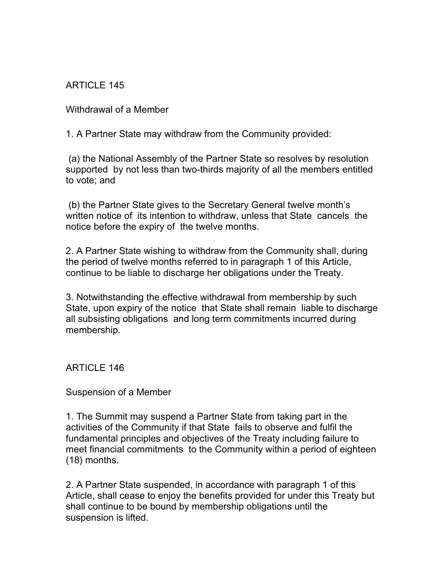ARTICLE 145

Withdrawal of a Member

1. A Partner State may withdraw from the Community provided:

 (a) the National Assembly of the Partner State so resolves by resolution supported by not less than two-thirds majority of all the members entitled to vote; and

 (b) the Partner State gives to the Secretary General twelve month's written notice of its intention to withdraw, unless that State cancels the notice before the expiry of the twelve months.

2. A Partner State wishing to withdraw from the Community shall, during the period of twelve months referred to in paragraph 1 of this Article, continue to be liable to discharge her obligations under the Treaty.

3. Notwithstanding the effective withdrawal from membership by such State, upon expiry of the notice that State shall remain liable to discharge all subsisting obligations and long term commitments incurred during membership.

ARTICLE 146

Suspension of a Member

1. The Summit may suspend a Partner State from taking part in the activities of the Community if that State fails to observe and fulfil the fundamental principles and objectives of the Treaty including failure to meet financial commitments to the Community within a period of eighteen (18) months.

2. A Partner State suspended, in accordance with paragraph 1 of this Article, shall cease to enjoy the benefits provided for under this Treaty but shall continue to be bound by membership obligations until the suspension is lifted.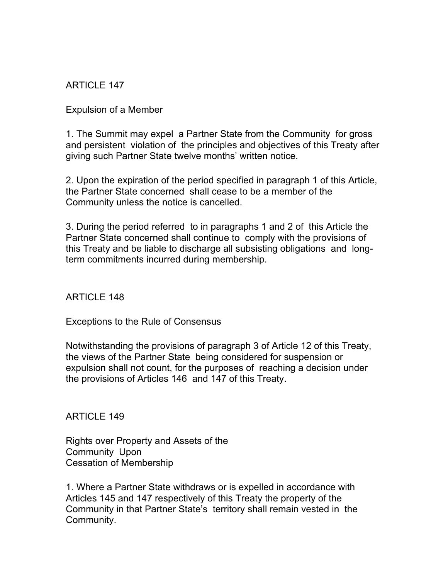## ARTICLE 147

#### Expulsion of a Member

1. The Summit may expel a Partner State from the Community for gross and persistent violation of the principles and objectives of this Treaty after giving such Partner State twelve months' written notice.

2. Upon the expiration of the period specified in paragraph 1 of this Article, the Partner State concerned shall cease to be a member of the Community unless the notice is cancelled.

3. During the period referred to in paragraphs 1 and 2 of this Article the Partner State concerned shall continue to comply with the provisions of this Treaty and be liable to discharge all subsisting obligations and longterm commitments incurred during membership.

ARTICLE 148

Exceptions to the Rule of Consensus

Notwithstanding the provisions of paragraph 3 of Article 12 of this Treaty, the views of the Partner State being considered for suspension or expulsion shall not count, for the purposes of reaching a decision under the provisions of Articles 146 and 147 of this Treaty.

ARTICLE 149

Rights over Property and Assets of the Community Upon Cessation of Membership

1. Where a Partner State withdraws or is expelled in accordance with Articles 145 and 147 respectively of this Treaty the property of the Community in that Partner State's territory shall remain vested in the Community.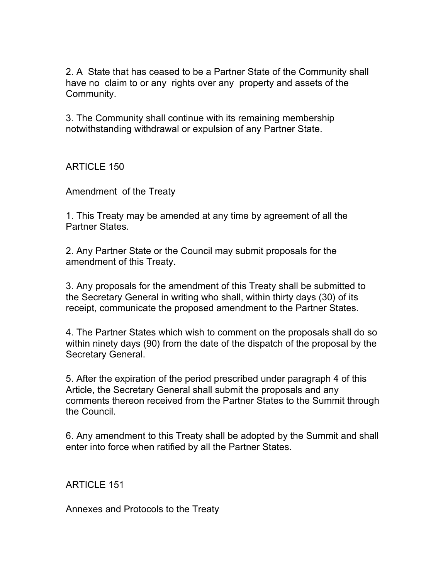2. A State that has ceased to be a Partner State of the Community shall have no claim to or any rights over any property and assets of the Community.

3. The Community shall continue with its remaining membership notwithstanding withdrawal or expulsion of any Partner State.

ARTICLE  $150$ 

Amendment of the Treaty

1. This Treaty may be amended at any time by agreement of all the Partner States.

2. Any Partner State or the Council may submit proposals for the amendment of this Treaty.

3. Any proposals for the amendment of this Treaty shall be submitted to the Secretary General in writing who shall, within thirty days (30) of its receipt, communicate the proposed amendment to the Partner States.

4. The Partner States which wish to comment on the proposals shall do so within ninety days (90) from the date of the dispatch of the proposal by the Secretary General.

5. After the expiration of the period prescribed under paragraph 4 of this Article, the Secretary General shall submit the proposals and any comments thereon received from the Partner States to the Summit through the Council.

6. Any amendment to this Treaty shall be adopted by the Summit and shall enter into force when ratified by all the Partner States.

ARTICLE 151

Annexes and Protocols to the Treaty